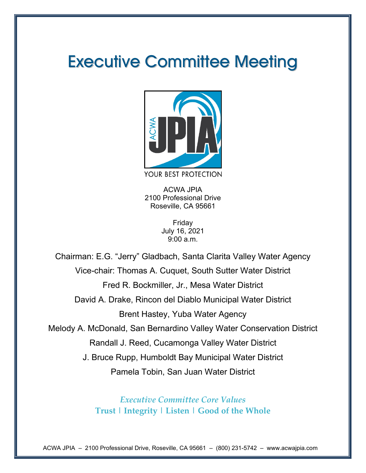# Executive Committee Meeting



ACWA JPIA

2100 Professional Drive Roseville, CA 95661

> Friday July 16, 2021 9:00 a.m.

Chairman: E.G. "Jerry" Gladbach, Santa Clarita Valley Water Agency Vice-chair: Thomas A. Cuquet, South Sutter Water District Fred R. Bockmiller, Jr., Mesa Water District David A. Drake, Rincon del Diablo Municipal Water District Brent Hastey, Yuba Water Agency Melody A. McDonald, San Bernardino Valley Water Conservation District Randall J. Reed, Cucamonga Valley Water District J. Bruce Rupp, Humboldt Bay Municipal Water District Pamela Tobin, San Juan Water District

> *Executive Committee Core Values* **Trust | Integrity | Listen | Good of the Whole**

ACWA JPIA – 2100 Professional Drive, Roseville, CA 95661 – (800) 231-5742 – www.acwajpia.com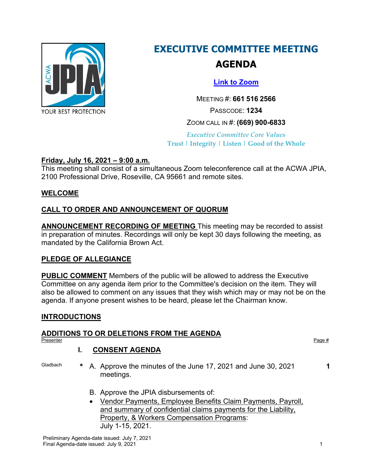

# **EXECUTIVE COMMITTEE MEETING AGENDA**

## **[Link to Zoom](https://us02web.zoom.us/j/6615162566?pwd=azhrRU1uR3ZrZVRLd0EyakthWHQ4dz09)**

MEETING #: **661 516 2566**

PASSCODE: **1234**

## ZOOM CALL IN #: **(669) 900-6833**

*Executive Committee Core Values* **Trust | Integrity | Listen | Good of the Whole**

## **Friday, July 16, 2021 – 9:00 a.m.**

This meeting shall consist of a simultaneous Zoom teleconference call at the ACWA JPIA, 2100 Professional Drive, Roseville, CA 95661 and remote sites.

## **WELCOME**

## **CALL TO ORDER AND ANNOUNCEMENT OF QUORUM**

**ANNOUNCEMENT RECORDING OF MEETING** This meeting may be recorded to assist in preparation of minutes. Recordings will only be kept 30 days following the meeting, as mandated by the California Brown Act.

## **PLEDGE OF ALLEGIANCE**

**PUBLIC COMMENT** Members of the public will be allowed to address the Executive Committee on any agenda item prior to the Committee's decision on the item. They will also be allowed to comment on any issues that they wish which may or may not be on the agenda. If anyone present wishes to be heard, please let the Chairman know.

## **INTRODUCTIONS**

# **ADDITIONS TO OR DELETIONS FROM THE AGENDA**

Presenter Page # Page # Page # Page # Page # Page # Page # Page # Page # Page # Page # Page # Page # Page # Page # Page # Page # Page # Page # Page # Page # Page # Page # Page # Page # Page # Page # Page # Page # Page # Pa

## **I. CONSENT AGENDA**

- Gladbach **\*** A. Approve the minutes of the June 17, 2021 and June 30, 2021 meetings.
	- B. Approve the JPIA disbursements of:
	- Vendor Payments, Employee Benefits Claim Payments, Payroll, and summary of confidential claims payments for the Liability, Property, & Workers Compensation Programs: July 1-15, 2021.

**1**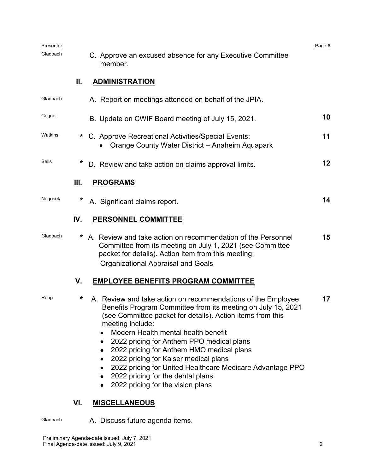| Presenter<br>Gladbach |      | Page #<br>C. Approve an excused absence for any Executive Committee<br>member.                                                                                                                                                                                                                                                                                                                                                                                                                                                       |    |  |  |  |  |  |  |
|-----------------------|------|--------------------------------------------------------------------------------------------------------------------------------------------------------------------------------------------------------------------------------------------------------------------------------------------------------------------------------------------------------------------------------------------------------------------------------------------------------------------------------------------------------------------------------------|----|--|--|--|--|--|--|
|                       | Ⅱ.   | <b>ADMINISTRATION</b>                                                                                                                                                                                                                                                                                                                                                                                                                                                                                                                |    |  |  |  |  |  |  |
| Gladbach              |      | A. Report on meetings attended on behalf of the JPIA.                                                                                                                                                                                                                                                                                                                                                                                                                                                                                |    |  |  |  |  |  |  |
| Cuquet                |      | B. Update on CWIF Board meeting of July 15, 2021.                                                                                                                                                                                                                                                                                                                                                                                                                                                                                    | 10 |  |  |  |  |  |  |
| Watkins               | *    | C. Approve Recreational Activities/Special Events:<br>Orange County Water District - Anaheim Aquapark                                                                                                                                                                                                                                                                                                                                                                                                                                | 11 |  |  |  |  |  |  |
| Sells                 | *    | D. Review and take action on claims approval limits.                                                                                                                                                                                                                                                                                                                                                                                                                                                                                 | 12 |  |  |  |  |  |  |
|                       | III. | <b>PROGRAMS</b>                                                                                                                                                                                                                                                                                                                                                                                                                                                                                                                      |    |  |  |  |  |  |  |
| Nogosek               | *    | A. Significant claims report.                                                                                                                                                                                                                                                                                                                                                                                                                                                                                                        | 14 |  |  |  |  |  |  |
|                       | IV.  | <b>PERSONNEL COMMITTEE</b>                                                                                                                                                                                                                                                                                                                                                                                                                                                                                                           |    |  |  |  |  |  |  |
| Gladbach              | *    | A. Review and take action on recommendation of the Personnel<br>Committee from its meeting on July 1, 2021 (see Committee<br>packet for details). Action item from this meeting:<br><b>Organizational Appraisal and Goals</b>                                                                                                                                                                                                                                                                                                        | 15 |  |  |  |  |  |  |
|                       | V.   | <b>EMPLOYEE BENEFITS PROGRAM COMMITTEE</b>                                                                                                                                                                                                                                                                                                                                                                                                                                                                                           |    |  |  |  |  |  |  |
| Rupp                  | *    | A. Review and take action on recommendations of the Employee<br>Benefits Program Committee from its meeting on July 15, 2021<br>(see Committee packet for details). Action items from this<br>meeting include:<br>Modern Health mental health benefit<br>2022 pricing for Anthem PPO medical plans<br>٠<br>2022 pricing for Anthem HMO medical plans<br>2022 pricing for Kaiser medical plans<br>2022 pricing for United Healthcare Medicare Advantage PPO<br>2022 pricing for the dental plans<br>2022 pricing for the vision plans | 17 |  |  |  |  |  |  |
|                       | VI.  | <b>MISCELLANEOUS</b>                                                                                                                                                                                                                                                                                                                                                                                                                                                                                                                 |    |  |  |  |  |  |  |
| Gladbach              |      | A. Discuss future agenda items.                                                                                                                                                                                                                                                                                                                                                                                                                                                                                                      |    |  |  |  |  |  |  |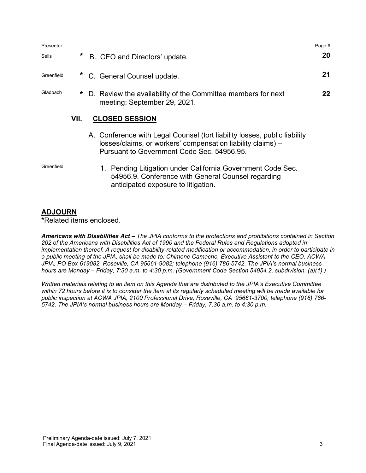| Presenter  |      |                                                                                                                                          | Page # |
|------------|------|------------------------------------------------------------------------------------------------------------------------------------------|--------|
| Sells      | *    | B. CEO and Directors' update.                                                                                                            | 20     |
| Greenfield |      | * C. General Counsel update.                                                                                                             | 21     |
| Gladbach   |      | * D. Review the availability of the Committee members for next<br>meeting: September 29, 2021.                                           | 22     |
|            | VII. | <b>CLOSED SESSION</b>                                                                                                                    |        |
|            |      | A. Conference with Legal Counsel (tort liability losses, public liability<br>losses/claims, or workers' compensation liability claims) - |        |

Pursuant to Government Code Sec. 54956.95.

Greenfield 1. Pending Litigation under California Government Code Sec. 54956.9. Conference with General Counsel regarding anticipated exposure to litigation.

#### **ADJOURN**

**\***Related items enclosed.

*Americans with Disabilities Act – The JPIA conforms to the protections and prohibitions contained in Section 202 of the Americans with Disabilities Act of 1990 and the Federal Rules and Regulations adopted in*  implementation thereof. A request for disability-related modification or accommodation, in order to participate in *a public meeting of the JPIA, shall be made to: Chimene Camacho, Executive Assistant to the CEO, ACWA JPIA, PO Box 619082, Roseville, CA 95661-9082; telephone (916) 786-5742. The JPIA's normal business hours are Monday – Friday, 7:30 a.m. to 4:30 p.m. (Government Code Section 54954.2, subdivision. (a)(1).)*

*Written materials relating to an item on this Agenda that are distributed to the JPIA's Executive Committee within 72 hours before it is to consider the item at its regularly scheduled meeting will be made available for public inspection at ACWA JPIA, 2100 Professional Drive, Roseville, CA 95661-3700; telephone (916) 786- 5742. The JPIA's normal business hours are Monday – Friday, 7:30 a.m. to 4:30 p.m.*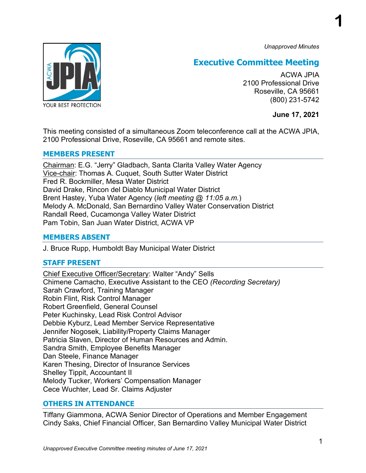*Unapproved Minutes*

**1**



## **Executive Committee Meeting**

ACWA JPIA 2100 Professional Drive Roseville, CA 95661 (800) 231-5742

**June 17, 2021**

This meeting consisted of a simultaneous Zoom teleconference call at the ACWA JPIA, 2100 Professional Drive, Roseville, CA 95661 and remote sites.

## **MEMBERS PRESENT**

Chairman: E.G. "Jerry" Gladbach, Santa Clarita Valley Water Agency Vice-chair: Thomas A. Cuquet, South Sutter Water District Fred R. Bockmiller, Mesa Water District David Drake, Rincon del Diablo Municipal Water District Brent Hastey, Yuba Water Agency (*left meeting @ 11:05 a.m.*) Melody A. McDonald, San Bernardino Valley Water Conservation District Randall Reed, Cucamonga Valley Water District Pam Tobin, San Juan Water District, ACWA VP

## **MEMBERS ABSENT**

J. Bruce Rupp, Humboldt Bay Municipal Water District

## **STAFF PRESENT**

Chief Executive Officer/Secretary: Walter "Andy" Sells Chimene Camacho, Executive Assistant to the CEO *(Recording Secretary)* Sarah Crawford, Training Manager Robin Flint, Risk Control Manager Robert Greenfield, General Counsel Peter Kuchinsky, Lead Risk Control Advisor Debbie Kyburz, Lead Member Service Representative Jennifer Nogosek, Liability/Property Claims Manager Patricia Slaven, Director of Human Resources and Admin. Sandra Smith, Employee Benefits Manager Dan Steele, Finance Manager Karen Thesing, Director of Insurance Services Shelley Tippit, Accountant II Melody Tucker, Workers' Compensation Manager Cece Wuchter, Lead Sr. Claims Adjuster

## **OTHERS IN ATTENDANCE**

Tiffany Giammona, ACWA Senior Director of Operations and Member Engagement Cindy Saks, Chief Financial Officer, San Bernardino Valley Municipal Water District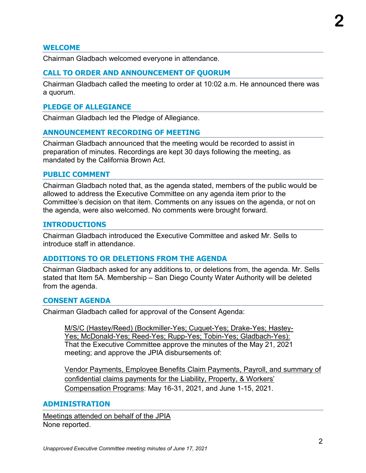## **WELCOME**

Chairman Gladbach welcomed everyone in attendance.

## **CALL TO ORDER AND ANNOUNCEMENT OF QUORUM**

Chairman Gladbach called the meeting to order at 10:02 a.m. He announced there was a quorum.

## **PLEDGE OF ALLEGIANCE**

Chairman Gladbach led the Pledge of Allegiance.

## **ANNOUNCEMENT RECORDING OF MEETING**

Chairman Gladbach announced that the meeting would be recorded to assist in preparation of minutes. Recordings are kept 30 days following the meeting, as mandated by the California Brown Act.

#### **PUBLIC COMMENT**

Chairman Gladbach noted that, as the agenda stated, members of the public would be allowed to address the Executive Committee on any agenda item prior to the Committee's decision on that item. Comments on any issues on the agenda, or not on the agenda, were also welcomed. No comments were brought forward.

## **INTRODUCTIONS**

Chairman Gladbach introduced the Executive Committee and asked Mr. Sells to introduce staff in attendance.

## **ADDITIONS TO OR DELETIONS FROM THE AGENDA**

Chairman Gladbach asked for any additions to, or deletions from, the agenda. Mr. Sells stated that Item 5A. Membership – San Diego County Water Authority will be deleted from the agenda.

## **CONSENT AGENDA**

Chairman Gladbach called for approval of the Consent Agenda:

M/S/C (Hastey/Reed) (Bockmiller-Yes; Cuquet-Yes; Drake-Yes; Hastey-Yes; McDonald-Yes; Reed-Yes; Rupp-Yes; Tobin-Yes; Gladbach-Yes): That the Executive Committee approve the minutes of the May 21, 2021 meeting; and approve the JPIA disbursements of:

Vendor Payments, Employee Benefits Claim Payments, Payroll, and summary of confidential claims payments for the Liability, Property, & Workers' Compensation Programs: May 16-31, 2021, and June 1-15, 2021.

## **ADMINISTRATION**

Meetings attended on behalf of the JPIA None reported.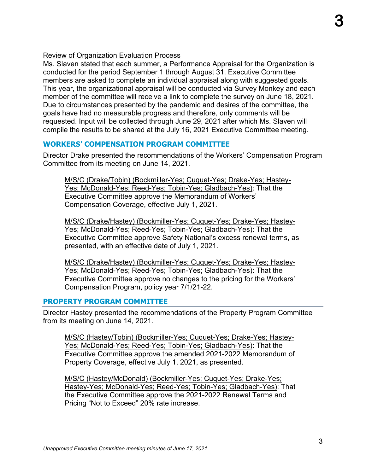## Review of Organization Evaluation Process

Ms. Slaven stated that each summer, a Performance Appraisal for the Organization is conducted for the period September 1 through August 31. Executive Committee members are asked to complete an individual appraisal along with suggested goals. This year, the organizational appraisal will be conducted via Survey Monkey and each member of the committee will receive a link to complete the survey on June 18, 2021. Due to circumstances presented by the pandemic and desires of the committee, the goals have had no measurable progress and therefore, only comments will be requested. Input will be collected through June 29, 2021 after which Ms. Slaven will compile the results to be shared at the July 16, 2021 Executive Committee meeting.

## **WORKERS' COMPENSATION PROGRAM COMMITTEE**

Director Drake presented the recommendations of the Workers' Compensation Program Committee from its meeting on June 14, 2021.

M/S/C (Drake/Tobin) (Bockmiller-Yes; Cuquet-Yes; Drake-Yes; Hastey-Yes; McDonald-Yes; Reed-Yes; Tobin-Yes; Gladbach-Yes): That the Executive Committee approve the Memorandum of Workers' Compensation Coverage, effective July 1, 2021.

M/S/C (Drake/Hastey) (Bockmiller-Yes; Cuquet-Yes; Drake-Yes; Hastey-Yes; McDonald-Yes; Reed-Yes; Tobin-Yes; Gladbach-Yes): That the Executive Committee approve Safety National's excess renewal terms, as presented, with an effective date of July 1, 2021.

M/S/C (Drake/Hastey) (Bockmiller-Yes; Cuquet-Yes; Drake-Yes; Hastey-Yes; McDonald-Yes; Reed-Yes; Tobin-Yes; Gladbach-Yes): That the Executive Committee approve no changes to the pricing for the Workers' Compensation Program, policy year 7/1/21-22.

## **PROPERTY PROGRAM COMMITTEE**

Director Hastey presented the recommendations of the Property Program Committee from its meeting on June 14, 2021.

M/S/C (Hastey/Tobin) (Bockmiller-Yes; Cuquet-Yes; Drake-Yes; Hastey-Yes; McDonald-Yes; Reed-Yes; Tobin-Yes; Gladbach-Yes): That the Executive Committee approve the amended 2021-2022 Memorandum of Property Coverage, effective July 1, 2021, as presented.

M/S/C (Hastey/McDonald) (Bockmiller-Yes; Cuquet-Yes; Drake-Yes; Hastey-Yes; McDonald-Yes; Reed-Yes; Tobin-Yes; Gladbach-Yes): That the Executive Committee approve the 2021-2022 Renewal Terms and Pricing "Not to Exceed" 20% rate increase.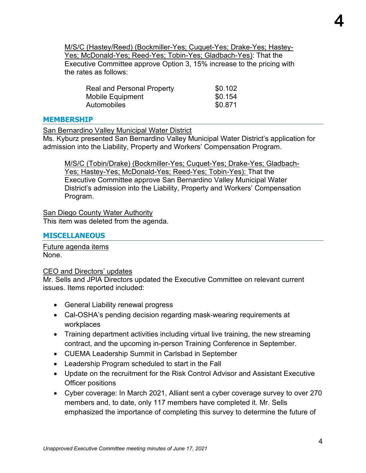M/S/C (Hastey/Reed) (Bockmiller-Yes; Cuquet-Yes; Drake-Yes; Hastey-Yes; McDonald-Yes; Reed-Yes; Tobin-Yes; Gladbach-Yes): That the Executive Committee approve Option 3, 15% increase to the pricing with the rates as follows:

| <b>Real and Personal Property</b> | \$0.102 |
|-----------------------------------|---------|
| Mobile Equipment                  | \$0.154 |
| Automobiles                       | \$0.871 |

#### **MEMBERSHIP**

San Bernardino Valley Municipal Water District

Ms. Kyburz presented San Bernardino Valley Municipal Water District's application for admission into the Liability, Property and Workers' Compensation Program.

M/S/C (Tobin/Drake) (Bockmiller-Yes; Cuquet-Yes; Drake-Yes; Gladbach-Yes; Hastey-Yes; McDonald-Yes; Reed-Yes; Tobin-Yes): That the Executive Committee approve San Bernardino Valley Municipal Water District's admission into the Liability, Property and Workers' Compensation Program.

**San Diego County Water Authority** This item was deleted from the agenda.

#### **MISCELLANEOUS**

Future agenda items None.

CEO and Directors' updates

Mr. Sells and JPIA Directors updated the Executive Committee on relevant current issues. Items reported included:

- General Liability renewal progress
- Cal-OSHA's pending decision regarding mask-wearing requirements at workplaces
- Training department activities including virtual live training, the new streaming contract, and the upcoming in-person Training Conference in September.
- CUEMA Leadership Summit in Carlsbad in September
- Leadership Program scheduled to start in the Fall
- Update on the recruitment for the Risk Control Advisor and Assistant Executive Officer positions
- Cyber coverage: In March 2021, Alliant sent a cyber coverage survey to over 270 members and, to date, only 117 members have completed it. Mr. Sells emphasized the importance of completing this survey to determine the future of

**4**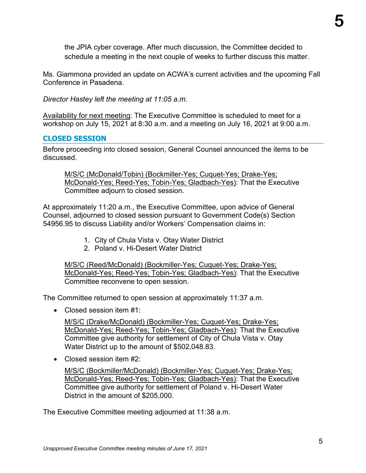the JPIA cyber coverage. After much discussion, the Committee decided to schedule a meeting in the next couple of weeks to further discuss this matter.

Ms. Giammona provided an update on ACWA's current activities and the upcoming Fall Conference in Pasadena.

*Director Hastey left the meeting at 11:05 a.m.*

Availability for next meeting: The Executive Committee is scheduled to meet for a workshop on July 15, 2021 at 8:30 a.m. and a meeting on July 16, 2021 at 9:00 a.m.

## **CLOSED SESSION**

Before proceeding into closed session, General Counsel announced the items to be discussed.

M/S/C (McDonald/Tobin) (Bockmiller-Yes; Cuquet-Yes; Drake-Yes; McDonald-Yes; Reed-Yes; Tobin-Yes; Gladbach-Yes): That the Executive Committee adjourn to closed session.

At approximately 11:20 a.m., the Executive Committee, upon advice of General Counsel, adjourned to closed session pursuant to Government Code(s) Section 54956.95 to discuss Liability and/or Workers' Compensation claims in:

- 1. City of Chula Vista v. Otay Water District
- 2. Poland v. Hi-Desert Water District

M/S/C (Reed/McDonald) (Bockmiller-Yes; Cuquet-Yes; Drake-Yes; McDonald-Yes; Reed-Yes; Tobin-Yes; Gladbach-Yes): That the Executive Committee reconvene to open session.

The Committee returned to open session at approximately 11:37 a.m.

• Closed session item #1:

M/S/C (Drake/McDonald) (Bockmiller-Yes; Cuquet-Yes; Drake-Yes; McDonald-Yes; Reed-Yes; Tobin-Yes; Gladbach-Yes): That the Executive Committee give authority for settlement of City of Chula Vista v. Otay Water District up to the amount of \$502,048.83.

• Closed session item #2:

M/S/C (Bockmiller/McDonald) (Bockmiller-Yes; Cuquet-Yes; Drake-Yes; McDonald-Yes; Reed-Yes; Tobin-Yes; Gladbach-Yes): That the Executive Committee give authority for settlement of Poland v. Hi-Desert Water District in the amount of \$205,000.

The Executive Committee meeting adjourned at 11:38 a.m.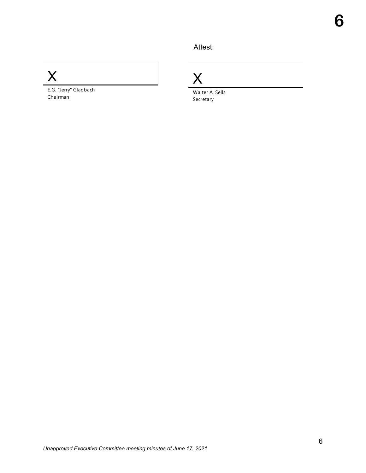Attest:



E.G. "Jerry" Gladbach Chairman

X

Walter A. Sells Secretary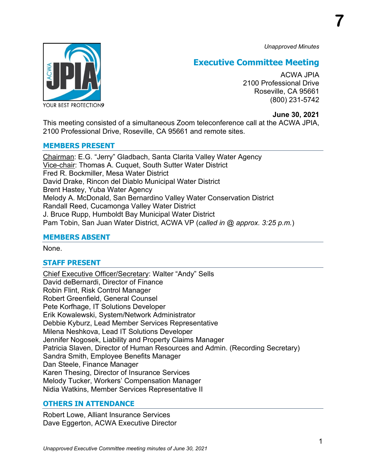*Unapproved Minutes*

**7**



## **Executive Committee Meeting**

ACWA JPIA 2100 Professional Drive Roseville, CA 95661 (800) 231-5742

## **June 30, 2021**

This meeting consisted of a simultaneous Zoom teleconference call at the ACWA JPIA, 2100 Professional Drive, Roseville, CA 95661 and remote sites.

## **MEMBERS PRESENT**

Chairman: E.G. "Jerry" Gladbach, Santa Clarita Valley Water Agency Vice-chair: Thomas A. Cuquet, South Sutter Water District Fred R. Bockmiller, Mesa Water District David Drake, Rincon del Diablo Municipal Water District Brent Hastey, Yuba Water Agency Melody A. McDonald, San Bernardino Valley Water Conservation District Randall Reed, Cucamonga Valley Water District J. Bruce Rupp, Humboldt Bay Municipal Water District Pam Tobin, San Juan Water District, ACWA VP (*called in @ approx. 3:25 p.m.*)

## **MEMBERS ABSENT**

None.

## **STAFF PRESENT**

Chief Executive Officer/Secretary: Walter "Andy" Sells David deBernardi, Director of Finance Robin Flint, Risk Control Manager Robert Greenfield, General Counsel Pete Korfhage, IT Solutions Developer Erik Kowalewski, System/Network Administrator Debbie Kyburz, Lead Member Services Representative Milena Neshkova, Lead IT Solutions Developer Jennifer Nogosek, Liability and Property Claims Manager Patricia Slaven, Director of Human Resources and Admin. (Recording Secretary) Sandra Smith, Employee Benefits Manager Dan Steele, Finance Manager Karen Thesing, Director of Insurance Services Melody Tucker, Workers' Compensation Manager Nidia Watkins, Member Services Representative II

## **OTHERS IN ATTENDANCE**

Robert Lowe, Alliant Insurance Services Dave Eggerton, ACWA Executive Director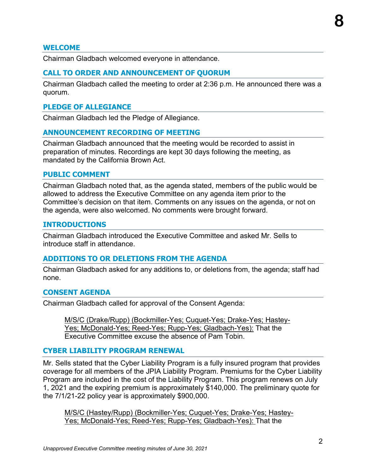## **WELCOME**

Chairman Gladbach welcomed everyone in attendance.

#### **CALL TO ORDER AND ANNOUNCEMENT OF QUORUM**

Chairman Gladbach called the meeting to order at 2:36 p.m. He announced there was a quorum.

#### **PLEDGE OF ALLEGIANCE**

Chairman Gladbach led the Pledge of Allegiance.

#### **ANNOUNCEMENT RECORDING OF MEETING**

Chairman Gladbach announced that the meeting would be recorded to assist in preparation of minutes. Recordings are kept 30 days following the meeting, as mandated by the California Brown Act.

#### **PUBLIC COMMENT**

Chairman Gladbach noted that, as the agenda stated, members of the public would be allowed to address the Executive Committee on any agenda item prior to the Committee's decision on that item. Comments on any issues on the agenda, or not on the agenda, were also welcomed. No comments were brought forward.

#### **INTRODUCTIONS**

Chairman Gladbach introduced the Executive Committee and asked Mr. Sells to introduce staff in attendance.

#### **ADDITIONS TO OR DELETIONS FROM THE AGENDA**

Chairman Gladbach asked for any additions to, or deletions from, the agenda; staff had none.

#### **CONSENT AGENDA**

Chairman Gladbach called for approval of the Consent Agenda:

M/S/C (Drake/Rupp) (Bockmiller-Yes; Cuquet-Yes; Drake-Yes; Hastey-Yes; McDonald-Yes; Reed-Yes; Rupp-Yes; Gladbach-Yes): That the Executive Committee excuse the absence of Pam Tobin.

#### **CYBER LIABILITY PROGRAM RENEWAL**

Mr. Sells stated that the Cyber Liability Program is a fully insured program that provides coverage for all members of the JPIA Liability Program. Premiums for the Cyber Liability Program are included in the cost of the Liability Program. This program renews on July 1, 2021 and the expiring premium is approximately \$140,000. The preliminary quote for the 7/1/21-22 policy year is approximately \$900,000.

M/S/C (Hastey/Rupp) (Bockmiller-Yes; Cuquet-Yes; Drake-Yes; Hastey-Yes; McDonald-Yes; Reed-Yes; Rupp-Yes; Gladbach-Yes): That the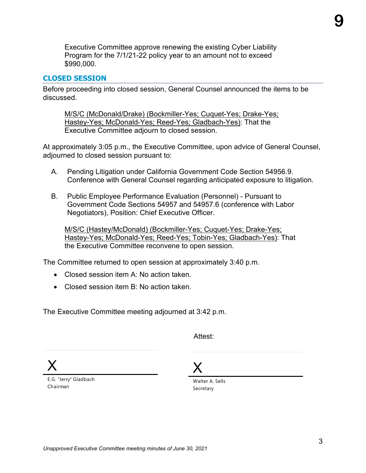Executive Committee approve renewing the existing Cyber Liability Program for the 7/1/21-22 policy year to an amount not to exceed \$990,000.

#### **CLOSED SESSION**

Before proceeding into closed session, General Counsel announced the items to be discussed.

M/S/C (McDonald/Drake) (Bockmiller-Yes; Cuquet-Yes; Drake-Yes; Hastey-Yes; McDonald-Yes; Reed-Yes; Gladbach-Yes): That the Executive Committee adjourn to closed session.

At approximately 3:05 p.m., the Executive Committee, upon advice of General Counsel, adjourned to closed session pursuant to:

- A. Pending Litigation under California Government Code Section 54956.9. Conference with General Counsel regarding anticipated exposure to litigation.
- B. Public Employee Performance Evaluation (Personnel) Pursuant to Government Code Sections 54957 and 54957.6 (conference with Labor Negotiators), Position: Chief Executive Officer.

M/S/C (Hastey/McDonald) (Bockmiller-Yes; Cuquet-Yes; Drake-Yes; Hastey-Yes; McDonald-Yes; Reed-Yes; Tobin-Yes; Gladbach-Yes): That the Executive Committee reconvene to open session.

The Committee returned to open session at approximately 3:40 p.m.

- Closed session item A: No action taken.
- Closed session item B: No action taken.

The Executive Committee meeting adjourned at 3:42 p.m.

Attest:

X

E.G. "Jerry" Gladbach Chairman

X

Walter A. Sells Secretary

**9**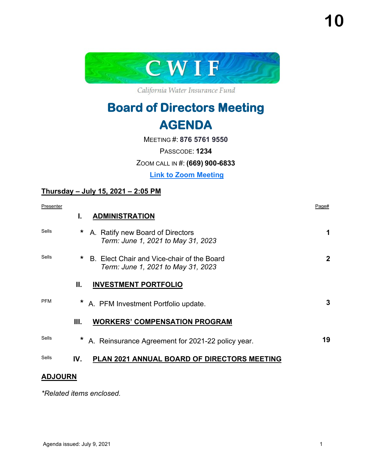

California Water Insurance Fund

# **Board of Directors Meeting AGENDA**

MEETING #: **876 5761 9550**

PASSCODE: **1234**

ZOOM CALL IN #: **(669) 900-6833**

**[Link to Zoom Meeting](https://us02web.zoom.us/j/87657619550?pwd=MU10L2F5czlsWTJCUnc2Zm1iNVE2UT09)**

## **Thursday – July 15, 2021 – 2:05 PM**

| Presenter    |         |                                                                                  | Page#        |
|--------------|---------|----------------------------------------------------------------------------------|--------------|
|              | L.      | <b>ADMINISTRATION</b>                                                            |              |
| <b>Sells</b> | *       | A. Ratify new Board of Directors<br>Term: June 1, 2021 to May 31, 2023           | 1            |
| <b>Sells</b> | $\star$ | B. Elect Chair and Vice-chair of the Board<br>Term: June 1, 2021 to May 31, 2023 | $\mathbf{2}$ |
|              | П.      | <b>INVESTMENT PORTFOLIO</b>                                                      |              |
| <b>PFM</b>   |         | A. PFM Investment Portfolio update.                                              | 3            |
|              | Ш.      | <b>WORKERS' COMPENSATION PROGRAM</b>                                             |              |
| Sells        | $\star$ | A. Reinsurance Agreement for 2021-22 policy year.                                | 19           |
| Sells        | IV.     | PLAN 2021 ANNUAL BOARD OF DIRECTORS MEETING                                      |              |

## **ADJOURN**

*\*Related items enclosed.*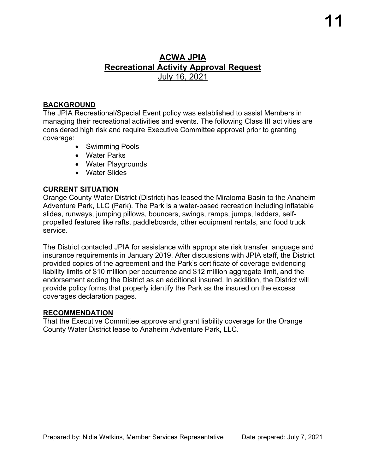## **ACWA JPIA Recreational Activity Approval Request** July 16, 2021

## **BACKGROUND**

The JPIA Recreational/Special Event policy was established to assist Members in managing their recreational activities and events. The following Class III activities are considered high risk and require Executive Committee approval prior to granting coverage:

- Swimming Pools
- Water Parks
- Water Playgrounds
- Water Slides

## **CURRENT SITUATION**

Orange County Water District (District) has leased the Miraloma Basin to the Anaheim Adventure Park, LLC (Park). The Park is a water-based recreation including inflatable slides, runways, jumping pillows, bouncers, swings, ramps, jumps, ladders, selfpropelled features like rafts, paddleboards, other equipment rentals, and food truck service.

The District contacted JPIA for assistance with appropriate risk transfer language and insurance requirements in January 2019. After discussions with JPIA staff, the District provided copies of the agreement and the Park's certificate of coverage evidencing liability limits of \$10 million per occurrence and \$12 million aggregate limit, and the endorsement adding the District as an additional insured. In addition, the District will provide policy forms that properly identify the Park as the insured on the excess coverages declaration pages.

## **RECOMMENDATION**

That the Executive Committee approve and grant liability coverage for the Orange County Water District lease to Anaheim Adventure Park, LLC.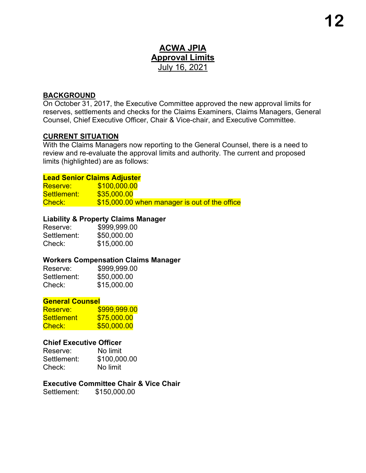## **ACWA JPIA Approval Limits** July 16, 2021

## **BACKGROUND**

On October 31, 2017, the Executive Committee approved the new approval limits for reserves, settlements and checks for the Claims Examiners, Claims Managers, General Counsel, Chief Executive Officer, Chair & Vice-chair, and Executive Committee.

#### **CURRENT SITUATION**

With the Claims Managers now reporting to the General Counsel, there is a need to review and re-evaluate the approval limits and authority. The current and proposed limits (highlighted) are as follows:

#### **Lead Senior Claims Adjuster**

Reserve: \$100,000.00 Settlement: \$35,000.00 Check:  $$15,000.00$  when manager is out of the office

## **Liability & Property Claims Manager**

| Reserve:    | \$999,999.00 |
|-------------|--------------|
| Settlement: | \$50,000.00  |
| Check:      | \$15,000.00  |

## **Workers Compensation Claims Manager**

| Reserve:    | \$999,999.00 |
|-------------|--------------|
| Settlement: | \$50,000.00  |
| Check:      | \$15,000.00  |

#### **General Counsel**

| Reserve:          | \$999,999.00 |
|-------------------|--------------|
| <b>Settlement</b> | \$75,000.00  |
| Check:            | \$50,000.00  |

#### **Chief Executive Officer**

Reserve: No limit Settlement: \$100,000.00 Check: No limit

## **Executive Committee Chair & Vice Chair**

Settlement: \$150,000.00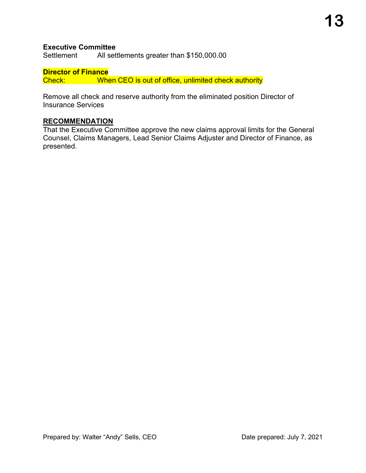## **Executive Committee**

Settlement All settlements greater than \$150,000.00

**Director of Finance** Check: When CEO is out of office, unlimited check authority

Remove all check and reserve authority from the eliminated position Director of Insurance Services

## **RECOMMENDATION**

That the Executive Committee approve the new claims approval limits for the General Counsel, Claims Managers, Lead Senior Claims Adjuster and Director of Finance, as presented.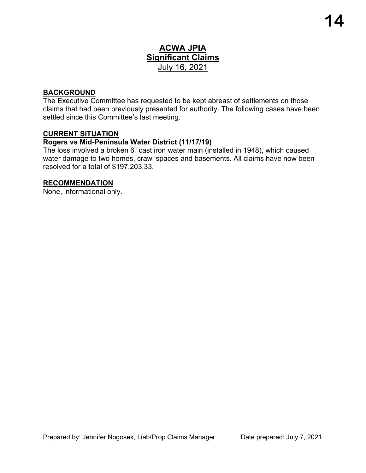## **ACWA JPIA Significant Claims** July 16, 2021

## **BACKGROUND**

The Executive Committee has requested to be kept abreast of settlements on those claims that had been previously presented for authority. The following cases have been settled since this Committee's last meeting.

## **CURRENT SITUATION**

## **Rogers vs Mid-Peninsula Water District (11/17/19)**

The loss involved a broken 6" cast iron water main (installed in 1948), which caused water damage to two homes, crawl spaces and basements. All claims have now been resolved for a total of \$197,203.33.

## **RECOMMENDATION**

None, informational only.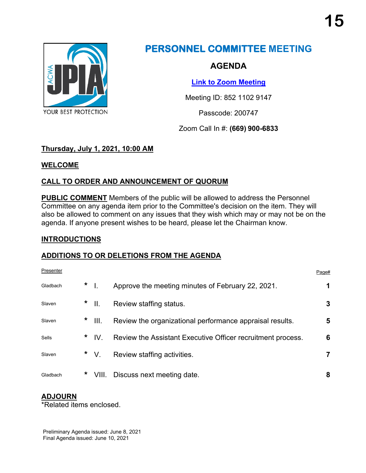

# **PERSONNEL COMMITTEE MEETING**

## **AGENDA**

**[Link to Zoom Meeting](https://us02web.zoom.us/j/85211029147?pwd=VGY4Z1VDTW5QR0hKT1BpSE5GWU0xZz09)**

Meeting ID: 852 1102 9147

Passcode: 200747

Zoom Call In #: **(669) 900-6833**

## **Thursday, July 1, 2021, 10:00 AM**

## **WELCOME**

## **CALL TO ORDER AND ANNOUNCEMENT OF QUORUM**

**PUBLIC COMMENT** Members of the public will be allowed to address the Personnel Committee on any agenda item prior to the Committee's decision on the item. They will also be allowed to comment on any issues that they wish which may or may not be on the agenda. If anyone present wishes to be heard, please let the Chairman know.

## **INTRODUCTIONS**

## **ADDITIONS TO OR DELETIONS FROM THE AGENDA**

| Presenter |     |          |                                                             | Page# |
|-----------|-----|----------|-------------------------------------------------------------|-------|
| Gladbach  | $*$ |          | Approve the meeting minutes of February 22, 2021.           |       |
| Slaven    |     | $*$      | Review staffing status.                                     | 3     |
| Slaven    |     | $*$ III. | Review the organizational performance appraisal results.    | 5     |
| Sells     |     | $*$ IV.  | Review the Assistant Executive Officer recruitment process. | 6     |
| Slaven    |     | $*$ V.   | Review staffing activities.                                 |       |
| Gladbach  | *   | VIII.    | Discuss next meeting date.                                  | 8     |

## **ADJOURN**

\*Related items enclosed.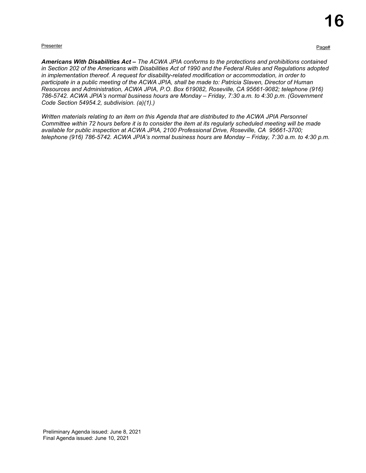#### Presenter Presenter Page to the Control of the Control of the Control of the Control of the Page to the Page to the Page to the Page to the Page to the Page to the Page to the Page to the Page to the Page to the Page to th

*Americans With Disabilities Act – The ACWA JPIA conforms to the protections and prohibitions contained in Section 202 of the Americans with Disabilities Act of 1990 and the Federal Rules and Regulations adopted in implementation thereof. A request for disability-related modification or accommodation, in order to participate in a public meeting of the ACWA JPIA, shall be made to: Patricia Slaven, Director of Human Resources and Administration, ACWA JPIA, P.O. Box 619082, Roseville, CA 95661-9082; telephone (916) 786-5742. ACWA JPIA's normal business hours are Monday – Friday, 7:30 a.m. to 4:30 p.m. (Government Code Section 54954.2, subdivision. (a)(1).)*

*Written materials relating to an item on this Agenda that are distributed to the ACWA JPIA Personnel Committee within 72 hours before it is to consider the item at its regularly scheduled meeting will be made available for public inspection at ACWA JPIA, 2100 Professional Drive, Roseville, CA 95661-3700; telephone (916) 786-5742. ACWA JPIA's normal business hours are Monday – Friday, 7:30 a.m. to 4:30 p.m.*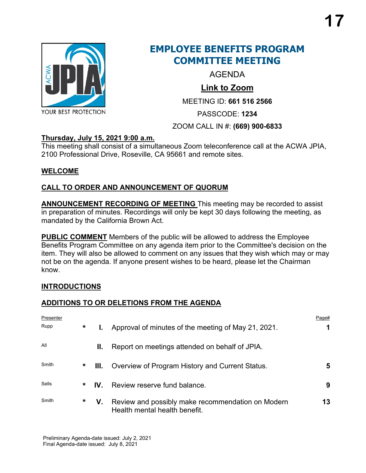

## **EMPLOYEE BENEFITS PROGRAM COMMITTEE MEETING**

AGENDA

## **[Link to Zoom](https://us02web.zoom.us/j/6615162566?pwd=azhrRU1uR3ZrZVRLd0EyakthWHQ4dz09)**

MEETING ID: **661 516 2566**

PASSCODE: **1234**

## ZOOM CALL IN #: **(669) 900-6833**

## **Thursday, July 15, 2021 9:00 a.m.**

This meeting shall consist of a simultaneous Zoom teleconference call at the ACWA JPIA, 2100 Professional Drive, Roseville, CA 95661 and remote sites.

## **WELCOME**

## **CALL TO ORDER AND ANNOUNCEMENT OF QUORUM**

**ANNOUNCEMENT RECORDING OF MEETING** This meeting may be recorded to assist in preparation of minutes. Recordings will only be kept 30 days following the meeting, as mandated by the California Brown Act.

**PUBLIC COMMENT** Members of the public will be allowed to address the Employee Benefits Program Committee on any agenda item prior to the Committee's decision on the item. They will also be allowed to comment on any issues that they wish which may or may not be on the agenda. If anyone present wishes to be heard, please let the Chairman know.

## **INTRODUCTIONS**

## **ADDITIONS TO OR DELETIONS FROM THE AGENDA**

| Presenter<br>Rupp | $\star$ | Ъ.   | Approval of minutes of the meeting of May 21, 2021.                                | Page# |
|-------------------|---------|------|------------------------------------------------------------------------------------|-------|
| All               |         | Ш.   | Report on meetings attended on behalf of JPIA.                                     |       |
| Smith             | *       | III. | Overview of Program History and Current Status.                                    | 5     |
| Sells             | *       | IV.  | Review reserve fund balance.                                                       | 9     |
| Smith             | $\star$ | V.   | Review and possibly make recommendation on Modern<br>Health mental health benefit. | 13    |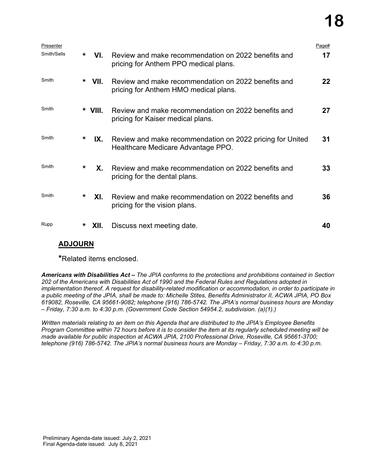# **18**

| Presenter   |         |           |                                                                                                 | Page# |
|-------------|---------|-----------|-------------------------------------------------------------------------------------------------|-------|
| Smith/Sells | $\star$ | VL.       | Review and make recommendation on 2022 benefits and<br>pricing for Anthem PPO medical plans.    | 17    |
| Smith       |         | $*$ VII.  | Review and make recommendation on 2022 benefits and<br>pricing for Anthem HMO medical plans.    | 22    |
| Smith       |         | * VIII.   | Review and make recommendation on 2022 benefits and<br>pricing for Kaiser medical plans.        | 27    |
| Smith       | $\ast$  | IX.       | Review and make recommendation on 2022 pricing for United<br>Healthcare Medicare Advantage PPO. | 31    |
| Smith       | *       | <b>X.</b> | Review and make recommendation on 2022 benefits and<br>pricing for the dental plans.            | 33    |
| Smith       | *       | XI.       | Review and make recommendation on 2022 benefits and<br>pricing for the vision plans.            | 36    |
| Rupp        | *       | XII.      | Discuss next meeting date.                                                                      | 40    |

## **ADJOURN**

**\***Related items enclosed.

*Americans with Disabilities Act – The JPIA conforms to the protections and prohibitions contained in Section 202 of the Americans with Disabilities Act of 1990 and the Federal Rules and Regulations adopted in implementation thereof. A request for disability-related modification or accommodation, in order to participate in a public meeting of the JPIA, shall be made to: Michelle Stites, Benefits Administrator II, ACWA JPIA, PO Box 619082, Roseville, CA 95661-9082; telephone (916) 786-5742. The JPIA's normal business hours are Monday – Friday, 7:30 a.m. to 4:30 p.m. (Government Code Section 54954.2, subdivision. (a)(1).)*

*Written materials relating to an item on this Agenda that are distributed to the JPIA's Employee Benefits Program Committee within 72 hours before it is to consider the item at its regularly scheduled meeting will be made available for public inspection at ACWA JPIA, 2100 Professional Drive, Roseville, CA 95661-3700; telephone (916) 786-5742. The JPIA's normal business hours are Monday – Friday, 7:30 a.m. to 4:30 p.m.*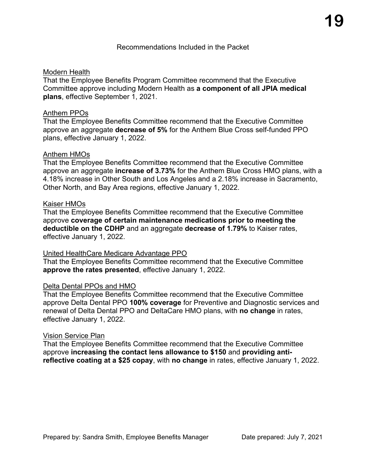## Modern Health

That the Employee Benefits Program Committee recommend that the Executive Committee approve including Modern Health as **a component of all JPIA medical plans**, effective September 1, 2021.

## Anthem PPOs

That the Employee Benefits Committee recommend that the Executive Committee approve an aggregate **decrease of 5%** for the Anthem Blue Cross self-funded PPO plans, effective January 1, 2022.

## Anthem HMOs

That the Employee Benefits Committee recommend that the Executive Committee approve an aggregate **increase of 3.73%** for the Anthem Blue Cross HMO plans, with a 4.18% increase in Other South and Los Angeles and a 2.18% increase in Sacramento, Other North, and Bay Area regions, effective January 1, 2022.

## Kaiser HMOs

That the Employee Benefits Committee recommend that the Executive Committee approve **coverage of certain maintenance medications prior to meeting the deductible on the CDHP** and an aggregate **decrease of 1.79%** to Kaiser rates, effective January 1, 2022.

## United HealthCare Medicare Advantage PPO

That the Employee Benefits Committee recommend that the Executive Committee **approve the rates presented**, effective January 1, 2022.

## Delta Dental PPOs and HMO

That the Employee Benefits Committee recommend that the Executive Committee approve Delta Dental PPO **100% coverage** for Preventive and Diagnostic services and renewal of Delta Dental PPO and DeltaCare HMO plans, with **no change** in rates, effective January 1, 2022.

## Vision Service Plan

That the Employee Benefits Committee recommend that the Executive Committee approve **increasing the contact lens allowance to \$150** and **providing antireflective coating at a \$25 copay**, with **no change** in rates, effective January 1, 2022.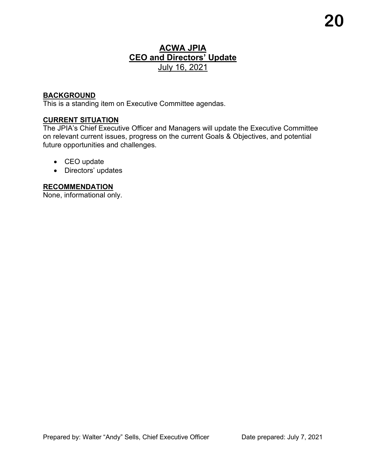## **ACWA JPIA CEO and Directors' Update** July 16, 2021

## **BACKGROUND**

This is a standing item on Executive Committee agendas.

## **CURRENT SITUATION**

The JPIA's Chief Executive Officer and Managers will update the Executive Committee on relevant current issues, progress on the current Goals & Objectives, and potential future opportunities and challenges.

- CEO update
- Directors' updates

## **RECOMMENDATION**

None, informational only.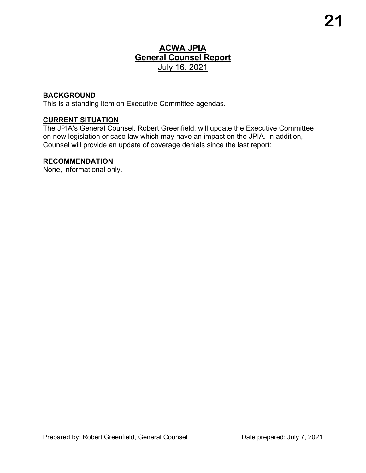## **ACWA JPIA General Counsel Report** July 16, 2021

## **BACKGROUND**

This is a standing item on Executive Committee agendas.

## **CURRENT SITUATION**

The JPIA's General Counsel, Robert Greenfield, will update the Executive Committee on new legislation or case law which may have an impact on the JPIA. In addition, Counsel will provide an update of coverage denials since the last report:

#### **RECOMMENDATION**

None, informational only.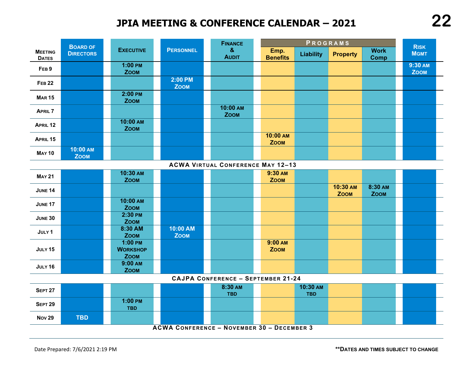# **JPIA MEETING & CONFERENCE CALENDAR – 2021**



#### **ACWA VIRTUAL CONFERENCE MAY 12–13**

| <b>MAY 21</b>  | 10:30 AM<br><b>ZOOM</b>                     |                         | 9:30 AM<br><b>ZOOM</b> |                         |                        |  |
|----------------|---------------------------------------------|-------------------------|------------------------|-------------------------|------------------------|--|
| <b>JUNE 14</b> |                                             |                         |                        | 10:30 AM<br><b>ZOOM</b> | 8:30 AM<br><b>ZOOM</b> |  |
| <b>JUNE 17</b> | 10:00 AM<br><b>ZOOM</b>                     |                         |                        |                         |                        |  |
| <b>JUNE 30</b> | 2:30 PM<br><b>ZOOM</b>                      |                         |                        |                         |                        |  |
| JULY 1         | 8:30 AM<br><b>ZOOM</b>                      | 10:00 AM<br><b>ZOOM</b> |                        |                         |                        |  |
| JULY 15        | $1:00$ PM<br><b>WORKSHOP</b><br><b>ZOOM</b> |                         | 9:00 AM<br><b>ZOOM</b> |                         |                        |  |
| <b>JULY 16</b> | 9:00 AM<br><b>ZOOM</b>                      |                         |                        |                         |                        |  |

#### **CAJPA CONFERENCE – SEPTEMBER 21-24**

| SEPT <sub>27</sub>                                |     |                         |  | 8:30 AM<br><b>TBD</b> |  | 10:30 AM<br><b>TBD</b> |  |  |  |
|---------------------------------------------------|-----|-------------------------|--|-----------------------|--|------------------------|--|--|--|
| <b>SEPT 29</b>                                    |     | $1:00$ PM<br><b>TBD</b> |  |                       |  |                        |  |  |  |
| <b>Nov 29</b>                                     | TBD |                         |  |                       |  |                        |  |  |  |
| <b>ACWA CONFERENCE - NOVEMBER 30 - DECEMBER 3</b> |     |                         |  |                       |  |                        |  |  |  |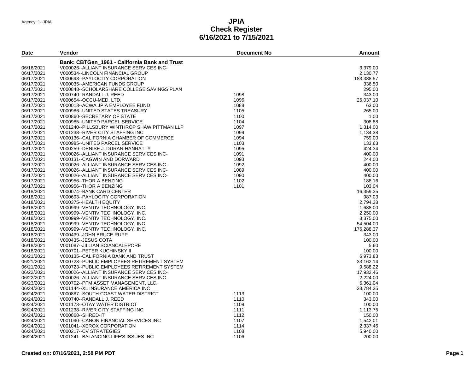| <b>Date</b> | Vendor                                        | <b>Document No</b> | <b>Amount</b> |
|-------------|-----------------------------------------------|--------------------|---------------|
|             | Bank: CBTGen 1961 - California Bank and Trust |                    |               |
| 06/16/2021  | V000026--ALLIANT INSURANCE SERVICES INC-      |                    | 3,379.00      |
| 06/17/2021  | V000534--LINCOLN FINANCIAL GROUP              |                    | 2,130.77      |
| 06/17/2021  | V000693--PAYLOCITY CORPORATION                |                    | 183,388.57    |
| 06/17/2021  | V000035--AMERICAN FUNDS GROUP                 |                    | 336.50        |
| 06/17/2021  | V000848--SCHOLARSHARE COLLEGE SAVINGS PLAN    |                    | 295.00        |
| 06/17/2021  | V000740--RANDALL J. REED                      | 1098               | 343.00        |
| 06/17/2021  | V000654--OCCU-MED, LTD.                       | 1096               | 25,037.10     |
| 06/17/2021  | V000013--ACWA JPIA EMPLOYEE FUND              | 1088               | 63.00         |
| 06/17/2021  | V000986--UNITED STATES TREASURY               | 1105               | 265.00        |
| 06/17/2021  | V000860--SECRETARY OF STATE                   | 1100               | 1.00          |
| 06/17/2021  | V000985--UNITED PARCEL SERVICE                | 1104               | 308.88        |
| 06/17/2021  | V001240--PILLSBURY WINTHROP SHAW PITTMAN LLP  | 1097               | 1,314.00      |
| 06/17/2021  | V001238--RIVER CITY STAFFING INC              | 1099               | 1,134.38      |
| 06/17/2021  | V000136--CALIFORNIA CHAMBER OF COMMERCE       | 1094               | 759.00        |
| 06/17/2021  | V000985--UNITED PARCEL SERVICE                | 1103               | 133.63        |
| 06/17/2021  | V000259--DENISE J. DURAN-HANRATTY             | 1095               | 424.34        |
| 06/17/2021  | V000026--ALLIANT INSURANCE SERVICES INC-      | 1091               | 400.00        |
| 06/17/2021  | V000131--CAGWIN AND DORWARD                   | 1093               | 244.00        |
| 06/17/2021  | V000026--ALLIANT INSURANCE SERVICES INC-      | 1092               | 400.00        |
| 06/17/2021  | V000026--ALLIANT INSURANCE SERVICES INC-      | 1089               | 400.00        |
| 06/17/2021  |                                               | 1090               | 400.00        |
|             | V000026--ALLIANT INSURANCE SERVICES INC-      | 1102               | 188.16        |
| 06/17/2021  | V000956--THOR A BENZING                       |                    |               |
| 06/17/2021  | V000956--THOR A BENZING                       | 1101               | 103.04        |
| 06/18/2021  | V000074--BANK CARD CENTER                     |                    | 16,359.35     |
| 06/18/2021  | V000693--PAYLOCITY CORPORATION                |                    | 987.03        |
| 06/18/2021  | V000375--HEALTH EQUITY                        |                    | 2,794.38      |
| 06/18/2021  | V000999--VENTIV TECHNOLOGY, INC.              |                    | 1,688.00      |
| 06/18/2021  | V000999--VENTIV TECHNOLOGY, INC.              |                    | 2,250.00      |
| 06/18/2021  | V000999--VENTIV TECHNOLOGY, INC.              |                    | 3,375.00      |
| 06/18/2021  | V000999--VENTIV TECHNOLOGY, INC.              |                    | 54,504.00     |
| 06/18/2021  | V000999--VENTIV TECHNOLOGY, INC.              |                    | 176,288.37    |
| 06/18/2021  | V000439--JOHN BRUCE RUPP                      |                    | 343.00        |
| 06/18/2021  | V000435--JESUS COTA                           |                    | 100.00        |
| 06/18/2021  | V001087--JILLIAN SCIANCALEPORE                |                    | 5.60          |
| 06/18/2021  | V000701--PETER KUCHINSKY II                   |                    | 100.00        |
| 06/21/2021  | V000135--CALIFORNIA BANK AND TRUST            |                    | 6,973.83      |
| 06/21/2021  | V000723--PUBLIC EMPLOYEES RETIREMENT SYSTEM   |                    | 33,162.14     |
| 06/21/2021  | V000723--PUBLIC EMPLOYEES RETIREMENT SYSTEM   |                    | 9,588.22      |
| 06/22/2021  | V000026--ALLIANT INSURANCE SERVICES INC-      |                    | 17,932.46     |
| 06/22/2021  | V000026--ALLIANT INSURANCE SERVICES INC-      |                    | 2,224.00      |
| 06/23/2021  | V000702--PFM ASSET MANAGEMENT, LLC.           |                    | 6,361.04      |
| 06/24/2021  | V001144--XL INSURANCE AMERICA INC             |                    | 28,784.25     |
| 06/24/2021  | V000887--SOUTH COAST WATER DISTRICT           | 1113               | 100.00        |
| 06/24/2021  | V000740--RANDALL J. REED                      | 1110               | 343.00        |
| 06/24/2021  | V001173--OTAY WATER DISTRICT                  | 1109               | 100.00        |
| 06/24/2021  | V001238--RIVER CITY STAFFING INC              | 1111               | 1,113.75      |
| 06/24/2021  | V000868--SHRED-IT                             | 1112               | 150.00        |
| 06/24/2021  | V001090--CANON FINANCIAL SERVICES INC         | 1107               | 1,542.01      |
| 06/24/2021  | V001041--XEROX CORPORATION                    | 1114               | 2,337.46      |
| 06/24/2021  | V000217--CV STRATEGIES                        | 1108               | 5,940.00      |
| 06/24/2021  | V001241--BALANCING LIFE'S ISSUES INC          | 1106               | 200.00        |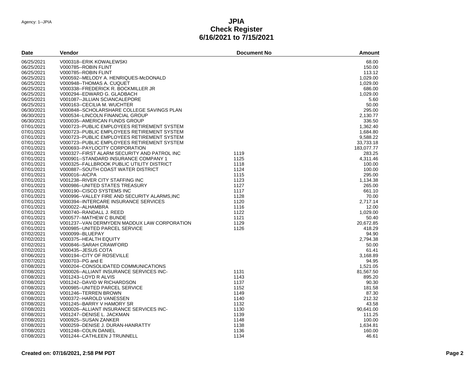| Date       | Vendor                                        | <b>Document No</b> | <b>Amount</b> |
|------------|-----------------------------------------------|--------------------|---------------|
| 06/25/2021 | V000318--ERIK KOWALEWSKI                      |                    | 68.00         |
| 06/25/2021 | V000785--ROBIN FLINT                          |                    | 150.00        |
| 06/25/2021 | V000785--ROBIN FLINT                          |                    | 113.12        |
| 06/25/2021 | V000592--MELODY A. HENRIQUES-McDONALD         |                    | 1,029.00      |
| 06/25/2021 | V000948--THOMAS A. CUQUET                     |                    | 1,029.00      |
| 06/25/2021 | V000338--FREDERICK R. BOCKMILLER JR           |                    | 686.00        |
| 06/25/2021 | V000294--EDWARD G. GLADBACH                   |                    | 1,029.00      |
| 06/25/2021 | V001087--JILLIAN SCIANCALEPORE                |                    | 5.60          |
| 06/25/2021 | V000163--CECILIA M. WUCHTER                   |                    | 50.00         |
| 06/30/2021 | V000848--SCHOLARSHARE COLLEGE SAVINGS PLAN    |                    | 295.00        |
| 06/30/2021 | V000534--LINCOLN FINANCIAL GROUP              |                    | 2.130.77      |
| 06/30/2021 | V000035--AMERICAN FUNDS GROUP                 |                    | 336.50        |
| 07/01/2021 | V000723--PUBLIC EMPLOYEES RETIREMENT SYSTEM   |                    | 1,362.40      |
| 07/01/2021 | V000723--PUBLIC EMPLOYEES RETIREMENT SYSTEM   |                    | 1,684.80      |
| 07/01/2021 | V000723--PUBLIC EMPLOYEES RETIREMENT SYSTEM   |                    | 9,588.22      |
| 07/01/2021 | V000723--PUBLIC EMPLOYEES RETIREMENT SYSTEM   |                    | 33,733.18     |
| 07/01/2021 | V000693--PAYLOCITY CORPORATION                |                    | 183,077.77    |
| 07/01/2021 | V000327--FIRST ALARM SECURITY AND PATROL INC  | 1119               | 283.25        |
| 07/01/2021 | V000901--STANDARD INSURANCE COMPANY 1         | 1125               | 4,311.46      |
| 07/01/2021 | V000325--FALLBROOK PUBLIC UTILITY DISTRICT    | 1118               | 100.00        |
| 07/01/2021 | V000887--SOUTH COAST WATER DISTRICT           | 1124               | 100.00        |
| 07/01/2021 | V000016--AICPA                                | 1115               | 295.00        |
| 07/01/2021 | V001238--RIVER CITY STAFFING INC              | 1123               | 1,134.38      |
| 07/01/2021 | V000986--UNITED STATES TREASURY               | 1127               | 265.00        |
| 07/01/2021 | V000190--CISCO SYSTEMS INC                    | 1117               | 661.10        |
| 07/01/2021 | V000996--VALLEY FIRE AND SECURITY ALARMS, INC | 1128               | 70.00         |
| 07/01/2021 | V000394--INTERCARE INSURANCE SERVICES         | 1120               | 2,717.14      |
| 07/01/2021 | V000022--ALHAMBRA                             | 1116               | 12.00         |
| 07/01/2021 | V000740--RANDALL J. REED                      | 1122               | 1,029.00      |
| 07/01/2021 | V000577--MATHEW C BUNDE                       | 1121               | 50.40         |
| 07/01/2021 | V001237--VAN DERMYDEN MADDUX LAW CORPORATION  | 1129               | 20,672.85     |
| 07/01/2021 | V000985--UNITED PARCEL SERVICE                | 1126               | 418.29        |
| 07/02/2021 | V000099--BLUEPAY                              |                    | 94.90         |
| 07/02/2021 | V000375--HEALTH EQUITY                        |                    | 2,794.38      |
| 07/02/2021 | V000846-SARAH CRAWFORD                        |                    | 50.00         |
| 07/02/2021 | V000435--JESUS COTA                           |                    | 61.41         |
| 07/06/2021 | V000194--CITY OF ROSEVILLE                    |                    | 3,168.89      |
| 07/07/2021 | V000703--PG and E                             |                    | 94.95         |
| 07/08/2021 | V000204--CONSOLIDATED COMMUNICATIONS          |                    | 1,521.05      |
| 07/08/2021 | V000026--ALLIANT INSURANCE SERVICES INC-      | 1131               | 81,567.50     |
| 07/08/2021 | V001243--LOYD R ALVIS                         | 1143               | 895.20        |
| 07/08/2021 | V001242--DAVID W RICHARDSON                   | 1137               | 90.30         |
| 07/08/2021 | V000985--UNITED PARCEL SERVICE                | 1152               | 181.58        |
| 07/08/2021 | V001246--TERREN BROWN                         | 1149               | 87.30         |
| 07/08/2021 | V000372--HAROLD VANESSEN                      | 1140               | 212.32        |
| 07/08/2021 | V001245--BARRY V HAMORY SR                    | 1132               | 43.58         |
| 07/08/2021 | V000026--ALLIANT INSURANCE SERVICES INC-      | 1130               | 90,641.00     |
| 07/08/2021 | V001247--DENISE L. JACKMAN                    | 1139               | 111.25        |
| 07/08/2021 | V000925--SUSAN ZANKER                         | 1148               | 100.00        |
| 07/08/2021 | V000259--DENISE J. DURAN-HANRATTY             | 1138               | 1,634.81      |
| 07/08/2021 | V001248--COLIN DANIEL                         | 1136               | 160.00        |
| 07/08/2021 | V001244--CATHLEEN J TRUNNELL                  | 1134               | 46.61         |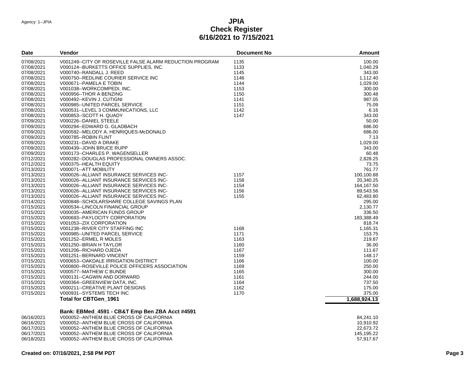| <b>Date</b> | Vendor                                                   | <b>Document No</b> | <b>Amount</b> |
|-------------|----------------------------------------------------------|--------------------|---------------|
| 07/08/2021  | V001249--CITY OF ROSEVILLE FALSE ALARM REDUCTION PROGRAM | 1135               | 100.00        |
| 07/08/2021  | V000124--BURKETTS OFFICE SUPPLIES, INC.                  | 1133               | 1,040.29      |
| 07/08/2021  | V000740--RANDALL J. REED                                 | 1145               | 343.00        |
| 07/08/2021  | V000750--REDLINE COURIER SERVICE INC                     | 1146               | 1,112.40      |
| 07/08/2021  | V000671--PAMELA E TOBIN                                  | 1144               | 1,029.00      |
| 07/08/2021  | V001038--WORKCOMPEDI, INC.                               | 1153               | 300.00        |
| 07/08/2021  | V000956-THOR A BENZING                                   | 1150               | 300.48        |
| 07/08/2021  | V000492 -- KEVIN J. CUTIGNI                              | 1141               | 987.05        |
| 07/08/2021  | V000985--UNITED PARCEL SERVICE                           | 1151               | 75.09         |
| 07/08/2021  | V000531--LEVEL 3 COMMUNICATIONS, LLC                     | 1142               | 6.16          |
| 07/08/2021  | V000853-SCOTT H. QUADY                                   | 1147               | 343.00        |
| 07/09/2021  | V000226--DANIEL STEELE                                   |                    | 50.00         |
| 07/09/2021  | V000294--EDWARD G. GLADBACH                              |                    | 686.00        |
| 07/09/2021  | V000592--MELODY A. HENRIQUES-McDONALD                    |                    | 686.00        |
| 07/09/2021  | V000785--ROBIN FLINT                                     |                    | 7.13          |
| 07/09/2021  | V000231--DAVID A DRAKE                                   |                    | 1,029.00      |
| 07/09/2021  | V000439--JOHN BRUCE RUPP                                 |                    | 343.00        |
| 07/09/2021  | V000173--CHARLES P. WAGENSELLER                          |                    | 60.48         |
| 07/12/2021  | V000282--DOUGLAS PROFESSIONAL OWNERS ASSOC.              |                    | 2,828.25      |
| 07/12/2021  | V000375--HEALTH EQUITY                                   |                    | 73.75         |
| 07/13/2021  | V000071--ATT MOBILITY                                    |                    | 761.77        |
| 07/13/2021  | V000026--ALLIANT INSURANCE SERVICES INC-                 | 1157               | 100,100.88    |
| 07/13/2021  | V000026--ALLIANT INSURANCE SERVICES INC-                 | 1158               | 20,340.25     |
| 07/13/2021  | V000026--ALLIANT INSURANCE SERVICES INC-                 | 1154               | 164,167.50    |
| 07/13/2021  | V000026--ALLIANT INSURANCE SERVICES INC-                 | 1156               | 89,543.56     |
| 07/13/2021  | V000026--ALLIANT INSURANCE SERVICES INC-                 | 1155               | 62,483.80     |
| 07/14/2021  | V000848--SCHOLARSHARE COLLEGE SAVINGS PLAN               |                    | 295.00        |
| 07/15/2021  | V000534--LINCOLN FINANCIAL GROUP                         |                    | 2.130.77      |
| 07/15/2021  | V000035--AMERICAN FUNDS GROUP                            |                    | 336.50        |
| 07/15/2021  | V000693--PAYLOCITY CORPORATION                           |                    | 183,388.49    |
| 07/15/2021  | V001053--ZIX CORPORATION                                 |                    | 818.74        |
| 07/15/2021  | V001238--RIVER CITY STAFFING INC                         | 1168               | 1,165.31      |
| 07/15/2021  | V000985--UNITED PARCEL SERVICE                           | 1171               | 153.75        |
| 07/15/2021  | V001252-ERMEL R MOLES                                    | 1163               | 219.87        |
| 07/15/2021  | V001250--BRIAN H TAYLOR                                  | 1160               | 36.00         |
| 07/15/2021  | V001206--RICHARD OJEDA                                   | 1167               | 111.67        |
| 07/15/2021  | V001251--BERNARD VINCENT                                 | 1159               | 148.17        |
| 07/15/2021  | V000653--OAKDALE IRRIGATION DISTRICT                     | 1166               | 100.00        |
| 07/15/2021  | V000800--ROSEVILLE POLICE OFFICERS ASSOCIATION           | 1169               | 250.00        |
| 07/15/2021  | V000577--MATHEW C BUNDE                                  | 1165               | 300.00        |
| 07/15/2021  | V000131--CAGWIN AND DORWARD                              | 1161               | 244.00        |
| 07/15/2021  | V000364--GREENVIEW DATA, INC.                            | 1164               | 737.50        |
| 07/15/2021  | V000211--CREATIVE PLANT DESIGNS                          | 1162               | 175.00        |
| 07/15/2021  | V000931--SYSTEMS TECH INC                                | 1170               | 375.00        |
|             | Total for CBTGen_1961                                    |                    | 1,688,924.13  |
|             |                                                          |                    |               |
|             | Bank: EBMed_4591 - CB&T Emp Ben ZBA Acct #4591           |                    |               |

#### 06/16/2021 V000052--ANTHEM BLUE CROSS OF CALIFORNIA<br>06/16/2021 V000052--ANTHEM BLUE CROSS OF CALIFORNIA 1 84,241.10 06/16/2021 V000052--ANTHEM BLUE CROSS OF CALIFORNIA<br>06/17/2021 V000052--ANTHEM BLUE CROSS OF CALIFORNIA 1 1 10,910.92 22,673.72 06/17/2021 V000052--ANTHEM BLUE CROSS OF CALIFORNIA<br>06/17/2021 V000052--ANTHEM BLUE CROSS OF CALIFORNIA 1 22,673.72 06/17/2021 V000052--ANTHEM BLUE CROSS OF CALIFORNIA<br>06/18/2021 V000052--ANTHEM BLUE CROSS OF CALIFORNIA V000052--ANTHEM BLUE CROSS OF CALIFORNIA 1 57,917.67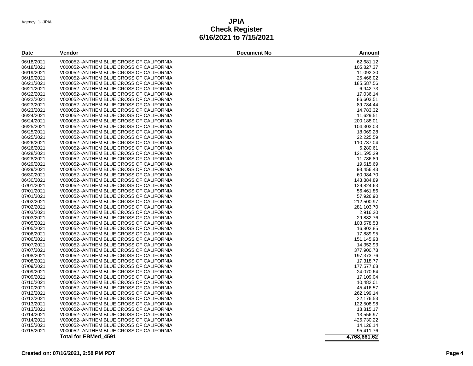| 06/18/2021<br>V000052--ANTHEM BLUE CROSS OF CALIFORNIA<br>62,681.12<br>06/18/2021<br>V000052--ANTHEM BLUE CROSS OF CALIFORNIA<br>105,827.37<br>11,092.30<br>06/19/2021<br>V000052--ANTHEM BLUE CROSS OF CALIFORNIA<br>06/19/2021<br>V000052--ANTHEM BLUE CROSS OF CALIFORNIA<br>25,466.02<br>06/21/2021<br>V000052--ANTHEM BLUE CROSS OF CALIFORNIA<br>185,587.56<br>06/21/2021<br>V000052--ANTHEM BLUE CROSS OF CALIFORNIA<br>6,942.73<br>06/22/2021<br>V000052--ANTHEM BLUE CROSS OF CALIFORNIA<br>17,036.14<br>06/22/2021<br>86,603.51<br>V000052--ANTHEM BLUE CROSS OF CALIFORNIA<br>06/23/2021<br>89,784.44<br>V000052--ANTHEM BLUE CROSS OF CALIFORNIA<br>06/23/2021<br>V000052--ANTHEM BLUE CROSS OF CALIFORNIA<br>14,783.32<br>06/24/2021<br>V000052--ANTHEM BLUE CROSS OF CALIFORNIA<br>11,629.51<br>06/24/2021<br>V000052--ANTHEM BLUE CROSS OF CALIFORNIA<br>200,188.01<br>06/25/2021<br>V000052--ANTHEM BLUE CROSS OF CALIFORNIA<br>104,303.03<br>06/25/2021<br>V000052--ANTHEM BLUE CROSS OF CALIFORNIA<br>18,069.28<br>06/25/2021<br>22,225.59<br>V000052--ANTHEM BLUE CROSS OF CALIFORNIA<br>06/26/2021<br>V000052--ANTHEM BLUE CROSS OF CALIFORNIA<br>110,737.04<br>06/26/2021<br>V000052--ANTHEM BLUE CROSS OF CALIFORNIA<br>6,280.61<br>06/28/2021<br>V000052--ANTHEM BLUE CROSS OF CALIFORNIA<br>121,595.39<br>06/28/2021<br>V000052--ANTHEM BLUE CROSS OF CALIFORNIA<br>11,786.89<br>06/29/2021<br>V000052--ANTHEM BLUE CROSS OF CALIFORNIA<br>19,615.69<br>06/29/2021<br>V000052--ANTHEM BLUE CROSS OF CALIFORNIA<br>93,456.43<br>06/30/2021<br>V000052--ANTHEM BLUE CROSS OF CALIFORNIA<br>60,984.70<br>06/30/2021<br>V000052--ANTHEM BLUE CROSS OF CALIFORNIA<br>143,884.89<br>07/01/2021<br>129,824.63<br>V000052--ANTHEM BLUE CROSS OF CALIFORNIA<br>07/01/2021<br>V000052--ANTHEM BLUE CROSS OF CALIFORNIA<br>56,461.86<br>07/01/2021<br>V000052--ANTHEM BLUE CROSS OF CALIFORNIA<br>57,926.90<br>07/02/2021<br>V000052--ANTHEM BLUE CROSS OF CALIFORNIA<br>212,500.97<br>07/02/2021<br>V000052--ANTHEM BLUE CROSS OF CALIFORNIA<br>281,103.70<br>07/03/2021<br>V000052--ANTHEM BLUE CROSS OF CALIFORNIA<br>2.916.20<br>29,882.76<br>07/03/2021<br>V000052--ANTHEM BLUE CROSS OF CALIFORNIA<br>07/05/2021<br>V000052--ANTHEM BLUE CROSS OF CALIFORNIA<br>103,578.53<br>07/05/2021<br>V000052--ANTHEM BLUE CROSS OF CALIFORNIA<br>16,802.85<br>V000052--ANTHEM BLUE CROSS OF CALIFORNIA<br>17,889.95<br>07/06/2021<br>V000052--ANTHEM BLUE CROSS OF CALIFORNIA<br>151,145.98<br>07/07/2021<br>V000052--ANTHEM BLUE CROSS OF CALIFORNIA<br>14,352.93<br>07/07/2021<br>V000052--ANTHEM BLUE CROSS OF CALIFORNIA<br>377,900.78<br>07/08/2021<br>V000052--ANTHEM BLUE CROSS OF CALIFORNIA<br>197,373.76<br>07/08/2021<br>V000052--ANTHEM BLUE CROSS OF CALIFORNIA<br>17,318.77<br>07/09/2021<br>V000052--ANTHEM BLUE CROSS OF CALIFORNIA<br>177,577.68<br>07/09/2021<br>V000052--ANTHEM BLUE CROSS OF CALIFORNIA<br>24,070.64<br>07/09/2021<br>V000052--ANTHEM BLUE CROSS OF CALIFORNIA<br>17,109.04<br>07/10/2021<br>V000052--ANTHEM BLUE CROSS OF CALIFORNIA<br>10,482.01<br>07/10/2021<br>V000052--ANTHEM BLUE CROSS OF CALIFORNIA<br>45,416.57<br>07/12/2021<br>V000052--ANTHEM BLUE CROSS OF CALIFORNIA<br>262,199.14<br>07/12/2021<br>V000052--ANTHEM BLUE CROSS OF CALIFORNIA<br>22,176.53<br>07/13/2021<br>V000052--ANTHEM BLUE CROSS OF CALIFORNIA<br>122,508.98<br>07/13/2021<br>V000052--ANTHEM BLUE CROSS OF CALIFORNIA<br>18,815.17<br>07/14/2021<br>V000052--ANTHEM BLUE CROSS OF CALIFORNIA<br>13,556.97<br>07/14/2021<br>V000052--ANTHEM BLUE CROSS OF CALIFORNIA<br>426,730.22<br>07/15/2021<br>V000052--ANTHEM BLUE CROSS OF CALIFORNIA<br>14,126.14<br>07/15/2021<br>V000052--ANTHEM BLUE CROSS OF CALIFORNIA<br>95,411.76 | Date       | Vendor               | <b>Document No</b> | Amount       |
|--------------------------------------------------------------------------------------------------------------------------------------------------------------------------------------------------------------------------------------------------------------------------------------------------------------------------------------------------------------------------------------------------------------------------------------------------------------------------------------------------------------------------------------------------------------------------------------------------------------------------------------------------------------------------------------------------------------------------------------------------------------------------------------------------------------------------------------------------------------------------------------------------------------------------------------------------------------------------------------------------------------------------------------------------------------------------------------------------------------------------------------------------------------------------------------------------------------------------------------------------------------------------------------------------------------------------------------------------------------------------------------------------------------------------------------------------------------------------------------------------------------------------------------------------------------------------------------------------------------------------------------------------------------------------------------------------------------------------------------------------------------------------------------------------------------------------------------------------------------------------------------------------------------------------------------------------------------------------------------------------------------------------------------------------------------------------------------------------------------------------------------------------------------------------------------------------------------------------------------------------------------------------------------------------------------------------------------------------------------------------------------------------------------------------------------------------------------------------------------------------------------------------------------------------------------------------------------------------------------------------------------------------------------------------------------------------------------------------------------------------------------------------------------------------------------------------------------------------------------------------------------------------------------------------------------------------------------------------------------------------------------------------------------------------------------------------------------------------------------------------------------------------------------------------------------------------------------------------------------------------------------------------------------------------------------------------------------------------------------------------------------------------------------------------------------------------------------------------------------------------------------------------------------------------------------------------------------------------------------------------------------------------------------------------------------------------------------------------------------------------------------------|------------|----------------------|--------------------|--------------|
|                                                                                                                                                                                                                                                                                                                                                                                                                                                                                                                                                                                                                                                                                                                                                                                                                                                                                                                                                                                                                                                                                                                                                                                                                                                                                                                                                                                                                                                                                                                                                                                                                                                                                                                                                                                                                                                                                                                                                                                                                                                                                                                                                                                                                                                                                                                                                                                                                                                                                                                                                                                                                                                                                                                                                                                                                                                                                                                                                                                                                                                                                                                                                                                                                                                                                                                                                                                                                                                                                                                                                                                                                                                                                                                                                                    |            |                      |                    |              |
|                                                                                                                                                                                                                                                                                                                                                                                                                                                                                                                                                                                                                                                                                                                                                                                                                                                                                                                                                                                                                                                                                                                                                                                                                                                                                                                                                                                                                                                                                                                                                                                                                                                                                                                                                                                                                                                                                                                                                                                                                                                                                                                                                                                                                                                                                                                                                                                                                                                                                                                                                                                                                                                                                                                                                                                                                                                                                                                                                                                                                                                                                                                                                                                                                                                                                                                                                                                                                                                                                                                                                                                                                                                                                                                                                                    |            |                      |                    |              |
|                                                                                                                                                                                                                                                                                                                                                                                                                                                                                                                                                                                                                                                                                                                                                                                                                                                                                                                                                                                                                                                                                                                                                                                                                                                                                                                                                                                                                                                                                                                                                                                                                                                                                                                                                                                                                                                                                                                                                                                                                                                                                                                                                                                                                                                                                                                                                                                                                                                                                                                                                                                                                                                                                                                                                                                                                                                                                                                                                                                                                                                                                                                                                                                                                                                                                                                                                                                                                                                                                                                                                                                                                                                                                                                                                                    |            |                      |                    |              |
|                                                                                                                                                                                                                                                                                                                                                                                                                                                                                                                                                                                                                                                                                                                                                                                                                                                                                                                                                                                                                                                                                                                                                                                                                                                                                                                                                                                                                                                                                                                                                                                                                                                                                                                                                                                                                                                                                                                                                                                                                                                                                                                                                                                                                                                                                                                                                                                                                                                                                                                                                                                                                                                                                                                                                                                                                                                                                                                                                                                                                                                                                                                                                                                                                                                                                                                                                                                                                                                                                                                                                                                                                                                                                                                                                                    |            |                      |                    |              |
|                                                                                                                                                                                                                                                                                                                                                                                                                                                                                                                                                                                                                                                                                                                                                                                                                                                                                                                                                                                                                                                                                                                                                                                                                                                                                                                                                                                                                                                                                                                                                                                                                                                                                                                                                                                                                                                                                                                                                                                                                                                                                                                                                                                                                                                                                                                                                                                                                                                                                                                                                                                                                                                                                                                                                                                                                                                                                                                                                                                                                                                                                                                                                                                                                                                                                                                                                                                                                                                                                                                                                                                                                                                                                                                                                                    |            |                      |                    |              |
|                                                                                                                                                                                                                                                                                                                                                                                                                                                                                                                                                                                                                                                                                                                                                                                                                                                                                                                                                                                                                                                                                                                                                                                                                                                                                                                                                                                                                                                                                                                                                                                                                                                                                                                                                                                                                                                                                                                                                                                                                                                                                                                                                                                                                                                                                                                                                                                                                                                                                                                                                                                                                                                                                                                                                                                                                                                                                                                                                                                                                                                                                                                                                                                                                                                                                                                                                                                                                                                                                                                                                                                                                                                                                                                                                                    |            |                      |                    |              |
|                                                                                                                                                                                                                                                                                                                                                                                                                                                                                                                                                                                                                                                                                                                                                                                                                                                                                                                                                                                                                                                                                                                                                                                                                                                                                                                                                                                                                                                                                                                                                                                                                                                                                                                                                                                                                                                                                                                                                                                                                                                                                                                                                                                                                                                                                                                                                                                                                                                                                                                                                                                                                                                                                                                                                                                                                                                                                                                                                                                                                                                                                                                                                                                                                                                                                                                                                                                                                                                                                                                                                                                                                                                                                                                                                                    |            |                      |                    |              |
|                                                                                                                                                                                                                                                                                                                                                                                                                                                                                                                                                                                                                                                                                                                                                                                                                                                                                                                                                                                                                                                                                                                                                                                                                                                                                                                                                                                                                                                                                                                                                                                                                                                                                                                                                                                                                                                                                                                                                                                                                                                                                                                                                                                                                                                                                                                                                                                                                                                                                                                                                                                                                                                                                                                                                                                                                                                                                                                                                                                                                                                                                                                                                                                                                                                                                                                                                                                                                                                                                                                                                                                                                                                                                                                                                                    |            |                      |                    |              |
|                                                                                                                                                                                                                                                                                                                                                                                                                                                                                                                                                                                                                                                                                                                                                                                                                                                                                                                                                                                                                                                                                                                                                                                                                                                                                                                                                                                                                                                                                                                                                                                                                                                                                                                                                                                                                                                                                                                                                                                                                                                                                                                                                                                                                                                                                                                                                                                                                                                                                                                                                                                                                                                                                                                                                                                                                                                                                                                                                                                                                                                                                                                                                                                                                                                                                                                                                                                                                                                                                                                                                                                                                                                                                                                                                                    |            |                      |                    |              |
|                                                                                                                                                                                                                                                                                                                                                                                                                                                                                                                                                                                                                                                                                                                                                                                                                                                                                                                                                                                                                                                                                                                                                                                                                                                                                                                                                                                                                                                                                                                                                                                                                                                                                                                                                                                                                                                                                                                                                                                                                                                                                                                                                                                                                                                                                                                                                                                                                                                                                                                                                                                                                                                                                                                                                                                                                                                                                                                                                                                                                                                                                                                                                                                                                                                                                                                                                                                                                                                                                                                                                                                                                                                                                                                                                                    |            |                      |                    |              |
|                                                                                                                                                                                                                                                                                                                                                                                                                                                                                                                                                                                                                                                                                                                                                                                                                                                                                                                                                                                                                                                                                                                                                                                                                                                                                                                                                                                                                                                                                                                                                                                                                                                                                                                                                                                                                                                                                                                                                                                                                                                                                                                                                                                                                                                                                                                                                                                                                                                                                                                                                                                                                                                                                                                                                                                                                                                                                                                                                                                                                                                                                                                                                                                                                                                                                                                                                                                                                                                                                                                                                                                                                                                                                                                                                                    |            |                      |                    |              |
|                                                                                                                                                                                                                                                                                                                                                                                                                                                                                                                                                                                                                                                                                                                                                                                                                                                                                                                                                                                                                                                                                                                                                                                                                                                                                                                                                                                                                                                                                                                                                                                                                                                                                                                                                                                                                                                                                                                                                                                                                                                                                                                                                                                                                                                                                                                                                                                                                                                                                                                                                                                                                                                                                                                                                                                                                                                                                                                                                                                                                                                                                                                                                                                                                                                                                                                                                                                                                                                                                                                                                                                                                                                                                                                                                                    |            |                      |                    |              |
|                                                                                                                                                                                                                                                                                                                                                                                                                                                                                                                                                                                                                                                                                                                                                                                                                                                                                                                                                                                                                                                                                                                                                                                                                                                                                                                                                                                                                                                                                                                                                                                                                                                                                                                                                                                                                                                                                                                                                                                                                                                                                                                                                                                                                                                                                                                                                                                                                                                                                                                                                                                                                                                                                                                                                                                                                                                                                                                                                                                                                                                                                                                                                                                                                                                                                                                                                                                                                                                                                                                                                                                                                                                                                                                                                                    |            |                      |                    |              |
|                                                                                                                                                                                                                                                                                                                                                                                                                                                                                                                                                                                                                                                                                                                                                                                                                                                                                                                                                                                                                                                                                                                                                                                                                                                                                                                                                                                                                                                                                                                                                                                                                                                                                                                                                                                                                                                                                                                                                                                                                                                                                                                                                                                                                                                                                                                                                                                                                                                                                                                                                                                                                                                                                                                                                                                                                                                                                                                                                                                                                                                                                                                                                                                                                                                                                                                                                                                                                                                                                                                                                                                                                                                                                                                                                                    |            |                      |                    |              |
|                                                                                                                                                                                                                                                                                                                                                                                                                                                                                                                                                                                                                                                                                                                                                                                                                                                                                                                                                                                                                                                                                                                                                                                                                                                                                                                                                                                                                                                                                                                                                                                                                                                                                                                                                                                                                                                                                                                                                                                                                                                                                                                                                                                                                                                                                                                                                                                                                                                                                                                                                                                                                                                                                                                                                                                                                                                                                                                                                                                                                                                                                                                                                                                                                                                                                                                                                                                                                                                                                                                                                                                                                                                                                                                                                                    |            |                      |                    |              |
|                                                                                                                                                                                                                                                                                                                                                                                                                                                                                                                                                                                                                                                                                                                                                                                                                                                                                                                                                                                                                                                                                                                                                                                                                                                                                                                                                                                                                                                                                                                                                                                                                                                                                                                                                                                                                                                                                                                                                                                                                                                                                                                                                                                                                                                                                                                                                                                                                                                                                                                                                                                                                                                                                                                                                                                                                                                                                                                                                                                                                                                                                                                                                                                                                                                                                                                                                                                                                                                                                                                                                                                                                                                                                                                                                                    |            |                      |                    |              |
|                                                                                                                                                                                                                                                                                                                                                                                                                                                                                                                                                                                                                                                                                                                                                                                                                                                                                                                                                                                                                                                                                                                                                                                                                                                                                                                                                                                                                                                                                                                                                                                                                                                                                                                                                                                                                                                                                                                                                                                                                                                                                                                                                                                                                                                                                                                                                                                                                                                                                                                                                                                                                                                                                                                                                                                                                                                                                                                                                                                                                                                                                                                                                                                                                                                                                                                                                                                                                                                                                                                                                                                                                                                                                                                                                                    |            |                      |                    |              |
|                                                                                                                                                                                                                                                                                                                                                                                                                                                                                                                                                                                                                                                                                                                                                                                                                                                                                                                                                                                                                                                                                                                                                                                                                                                                                                                                                                                                                                                                                                                                                                                                                                                                                                                                                                                                                                                                                                                                                                                                                                                                                                                                                                                                                                                                                                                                                                                                                                                                                                                                                                                                                                                                                                                                                                                                                                                                                                                                                                                                                                                                                                                                                                                                                                                                                                                                                                                                                                                                                                                                                                                                                                                                                                                                                                    |            |                      |                    |              |
|                                                                                                                                                                                                                                                                                                                                                                                                                                                                                                                                                                                                                                                                                                                                                                                                                                                                                                                                                                                                                                                                                                                                                                                                                                                                                                                                                                                                                                                                                                                                                                                                                                                                                                                                                                                                                                                                                                                                                                                                                                                                                                                                                                                                                                                                                                                                                                                                                                                                                                                                                                                                                                                                                                                                                                                                                                                                                                                                                                                                                                                                                                                                                                                                                                                                                                                                                                                                                                                                                                                                                                                                                                                                                                                                                                    |            |                      |                    |              |
|                                                                                                                                                                                                                                                                                                                                                                                                                                                                                                                                                                                                                                                                                                                                                                                                                                                                                                                                                                                                                                                                                                                                                                                                                                                                                                                                                                                                                                                                                                                                                                                                                                                                                                                                                                                                                                                                                                                                                                                                                                                                                                                                                                                                                                                                                                                                                                                                                                                                                                                                                                                                                                                                                                                                                                                                                                                                                                                                                                                                                                                                                                                                                                                                                                                                                                                                                                                                                                                                                                                                                                                                                                                                                                                                                                    |            |                      |                    |              |
|                                                                                                                                                                                                                                                                                                                                                                                                                                                                                                                                                                                                                                                                                                                                                                                                                                                                                                                                                                                                                                                                                                                                                                                                                                                                                                                                                                                                                                                                                                                                                                                                                                                                                                                                                                                                                                                                                                                                                                                                                                                                                                                                                                                                                                                                                                                                                                                                                                                                                                                                                                                                                                                                                                                                                                                                                                                                                                                                                                                                                                                                                                                                                                                                                                                                                                                                                                                                                                                                                                                                                                                                                                                                                                                                                                    |            |                      |                    |              |
|                                                                                                                                                                                                                                                                                                                                                                                                                                                                                                                                                                                                                                                                                                                                                                                                                                                                                                                                                                                                                                                                                                                                                                                                                                                                                                                                                                                                                                                                                                                                                                                                                                                                                                                                                                                                                                                                                                                                                                                                                                                                                                                                                                                                                                                                                                                                                                                                                                                                                                                                                                                                                                                                                                                                                                                                                                                                                                                                                                                                                                                                                                                                                                                                                                                                                                                                                                                                                                                                                                                                                                                                                                                                                                                                                                    |            |                      |                    |              |
|                                                                                                                                                                                                                                                                                                                                                                                                                                                                                                                                                                                                                                                                                                                                                                                                                                                                                                                                                                                                                                                                                                                                                                                                                                                                                                                                                                                                                                                                                                                                                                                                                                                                                                                                                                                                                                                                                                                                                                                                                                                                                                                                                                                                                                                                                                                                                                                                                                                                                                                                                                                                                                                                                                                                                                                                                                                                                                                                                                                                                                                                                                                                                                                                                                                                                                                                                                                                                                                                                                                                                                                                                                                                                                                                                                    |            |                      |                    |              |
|                                                                                                                                                                                                                                                                                                                                                                                                                                                                                                                                                                                                                                                                                                                                                                                                                                                                                                                                                                                                                                                                                                                                                                                                                                                                                                                                                                                                                                                                                                                                                                                                                                                                                                                                                                                                                                                                                                                                                                                                                                                                                                                                                                                                                                                                                                                                                                                                                                                                                                                                                                                                                                                                                                                                                                                                                                                                                                                                                                                                                                                                                                                                                                                                                                                                                                                                                                                                                                                                                                                                                                                                                                                                                                                                                                    |            |                      |                    |              |
|                                                                                                                                                                                                                                                                                                                                                                                                                                                                                                                                                                                                                                                                                                                                                                                                                                                                                                                                                                                                                                                                                                                                                                                                                                                                                                                                                                                                                                                                                                                                                                                                                                                                                                                                                                                                                                                                                                                                                                                                                                                                                                                                                                                                                                                                                                                                                                                                                                                                                                                                                                                                                                                                                                                                                                                                                                                                                                                                                                                                                                                                                                                                                                                                                                                                                                                                                                                                                                                                                                                                                                                                                                                                                                                                                                    |            |                      |                    |              |
|                                                                                                                                                                                                                                                                                                                                                                                                                                                                                                                                                                                                                                                                                                                                                                                                                                                                                                                                                                                                                                                                                                                                                                                                                                                                                                                                                                                                                                                                                                                                                                                                                                                                                                                                                                                                                                                                                                                                                                                                                                                                                                                                                                                                                                                                                                                                                                                                                                                                                                                                                                                                                                                                                                                                                                                                                                                                                                                                                                                                                                                                                                                                                                                                                                                                                                                                                                                                                                                                                                                                                                                                                                                                                                                                                                    |            |                      |                    |              |
|                                                                                                                                                                                                                                                                                                                                                                                                                                                                                                                                                                                                                                                                                                                                                                                                                                                                                                                                                                                                                                                                                                                                                                                                                                                                                                                                                                                                                                                                                                                                                                                                                                                                                                                                                                                                                                                                                                                                                                                                                                                                                                                                                                                                                                                                                                                                                                                                                                                                                                                                                                                                                                                                                                                                                                                                                                                                                                                                                                                                                                                                                                                                                                                                                                                                                                                                                                                                                                                                                                                                                                                                                                                                                                                                                                    |            |                      |                    |              |
|                                                                                                                                                                                                                                                                                                                                                                                                                                                                                                                                                                                                                                                                                                                                                                                                                                                                                                                                                                                                                                                                                                                                                                                                                                                                                                                                                                                                                                                                                                                                                                                                                                                                                                                                                                                                                                                                                                                                                                                                                                                                                                                                                                                                                                                                                                                                                                                                                                                                                                                                                                                                                                                                                                                                                                                                                                                                                                                                                                                                                                                                                                                                                                                                                                                                                                                                                                                                                                                                                                                                                                                                                                                                                                                                                                    |            |                      |                    |              |
|                                                                                                                                                                                                                                                                                                                                                                                                                                                                                                                                                                                                                                                                                                                                                                                                                                                                                                                                                                                                                                                                                                                                                                                                                                                                                                                                                                                                                                                                                                                                                                                                                                                                                                                                                                                                                                                                                                                                                                                                                                                                                                                                                                                                                                                                                                                                                                                                                                                                                                                                                                                                                                                                                                                                                                                                                                                                                                                                                                                                                                                                                                                                                                                                                                                                                                                                                                                                                                                                                                                                                                                                                                                                                                                                                                    |            |                      |                    |              |
|                                                                                                                                                                                                                                                                                                                                                                                                                                                                                                                                                                                                                                                                                                                                                                                                                                                                                                                                                                                                                                                                                                                                                                                                                                                                                                                                                                                                                                                                                                                                                                                                                                                                                                                                                                                                                                                                                                                                                                                                                                                                                                                                                                                                                                                                                                                                                                                                                                                                                                                                                                                                                                                                                                                                                                                                                                                                                                                                                                                                                                                                                                                                                                                                                                                                                                                                                                                                                                                                                                                                                                                                                                                                                                                                                                    |            |                      |                    |              |
|                                                                                                                                                                                                                                                                                                                                                                                                                                                                                                                                                                                                                                                                                                                                                                                                                                                                                                                                                                                                                                                                                                                                                                                                                                                                                                                                                                                                                                                                                                                                                                                                                                                                                                                                                                                                                                                                                                                                                                                                                                                                                                                                                                                                                                                                                                                                                                                                                                                                                                                                                                                                                                                                                                                                                                                                                                                                                                                                                                                                                                                                                                                                                                                                                                                                                                                                                                                                                                                                                                                                                                                                                                                                                                                                                                    |            |                      |                    |              |
|                                                                                                                                                                                                                                                                                                                                                                                                                                                                                                                                                                                                                                                                                                                                                                                                                                                                                                                                                                                                                                                                                                                                                                                                                                                                                                                                                                                                                                                                                                                                                                                                                                                                                                                                                                                                                                                                                                                                                                                                                                                                                                                                                                                                                                                                                                                                                                                                                                                                                                                                                                                                                                                                                                                                                                                                                                                                                                                                                                                                                                                                                                                                                                                                                                                                                                                                                                                                                                                                                                                                                                                                                                                                                                                                                                    |            |                      |                    |              |
|                                                                                                                                                                                                                                                                                                                                                                                                                                                                                                                                                                                                                                                                                                                                                                                                                                                                                                                                                                                                                                                                                                                                                                                                                                                                                                                                                                                                                                                                                                                                                                                                                                                                                                                                                                                                                                                                                                                                                                                                                                                                                                                                                                                                                                                                                                                                                                                                                                                                                                                                                                                                                                                                                                                                                                                                                                                                                                                                                                                                                                                                                                                                                                                                                                                                                                                                                                                                                                                                                                                                                                                                                                                                                                                                                                    |            |                      |                    |              |
|                                                                                                                                                                                                                                                                                                                                                                                                                                                                                                                                                                                                                                                                                                                                                                                                                                                                                                                                                                                                                                                                                                                                                                                                                                                                                                                                                                                                                                                                                                                                                                                                                                                                                                                                                                                                                                                                                                                                                                                                                                                                                                                                                                                                                                                                                                                                                                                                                                                                                                                                                                                                                                                                                                                                                                                                                                                                                                                                                                                                                                                                                                                                                                                                                                                                                                                                                                                                                                                                                                                                                                                                                                                                                                                                                                    | 07/06/2021 |                      |                    |              |
|                                                                                                                                                                                                                                                                                                                                                                                                                                                                                                                                                                                                                                                                                                                                                                                                                                                                                                                                                                                                                                                                                                                                                                                                                                                                                                                                                                                                                                                                                                                                                                                                                                                                                                                                                                                                                                                                                                                                                                                                                                                                                                                                                                                                                                                                                                                                                                                                                                                                                                                                                                                                                                                                                                                                                                                                                                                                                                                                                                                                                                                                                                                                                                                                                                                                                                                                                                                                                                                                                                                                                                                                                                                                                                                                                                    |            |                      |                    |              |
|                                                                                                                                                                                                                                                                                                                                                                                                                                                                                                                                                                                                                                                                                                                                                                                                                                                                                                                                                                                                                                                                                                                                                                                                                                                                                                                                                                                                                                                                                                                                                                                                                                                                                                                                                                                                                                                                                                                                                                                                                                                                                                                                                                                                                                                                                                                                                                                                                                                                                                                                                                                                                                                                                                                                                                                                                                                                                                                                                                                                                                                                                                                                                                                                                                                                                                                                                                                                                                                                                                                                                                                                                                                                                                                                                                    |            |                      |                    |              |
|                                                                                                                                                                                                                                                                                                                                                                                                                                                                                                                                                                                                                                                                                                                                                                                                                                                                                                                                                                                                                                                                                                                                                                                                                                                                                                                                                                                                                                                                                                                                                                                                                                                                                                                                                                                                                                                                                                                                                                                                                                                                                                                                                                                                                                                                                                                                                                                                                                                                                                                                                                                                                                                                                                                                                                                                                                                                                                                                                                                                                                                                                                                                                                                                                                                                                                                                                                                                                                                                                                                                                                                                                                                                                                                                                                    |            |                      |                    |              |
|                                                                                                                                                                                                                                                                                                                                                                                                                                                                                                                                                                                                                                                                                                                                                                                                                                                                                                                                                                                                                                                                                                                                                                                                                                                                                                                                                                                                                                                                                                                                                                                                                                                                                                                                                                                                                                                                                                                                                                                                                                                                                                                                                                                                                                                                                                                                                                                                                                                                                                                                                                                                                                                                                                                                                                                                                                                                                                                                                                                                                                                                                                                                                                                                                                                                                                                                                                                                                                                                                                                                                                                                                                                                                                                                                                    |            |                      |                    |              |
|                                                                                                                                                                                                                                                                                                                                                                                                                                                                                                                                                                                                                                                                                                                                                                                                                                                                                                                                                                                                                                                                                                                                                                                                                                                                                                                                                                                                                                                                                                                                                                                                                                                                                                                                                                                                                                                                                                                                                                                                                                                                                                                                                                                                                                                                                                                                                                                                                                                                                                                                                                                                                                                                                                                                                                                                                                                                                                                                                                                                                                                                                                                                                                                                                                                                                                                                                                                                                                                                                                                                                                                                                                                                                                                                                                    |            |                      |                    |              |
|                                                                                                                                                                                                                                                                                                                                                                                                                                                                                                                                                                                                                                                                                                                                                                                                                                                                                                                                                                                                                                                                                                                                                                                                                                                                                                                                                                                                                                                                                                                                                                                                                                                                                                                                                                                                                                                                                                                                                                                                                                                                                                                                                                                                                                                                                                                                                                                                                                                                                                                                                                                                                                                                                                                                                                                                                                                                                                                                                                                                                                                                                                                                                                                                                                                                                                                                                                                                                                                                                                                                                                                                                                                                                                                                                                    |            |                      |                    |              |
|                                                                                                                                                                                                                                                                                                                                                                                                                                                                                                                                                                                                                                                                                                                                                                                                                                                                                                                                                                                                                                                                                                                                                                                                                                                                                                                                                                                                                                                                                                                                                                                                                                                                                                                                                                                                                                                                                                                                                                                                                                                                                                                                                                                                                                                                                                                                                                                                                                                                                                                                                                                                                                                                                                                                                                                                                                                                                                                                                                                                                                                                                                                                                                                                                                                                                                                                                                                                                                                                                                                                                                                                                                                                                                                                                                    |            |                      |                    |              |
|                                                                                                                                                                                                                                                                                                                                                                                                                                                                                                                                                                                                                                                                                                                                                                                                                                                                                                                                                                                                                                                                                                                                                                                                                                                                                                                                                                                                                                                                                                                                                                                                                                                                                                                                                                                                                                                                                                                                                                                                                                                                                                                                                                                                                                                                                                                                                                                                                                                                                                                                                                                                                                                                                                                                                                                                                                                                                                                                                                                                                                                                                                                                                                                                                                                                                                                                                                                                                                                                                                                                                                                                                                                                                                                                                                    |            |                      |                    |              |
|                                                                                                                                                                                                                                                                                                                                                                                                                                                                                                                                                                                                                                                                                                                                                                                                                                                                                                                                                                                                                                                                                                                                                                                                                                                                                                                                                                                                                                                                                                                                                                                                                                                                                                                                                                                                                                                                                                                                                                                                                                                                                                                                                                                                                                                                                                                                                                                                                                                                                                                                                                                                                                                                                                                                                                                                                                                                                                                                                                                                                                                                                                                                                                                                                                                                                                                                                                                                                                                                                                                                                                                                                                                                                                                                                                    |            |                      |                    |              |
|                                                                                                                                                                                                                                                                                                                                                                                                                                                                                                                                                                                                                                                                                                                                                                                                                                                                                                                                                                                                                                                                                                                                                                                                                                                                                                                                                                                                                                                                                                                                                                                                                                                                                                                                                                                                                                                                                                                                                                                                                                                                                                                                                                                                                                                                                                                                                                                                                                                                                                                                                                                                                                                                                                                                                                                                                                                                                                                                                                                                                                                                                                                                                                                                                                                                                                                                                                                                                                                                                                                                                                                                                                                                                                                                                                    |            |                      |                    |              |
|                                                                                                                                                                                                                                                                                                                                                                                                                                                                                                                                                                                                                                                                                                                                                                                                                                                                                                                                                                                                                                                                                                                                                                                                                                                                                                                                                                                                                                                                                                                                                                                                                                                                                                                                                                                                                                                                                                                                                                                                                                                                                                                                                                                                                                                                                                                                                                                                                                                                                                                                                                                                                                                                                                                                                                                                                                                                                                                                                                                                                                                                                                                                                                                                                                                                                                                                                                                                                                                                                                                                                                                                                                                                                                                                                                    |            |                      |                    |              |
|                                                                                                                                                                                                                                                                                                                                                                                                                                                                                                                                                                                                                                                                                                                                                                                                                                                                                                                                                                                                                                                                                                                                                                                                                                                                                                                                                                                                                                                                                                                                                                                                                                                                                                                                                                                                                                                                                                                                                                                                                                                                                                                                                                                                                                                                                                                                                                                                                                                                                                                                                                                                                                                                                                                                                                                                                                                                                                                                                                                                                                                                                                                                                                                                                                                                                                                                                                                                                                                                                                                                                                                                                                                                                                                                                                    |            |                      |                    |              |
|                                                                                                                                                                                                                                                                                                                                                                                                                                                                                                                                                                                                                                                                                                                                                                                                                                                                                                                                                                                                                                                                                                                                                                                                                                                                                                                                                                                                                                                                                                                                                                                                                                                                                                                                                                                                                                                                                                                                                                                                                                                                                                                                                                                                                                                                                                                                                                                                                                                                                                                                                                                                                                                                                                                                                                                                                                                                                                                                                                                                                                                                                                                                                                                                                                                                                                                                                                                                                                                                                                                                                                                                                                                                                                                                                                    |            |                      |                    |              |
|                                                                                                                                                                                                                                                                                                                                                                                                                                                                                                                                                                                                                                                                                                                                                                                                                                                                                                                                                                                                                                                                                                                                                                                                                                                                                                                                                                                                                                                                                                                                                                                                                                                                                                                                                                                                                                                                                                                                                                                                                                                                                                                                                                                                                                                                                                                                                                                                                                                                                                                                                                                                                                                                                                                                                                                                                                                                                                                                                                                                                                                                                                                                                                                                                                                                                                                                                                                                                                                                                                                                                                                                                                                                                                                                                                    |            |                      |                    |              |
|                                                                                                                                                                                                                                                                                                                                                                                                                                                                                                                                                                                                                                                                                                                                                                                                                                                                                                                                                                                                                                                                                                                                                                                                                                                                                                                                                                                                                                                                                                                                                                                                                                                                                                                                                                                                                                                                                                                                                                                                                                                                                                                                                                                                                                                                                                                                                                                                                                                                                                                                                                                                                                                                                                                                                                                                                                                                                                                                                                                                                                                                                                                                                                                                                                                                                                                                                                                                                                                                                                                                                                                                                                                                                                                                                                    |            |                      |                    |              |
|                                                                                                                                                                                                                                                                                                                                                                                                                                                                                                                                                                                                                                                                                                                                                                                                                                                                                                                                                                                                                                                                                                                                                                                                                                                                                                                                                                                                                                                                                                                                                                                                                                                                                                                                                                                                                                                                                                                                                                                                                                                                                                                                                                                                                                                                                                                                                                                                                                                                                                                                                                                                                                                                                                                                                                                                                                                                                                                                                                                                                                                                                                                                                                                                                                                                                                                                                                                                                                                                                                                                                                                                                                                                                                                                                                    |            |                      |                    |              |
|                                                                                                                                                                                                                                                                                                                                                                                                                                                                                                                                                                                                                                                                                                                                                                                                                                                                                                                                                                                                                                                                                                                                                                                                                                                                                                                                                                                                                                                                                                                                                                                                                                                                                                                                                                                                                                                                                                                                                                                                                                                                                                                                                                                                                                                                                                                                                                                                                                                                                                                                                                                                                                                                                                                                                                                                                                                                                                                                                                                                                                                                                                                                                                                                                                                                                                                                                                                                                                                                                                                                                                                                                                                                                                                                                                    |            |                      |                    |              |
|                                                                                                                                                                                                                                                                                                                                                                                                                                                                                                                                                                                                                                                                                                                                                                                                                                                                                                                                                                                                                                                                                                                                                                                                                                                                                                                                                                                                                                                                                                                                                                                                                                                                                                                                                                                                                                                                                                                                                                                                                                                                                                                                                                                                                                                                                                                                                                                                                                                                                                                                                                                                                                                                                                                                                                                                                                                                                                                                                                                                                                                                                                                                                                                                                                                                                                                                                                                                                                                                                                                                                                                                                                                                                                                                                                    |            |                      |                    |              |
|                                                                                                                                                                                                                                                                                                                                                                                                                                                                                                                                                                                                                                                                                                                                                                                                                                                                                                                                                                                                                                                                                                                                                                                                                                                                                                                                                                                                                                                                                                                                                                                                                                                                                                                                                                                                                                                                                                                                                                                                                                                                                                                                                                                                                                                                                                                                                                                                                                                                                                                                                                                                                                                                                                                                                                                                                                                                                                                                                                                                                                                                                                                                                                                                                                                                                                                                                                                                                                                                                                                                                                                                                                                                                                                                                                    |            | Total for EBMed 4591 |                    | 4,768,661.62 |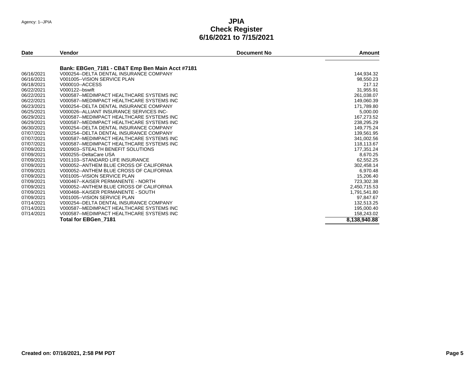| Date       | <b>Vendor</b>                                                                              | <b>Document No</b> | Amount       |
|------------|--------------------------------------------------------------------------------------------|--------------------|--------------|
|            |                                                                                            |                    |              |
| 06/16/2021 | Bank: EBGen_7181 - CB&T Emp Ben Main Acct #7181<br>V000254--DELTA DENTAL INSURANCE COMPANY |                    | 144,934.32   |
| 06/16/2021 | V001005--VISION SERVICE PLAN                                                               |                    | 98,550.23    |
| 06/18/2021 | V000010--ACCESS                                                                            |                    | 217.12       |
| 06/22/2021 | V000122--bswift                                                                            |                    | 31,955.91    |
| 06/22/2021 | V000587--MEDIMPACT HEALTHCARE SYSTEMS INC                                                  |                    | 261,038.07   |
| 06/22/2021 | V000587--MEDIMPACT HEALTHCARE SYSTEMS INC                                                  |                    |              |
| 06/23/2021 | V000254--DELTA DENTAL INSURANCE COMPANY                                                    |                    | 149,060.39   |
| 06/25/2021 | V000026--ALLIANT INSURANCE SERVICES INC-                                                   |                    | 171,789.80   |
| 06/29/2021 |                                                                                            |                    | 5,000.00     |
|            | V000587--MEDIMPACT HEALTHCARE SYSTEMS INC                                                  |                    | 167,273.52   |
| 06/29/2021 | V000587--MEDIMPACT HEALTHCARE SYSTEMS INC                                                  |                    | 238,295.29   |
| 06/30/2021 | V000254--DELTA DENTAL INSURANCE COMPANY                                                    |                    | 149,775.24   |
| 07/07/2021 | V000254--DELTA DENTAL INSURANCE COMPANY                                                    |                    | 139,561.95   |
| 07/07/2021 | V000587--MEDIMPACT HEALTHCARE SYSTEMS INC                                                  |                    | 341,002.56   |
| 07/07/2021 | V000587--MEDIMPACT HEALTHCARE SYSTEMS INC                                                  |                    | 118,113.67   |
| 07/09/2021 | V000903--STEALTH BENEFIT SOLUTIONS                                                         |                    | 177,351.24   |
| 07/09/2021 | V000255--DeltaCare USA                                                                     |                    | 8,670.25     |
| 07/09/2021 | V001103--STANDARD LIFE INSURANCE                                                           |                    | 62,552.25    |
| 07/09/2021 | V000052--ANTHEM BLUE CROSS OF CALIFORNIA                                                   |                    | 302,458.14   |
| 07/09/2021 | V000052--ANTHEM BLUE CROSS OF CALIFORNIA                                                   |                    | 6,970.48     |
| 07/09/2021 | V001005--VISION SERVICE PLAN                                                               |                    | 15.206.40    |
| 07/09/2021 | V000467--KAISER PERMANENTE - NORTH                                                         |                    | 723,302.38   |
| 07/09/2021 | V000052--ANTHEM BLUE CROSS OF CALIFORNIA                                                   |                    | 2,450,715.53 |
| 07/09/2021 | V000468--KAISER PERMANENTE - SOUTH                                                         |                    | 1,791,541.80 |
| 07/09/2021 | V001005--VISION SERVICE PLAN                                                               |                    | 97,847.67    |
| 07/14/2021 | V000254--DELTA DENTAL INSURANCE COMPANY                                                    |                    | 132,513.25   |
| 07/14/2021 | V000587--MEDIMPACT HEALTHCARE SYSTEMS INC                                                  |                    | 195,000.40   |
| 07/14/2021 | V000587--MEDIMPACT HEALTHCARE SYSTEMS INC                                                  |                    | 158,243.02   |
|            | Total for EBGen 7181                                                                       |                    | 8,138,940.88 |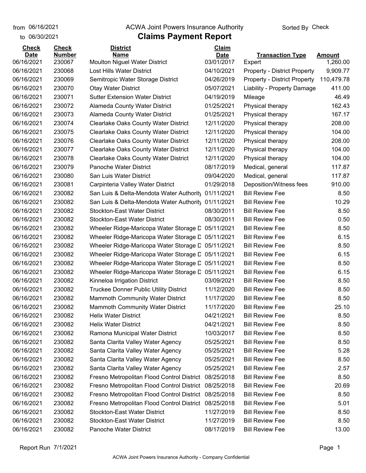from 06/16/2021

## **Claims Payment Report** from 06/16/2021 **The COVA Solic Act Act Authority** Sorted By Check

| to 06/30/2021 |               | <b>Claims Payment Report</b>                        |              |                                     |               |
|---------------|---------------|-----------------------------------------------------|--------------|-------------------------------------|---------------|
| <b>Check</b>  | <b>Check</b>  | <b>District</b>                                     | <b>Claim</b> |                                     |               |
| <b>Date</b>   | <b>Number</b> | <b>Name</b>                                         | <b>Date</b>  | <b>Transaction Type</b>             | <b>Amount</b> |
| 06/16/2021    | 230067        | <b>Moulton Niguel Water District</b>                | 03/01/2017   | Expert                              | 1,260.00      |
| 06/16/2021    | 230068        | Lost Hills Water District                           | 04/10/2021   | <b>Property - District Property</b> | 9,909.77      |
| 06/16/2021    | 230069        | Semitropic Water Storage District                   | 04/26/2019   | <b>Property - District Property</b> | 110,479.78    |
| 06/16/2021    | 230070        | <b>Otay Water District</b>                          | 05/07/2021   | Liability - Property Damage         | 411.00        |
| 06/16/2021    | 230071        | <b>Sutter Extension Water District</b>              | 04/19/2019   | Mileage                             | 46.49         |
| 06/16/2021    | 230072        | <b>Alameda County Water District</b>                | 01/25/2021   | Physical therapy                    | 162.43        |
| 06/16/2021    | 230073        | <b>Alameda County Water District</b>                | 01/25/2021   | Physical therapy                    | 167.17        |
| 06/16/2021    | 230074        | <b>Clearlake Oaks County Water District</b>         | 12/11/2020   | Physical therapy                    | 208.00        |
| 06/16/2021    | 230075        | Clearlake Oaks County Water District                | 12/11/2020   | Physical therapy                    | 104.00        |
| 06/16/2021    | 230076        | <b>Clearlake Oaks County Water District</b>         | 12/11/2020   | Physical therapy                    | 208.00        |
| 06/16/2021    | 230077        | <b>Clearlake Oaks County Water District</b>         | 12/11/2020   | Physical therapy                    | 104.00        |
| 06/16/2021    | 230078        | <b>Clearlake Oaks County Water District</b>         | 12/11/2020   | Physical therapy                    | 104.00        |
| 06/16/2021    | 230079        | Panoche Water District                              | 08/17/2019   | Medical, general                    | 117.87        |
| 06/16/2021    | 230080        | San Luis Water District                             | 09/04/2020   | Medical, general                    | 117.87        |
| 06/16/2021    | 230081        | Carpinteria Valley Water District                   | 01/29/2018   | Deposition/Witness fees             | 910.00        |
| 06/16/2021    | 230082        | San Luis & Delta-Mendota Water Authority            | 01/11/2021   | <b>Bill Review Fee</b>              | 8.50          |
| 06/16/2021    | 230082        | San Luis & Delta-Mendota Water Authority 01/11/2021 |              | <b>Bill Review Fee</b>              | 10.29         |
| 06/16/2021    | 230082        | <b>Stockton-East Water District</b>                 | 08/30/2011   | <b>Bill Review Fee</b>              | 8.50          |
| 06/16/2021    | 230082        | <b>Stockton-East Water District</b>                 | 08/30/2011   | <b>Bill Review Fee</b>              | 0.50          |
| 06/16/2021    | 230082        | Wheeler Ridge-Maricopa Water Storage D              | 05/11/2021   | <b>Bill Review Fee</b>              | 8.50          |
| 06/16/2021    | 230082        | Wheeler Ridge-Maricopa Water Storage D              | 05/11/2021   | <b>Bill Review Fee</b>              | 6.15          |
| 06/16/2021    | 230082        | Wheeler Ridge-Maricopa Water Storage D              | 05/11/2021   | <b>Bill Review Fee</b>              | 8.50          |
| 06/16/2021    | 230082        | Wheeler Ridge-Maricopa Water Storage D              | 05/11/2021   | <b>Bill Review Fee</b>              | 6.15          |
| 06/16/2021    | 230082        | Wheeler Ridge-Maricopa Water Storage D              | 05/11/2021   | <b>Bill Review Fee</b>              | 8.50          |
| 06/16/2021    | 230082        | Wheeler Ridge-Maricopa Water Storage D              | 05/11/2021   | <b>Bill Review Fee</b>              | 6.15          |
| 06/16/2021    | 230082        | Kinneloa Irrigation District                        | 03/09/2021   | <b>Bill Review Fee</b>              | 8.50          |
| 06/16/2021    | 230082        | <b>Truckee Donner Public Utility District</b>       | 11/12/2020   | <b>Bill Review Fee</b>              | 8.50          |
| 06/16/2021    | 230082        | Mammoth Community Water District                    | 11/17/2020   | <b>Bill Review Fee</b>              | 8.50          |
| 06/16/2021    | 230082        | <b>Mammoth Community Water District</b>             | 11/17/2020   | <b>Bill Review Fee</b>              | 25.10         |
| 06/16/2021    | 230082        | <b>Helix Water District</b>                         | 04/21/2021   | <b>Bill Review Fee</b>              | 8.50          |
| 06/16/2021    | 230082        | <b>Helix Water District</b>                         | 04/21/2021   | <b>Bill Review Fee</b>              | 8.50          |
| 06/16/2021    | 230082        | Ramona Municipal Water District                     | 10/03/2017   | <b>Bill Review Fee</b>              | 8.50          |
| 06/16/2021    | 230082        | Santa Clarita Valley Water Agency                   | 05/25/2021   | <b>Bill Review Fee</b>              | 8.50          |
| 06/16/2021    | 230082        | Santa Clarita Valley Water Agency                   | 05/25/2021   | <b>Bill Review Fee</b>              | 5.28          |
| 06/16/2021    | 230082        | Santa Clarita Valley Water Agency                   | 05/25/2021   | <b>Bill Review Fee</b>              | 8.50          |
| 06/16/2021    | 230082        | Santa Clarita Valley Water Agency                   | 05/25/2021   | <b>Bill Review Fee</b>              | 2.57          |
| 06/16/2021    | 230082        | Fresno Metropolitan Flood Control District          | 08/25/2018   | <b>Bill Review Fee</b>              | 8.50          |
| 06/16/2021    | 230082        | Fresno Metropolitan Flood Control District          | 08/25/2018   | <b>Bill Review Fee</b>              | 20.69         |
| 06/16/2021    | 230082        | Fresno Metropolitan Flood Control District          | 08/25/2018   | <b>Bill Review Fee</b>              | 8.50          |
| 06/16/2021    | 230082        | Fresno Metropolitan Flood Control District          | 08/25/2018   | <b>Bill Review Fee</b>              | 5.01          |
| 06/16/2021    | 230082        | <b>Stockton-East Water District</b>                 | 11/27/2019   | <b>Bill Review Fee</b>              | 8.50          |
| 06/16/2021    | 230082        | <b>Stockton-East Water District</b>                 | 11/27/2019   | <b>Bill Review Fee</b>              | 8.50          |
| 06/16/2021    | 230082        | Panoche Water District                              | 08/17/2019   | <b>Bill Review Fee</b>              | 13.00         |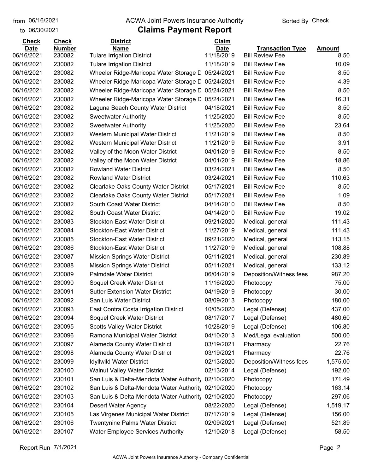to 06/30/2021

#### from 06/16/2021 **The COVA Solic Act Act Authority** Sorted By Check

## **Claims Payment Report**

| 11/18/2019<br>06/16/2021<br>230082<br><b>Tulare Irrigation District</b><br><b>Bill Review Fee</b><br>8.50<br>11/18/2019<br>06/16/2021<br>230082<br><b>Bill Review Fee</b><br>10.09<br><b>Tulare Irrigation District</b><br>06/16/2021<br>230082<br>05/24/2021<br><b>Bill Review Fee</b><br>8.50<br>Wheeler Ridge-Maricopa Water Storage D<br>06/16/2021<br>230082<br><b>Bill Review Fee</b><br>4.39<br>Wheeler Ridge-Maricopa Water Storage D<br>05/24/2021<br>06/16/2021<br>230082<br>05/24/2021<br>8.50<br>Wheeler Ridge-Maricopa Water Storage D<br><b>Bill Review Fee</b><br>230082<br>06/16/2021<br>05/24/2021<br><b>Bill Review Fee</b><br>16.31<br>Wheeler Ridge-Maricopa Water Storage D<br>230082<br>8.50<br>06/16/2021<br>Laguna Beach County Water District<br>04/18/2021<br><b>Bill Review Fee</b><br>06/16/2021<br>230082<br>11/25/2020<br><b>Bill Review Fee</b><br>8.50<br><b>Sweetwater Authority</b><br>06/16/2021<br>230082<br>11/25/2020<br><b>Bill Review Fee</b><br>23.64<br><b>Sweetwater Authority</b><br>06/16/2021<br>230082<br>Western Municipal Water District<br>11/21/2019<br><b>Bill Review Fee</b><br>8.50<br>230082<br>06/16/2021<br>11/21/2019<br><b>Bill Review Fee</b><br>3.91<br>Western Municipal Water District<br>06/16/2021<br>230082<br>Valley of the Moon Water District<br>04/01/2019<br><b>Bill Review Fee</b><br>8.50<br>06/16/2021<br>230082<br>04/01/2019<br><b>Bill Review Fee</b><br>18.86<br>Valley of the Moon Water District<br>230082<br><b>Rowland Water District</b><br>8.50<br>06/16/2021<br>03/24/2021<br><b>Bill Review Fee</b><br>230082<br>110.63<br>06/16/2021<br><b>Rowland Water District</b><br>03/24/2021<br><b>Bill Review Fee</b><br>06/16/2021<br>230082<br>8.50<br><b>Clearlake Oaks County Water District</b><br>05/17/2021<br><b>Bill Review Fee</b><br>06/16/2021<br>230082<br>05/17/2021<br><b>Bill Review Fee</b><br>1.09<br><b>Clearlake Oaks County Water District</b><br>06/16/2021<br>230082<br>South Coast Water District<br>04/14/2010<br><b>Bill Review Fee</b><br>8.50<br>06/16/2021<br>230082<br>South Coast Water District<br>04/14/2010<br><b>Bill Review Fee</b><br>19.02<br>230083<br>111.43<br>06/16/2021<br><b>Stockton-East Water District</b><br>09/21/2020<br>Medical, general<br>06/16/2021<br>230084<br><b>Stockton-East Water District</b><br>11/27/2019<br>111.43<br>Medical, general<br>113.15<br>06/16/2021<br>230085<br><b>Stockton-East Water District</b><br>09/21/2020<br>Medical, general<br>230086<br><b>Stockton-East Water District</b><br>11/27/2019<br>108.88<br>06/16/2021<br>Medical, general<br>06/16/2021<br>230087<br>05/11/2021<br>230.89<br><b>Mission Springs Water District</b><br>Medical, general<br>06/16/2021<br>230088<br>133.12<br><b>Mission Springs Water District</b><br>05/11/2021<br>Medical, general<br>987.20<br>06/16/2021<br>230089<br><b>Palmdale Water District</b><br>06/04/2019<br>Deposition/Witness fees<br>06/16/2021<br>230090<br>Soquel Creek Water District<br>11/16/2020<br>75.00<br>Photocopy<br>30.00<br>06/16/2021<br>230091<br><b>Sutter Extension Water District</b><br>04/19/2019<br>Photocopy<br>180.00<br>06/16/2021<br>230092<br>08/09/2013<br>San Luis Water District<br>Photocopy<br>230093<br>10/05/2020<br>437.00<br>06/16/2021<br>East Contra Costa Irrigation District<br>Legal (Defense)<br>480.60<br>06/16/2021<br>230094<br>Soquel Creek Water District<br>08/17/2017<br>Legal (Defense)<br>06/16/2021<br>230095<br><b>Scotts Valley Water District</b><br>10/28/2019<br>Legal (Defense)<br>106.80<br>06/16/2021<br>230096<br>Ramona Municipal Water District<br>04/10/2013<br>Med/Legal evaluation<br>500.00<br>06/16/2021<br>Alameda County Water District<br>22.76<br>230097<br>03/19/2021<br>Pharmacy<br>06/16/2021<br>230098<br>Alameda County Water District<br>03/19/2021<br>Pharmacy<br>22.76<br>06/16/2021<br>230099<br><b>Idyllwild Water District</b><br>02/13/2020<br>Deposition/Witness fees<br>1,575.00<br>06/16/2021<br>230100<br>Walnut Valley Water District<br>02/13/2014<br>192.00<br>Legal (Defense)<br>06/16/2021<br>230101<br>San Luis & Delta-Mendota Water Authority<br>171.49<br>02/10/2020<br>Photocopy<br>163.14<br>06/16/2021<br>230102<br>San Luis & Delta-Mendota Water Authority<br>02/10/2020<br>Photocopy<br>297.06<br>06/16/2021<br>230103<br>San Luis & Delta-Mendota Water Authority<br>02/10/2020<br>Photocopy<br>06/16/2021<br>230104<br>08/22/2020<br>Desert Water Agency<br>Legal (Defense)<br>1,519.17<br>06/16/2021<br>230105<br>Las Virgenes Municipal Water District<br>07/17/2019<br>Legal (Defense)<br>156.00<br>06/16/2021<br><b>Twentynine Palms Water District</b><br>Legal (Defense)<br>230106<br>02/09/2021<br>521.89<br>58.50<br>06/16/2021<br>230107<br><b>Water Employee Services Authority</b><br>12/10/2018<br>Legal (Defense) | <b>Check</b> | <b>Check</b>  | <b>District</b> | Claim       |                         |               |
|---------------------------------------------------------------------------------------------------------------------------------------------------------------------------------------------------------------------------------------------------------------------------------------------------------------------------------------------------------------------------------------------------------------------------------------------------------------------------------------------------------------------------------------------------------------------------------------------------------------------------------------------------------------------------------------------------------------------------------------------------------------------------------------------------------------------------------------------------------------------------------------------------------------------------------------------------------------------------------------------------------------------------------------------------------------------------------------------------------------------------------------------------------------------------------------------------------------------------------------------------------------------------------------------------------------------------------------------------------------------------------------------------------------------------------------------------------------------------------------------------------------------------------------------------------------------------------------------------------------------------------------------------------------------------------------------------------------------------------------------------------------------------------------------------------------------------------------------------------------------------------------------------------------------------------------------------------------------------------------------------------------------------------------------------------------------------------------------------------------------------------------------------------------------------------------------------------------------------------------------------------------------------------------------------------------------------------------------------------------------------------------------------------------------------------------------------------------------------------------------------------------------------------------------------------------------------------------------------------------------------------------------------------------------------------------------------------------------------------------------------------------------------------------------------------------------------------------------------------------------------------------------------------------------------------------------------------------------------------------------------------------------------------------------------------------------------------------------------------------------------------------------------------------------------------------------------------------------------------------------------------------------------------------------------------------------------------------------------------------------------------------------------------------------------------------------------------------------------------------------------------------------------------------------------------------------------------------------------------------------------------------------------------------------------------------------------------------------------------------------------------------------------------------------------------------------------------------------------------------------------------------------------------------------------------------------------------------------------------------------------------------------------------------------------------------------------------------------------------------------------------------------------------------------------------------------------------------------------------------------------------------------------------------------------------------------------------------------------------------------------------------------------------------------------------------------------------------------------------------------------------------------------------------------------------------------------------------------------------------------------------------------------------------------------------------------------------------------------------------------------------------------------------------------------------------------------------------------------------|--------------|---------------|-----------------|-------------|-------------------------|---------------|
|                                                                                                                                                                                                                                                                                                                                                                                                                                                                                                                                                                                                                                                                                                                                                                                                                                                                                                                                                                                                                                                                                                                                                                                                                                                                                                                                                                                                                                                                                                                                                                                                                                                                                                                                                                                                                                                                                                                                                                                                                                                                                                                                                                                                                                                                                                                                                                                                                                                                                                                                                                                                                                                                                                                                                                                                                                                                                                                                                                                                                                                                                                                                                                                                                                                                                                                                                                                                                                                                                                                                                                                                                                                                                                                                                                                                                                                                                                                                                                                                                                                                                                                                                                                                                                                                                                                                                                                                                                                                                                                                                                                                                                                                                                                                                                                                                                                         | <b>Date</b>  | <b>Number</b> | <b>Name</b>     | <b>Date</b> | <b>Transaction Type</b> | <u>Amount</u> |
|                                                                                                                                                                                                                                                                                                                                                                                                                                                                                                                                                                                                                                                                                                                                                                                                                                                                                                                                                                                                                                                                                                                                                                                                                                                                                                                                                                                                                                                                                                                                                                                                                                                                                                                                                                                                                                                                                                                                                                                                                                                                                                                                                                                                                                                                                                                                                                                                                                                                                                                                                                                                                                                                                                                                                                                                                                                                                                                                                                                                                                                                                                                                                                                                                                                                                                                                                                                                                                                                                                                                                                                                                                                                                                                                                                                                                                                                                                                                                                                                                                                                                                                                                                                                                                                                                                                                                                                                                                                                                                                                                                                                                                                                                                                                                                                                                                                         |              |               |                 |             |                         |               |
|                                                                                                                                                                                                                                                                                                                                                                                                                                                                                                                                                                                                                                                                                                                                                                                                                                                                                                                                                                                                                                                                                                                                                                                                                                                                                                                                                                                                                                                                                                                                                                                                                                                                                                                                                                                                                                                                                                                                                                                                                                                                                                                                                                                                                                                                                                                                                                                                                                                                                                                                                                                                                                                                                                                                                                                                                                                                                                                                                                                                                                                                                                                                                                                                                                                                                                                                                                                                                                                                                                                                                                                                                                                                                                                                                                                                                                                                                                                                                                                                                                                                                                                                                                                                                                                                                                                                                                                                                                                                                                                                                                                                                                                                                                                                                                                                                                                         |              |               |                 |             |                         |               |
|                                                                                                                                                                                                                                                                                                                                                                                                                                                                                                                                                                                                                                                                                                                                                                                                                                                                                                                                                                                                                                                                                                                                                                                                                                                                                                                                                                                                                                                                                                                                                                                                                                                                                                                                                                                                                                                                                                                                                                                                                                                                                                                                                                                                                                                                                                                                                                                                                                                                                                                                                                                                                                                                                                                                                                                                                                                                                                                                                                                                                                                                                                                                                                                                                                                                                                                                                                                                                                                                                                                                                                                                                                                                                                                                                                                                                                                                                                                                                                                                                                                                                                                                                                                                                                                                                                                                                                                                                                                                                                                                                                                                                                                                                                                                                                                                                                                         |              |               |                 |             |                         |               |
|                                                                                                                                                                                                                                                                                                                                                                                                                                                                                                                                                                                                                                                                                                                                                                                                                                                                                                                                                                                                                                                                                                                                                                                                                                                                                                                                                                                                                                                                                                                                                                                                                                                                                                                                                                                                                                                                                                                                                                                                                                                                                                                                                                                                                                                                                                                                                                                                                                                                                                                                                                                                                                                                                                                                                                                                                                                                                                                                                                                                                                                                                                                                                                                                                                                                                                                                                                                                                                                                                                                                                                                                                                                                                                                                                                                                                                                                                                                                                                                                                                                                                                                                                                                                                                                                                                                                                                                                                                                                                                                                                                                                                                                                                                                                                                                                                                                         |              |               |                 |             |                         |               |
|                                                                                                                                                                                                                                                                                                                                                                                                                                                                                                                                                                                                                                                                                                                                                                                                                                                                                                                                                                                                                                                                                                                                                                                                                                                                                                                                                                                                                                                                                                                                                                                                                                                                                                                                                                                                                                                                                                                                                                                                                                                                                                                                                                                                                                                                                                                                                                                                                                                                                                                                                                                                                                                                                                                                                                                                                                                                                                                                                                                                                                                                                                                                                                                                                                                                                                                                                                                                                                                                                                                                                                                                                                                                                                                                                                                                                                                                                                                                                                                                                                                                                                                                                                                                                                                                                                                                                                                                                                                                                                                                                                                                                                                                                                                                                                                                                                                         |              |               |                 |             |                         |               |
|                                                                                                                                                                                                                                                                                                                                                                                                                                                                                                                                                                                                                                                                                                                                                                                                                                                                                                                                                                                                                                                                                                                                                                                                                                                                                                                                                                                                                                                                                                                                                                                                                                                                                                                                                                                                                                                                                                                                                                                                                                                                                                                                                                                                                                                                                                                                                                                                                                                                                                                                                                                                                                                                                                                                                                                                                                                                                                                                                                                                                                                                                                                                                                                                                                                                                                                                                                                                                                                                                                                                                                                                                                                                                                                                                                                                                                                                                                                                                                                                                                                                                                                                                                                                                                                                                                                                                                                                                                                                                                                                                                                                                                                                                                                                                                                                                                                         |              |               |                 |             |                         |               |
|                                                                                                                                                                                                                                                                                                                                                                                                                                                                                                                                                                                                                                                                                                                                                                                                                                                                                                                                                                                                                                                                                                                                                                                                                                                                                                                                                                                                                                                                                                                                                                                                                                                                                                                                                                                                                                                                                                                                                                                                                                                                                                                                                                                                                                                                                                                                                                                                                                                                                                                                                                                                                                                                                                                                                                                                                                                                                                                                                                                                                                                                                                                                                                                                                                                                                                                                                                                                                                                                                                                                                                                                                                                                                                                                                                                                                                                                                                                                                                                                                                                                                                                                                                                                                                                                                                                                                                                                                                                                                                                                                                                                                                                                                                                                                                                                                                                         |              |               |                 |             |                         |               |
|                                                                                                                                                                                                                                                                                                                                                                                                                                                                                                                                                                                                                                                                                                                                                                                                                                                                                                                                                                                                                                                                                                                                                                                                                                                                                                                                                                                                                                                                                                                                                                                                                                                                                                                                                                                                                                                                                                                                                                                                                                                                                                                                                                                                                                                                                                                                                                                                                                                                                                                                                                                                                                                                                                                                                                                                                                                                                                                                                                                                                                                                                                                                                                                                                                                                                                                                                                                                                                                                                                                                                                                                                                                                                                                                                                                                                                                                                                                                                                                                                                                                                                                                                                                                                                                                                                                                                                                                                                                                                                                                                                                                                                                                                                                                                                                                                                                         |              |               |                 |             |                         |               |
|                                                                                                                                                                                                                                                                                                                                                                                                                                                                                                                                                                                                                                                                                                                                                                                                                                                                                                                                                                                                                                                                                                                                                                                                                                                                                                                                                                                                                                                                                                                                                                                                                                                                                                                                                                                                                                                                                                                                                                                                                                                                                                                                                                                                                                                                                                                                                                                                                                                                                                                                                                                                                                                                                                                                                                                                                                                                                                                                                                                                                                                                                                                                                                                                                                                                                                                                                                                                                                                                                                                                                                                                                                                                                                                                                                                                                                                                                                                                                                                                                                                                                                                                                                                                                                                                                                                                                                                                                                                                                                                                                                                                                                                                                                                                                                                                                                                         |              |               |                 |             |                         |               |
|                                                                                                                                                                                                                                                                                                                                                                                                                                                                                                                                                                                                                                                                                                                                                                                                                                                                                                                                                                                                                                                                                                                                                                                                                                                                                                                                                                                                                                                                                                                                                                                                                                                                                                                                                                                                                                                                                                                                                                                                                                                                                                                                                                                                                                                                                                                                                                                                                                                                                                                                                                                                                                                                                                                                                                                                                                                                                                                                                                                                                                                                                                                                                                                                                                                                                                                                                                                                                                                                                                                                                                                                                                                                                                                                                                                                                                                                                                                                                                                                                                                                                                                                                                                                                                                                                                                                                                                                                                                                                                                                                                                                                                                                                                                                                                                                                                                         |              |               |                 |             |                         |               |
|                                                                                                                                                                                                                                                                                                                                                                                                                                                                                                                                                                                                                                                                                                                                                                                                                                                                                                                                                                                                                                                                                                                                                                                                                                                                                                                                                                                                                                                                                                                                                                                                                                                                                                                                                                                                                                                                                                                                                                                                                                                                                                                                                                                                                                                                                                                                                                                                                                                                                                                                                                                                                                                                                                                                                                                                                                                                                                                                                                                                                                                                                                                                                                                                                                                                                                                                                                                                                                                                                                                                                                                                                                                                                                                                                                                                                                                                                                                                                                                                                                                                                                                                                                                                                                                                                                                                                                                                                                                                                                                                                                                                                                                                                                                                                                                                                                                         |              |               |                 |             |                         |               |
|                                                                                                                                                                                                                                                                                                                                                                                                                                                                                                                                                                                                                                                                                                                                                                                                                                                                                                                                                                                                                                                                                                                                                                                                                                                                                                                                                                                                                                                                                                                                                                                                                                                                                                                                                                                                                                                                                                                                                                                                                                                                                                                                                                                                                                                                                                                                                                                                                                                                                                                                                                                                                                                                                                                                                                                                                                                                                                                                                                                                                                                                                                                                                                                                                                                                                                                                                                                                                                                                                                                                                                                                                                                                                                                                                                                                                                                                                                                                                                                                                                                                                                                                                                                                                                                                                                                                                                                                                                                                                                                                                                                                                                                                                                                                                                                                                                                         |              |               |                 |             |                         |               |
|                                                                                                                                                                                                                                                                                                                                                                                                                                                                                                                                                                                                                                                                                                                                                                                                                                                                                                                                                                                                                                                                                                                                                                                                                                                                                                                                                                                                                                                                                                                                                                                                                                                                                                                                                                                                                                                                                                                                                                                                                                                                                                                                                                                                                                                                                                                                                                                                                                                                                                                                                                                                                                                                                                                                                                                                                                                                                                                                                                                                                                                                                                                                                                                                                                                                                                                                                                                                                                                                                                                                                                                                                                                                                                                                                                                                                                                                                                                                                                                                                                                                                                                                                                                                                                                                                                                                                                                                                                                                                                                                                                                                                                                                                                                                                                                                                                                         |              |               |                 |             |                         |               |
|                                                                                                                                                                                                                                                                                                                                                                                                                                                                                                                                                                                                                                                                                                                                                                                                                                                                                                                                                                                                                                                                                                                                                                                                                                                                                                                                                                                                                                                                                                                                                                                                                                                                                                                                                                                                                                                                                                                                                                                                                                                                                                                                                                                                                                                                                                                                                                                                                                                                                                                                                                                                                                                                                                                                                                                                                                                                                                                                                                                                                                                                                                                                                                                                                                                                                                                                                                                                                                                                                                                                                                                                                                                                                                                                                                                                                                                                                                                                                                                                                                                                                                                                                                                                                                                                                                                                                                                                                                                                                                                                                                                                                                                                                                                                                                                                                                                         |              |               |                 |             |                         |               |
|                                                                                                                                                                                                                                                                                                                                                                                                                                                                                                                                                                                                                                                                                                                                                                                                                                                                                                                                                                                                                                                                                                                                                                                                                                                                                                                                                                                                                                                                                                                                                                                                                                                                                                                                                                                                                                                                                                                                                                                                                                                                                                                                                                                                                                                                                                                                                                                                                                                                                                                                                                                                                                                                                                                                                                                                                                                                                                                                                                                                                                                                                                                                                                                                                                                                                                                                                                                                                                                                                                                                                                                                                                                                                                                                                                                                                                                                                                                                                                                                                                                                                                                                                                                                                                                                                                                                                                                                                                                                                                                                                                                                                                                                                                                                                                                                                                                         |              |               |                 |             |                         |               |
|                                                                                                                                                                                                                                                                                                                                                                                                                                                                                                                                                                                                                                                                                                                                                                                                                                                                                                                                                                                                                                                                                                                                                                                                                                                                                                                                                                                                                                                                                                                                                                                                                                                                                                                                                                                                                                                                                                                                                                                                                                                                                                                                                                                                                                                                                                                                                                                                                                                                                                                                                                                                                                                                                                                                                                                                                                                                                                                                                                                                                                                                                                                                                                                                                                                                                                                                                                                                                                                                                                                                                                                                                                                                                                                                                                                                                                                                                                                                                                                                                                                                                                                                                                                                                                                                                                                                                                                                                                                                                                                                                                                                                                                                                                                                                                                                                                                         |              |               |                 |             |                         |               |
|                                                                                                                                                                                                                                                                                                                                                                                                                                                                                                                                                                                                                                                                                                                                                                                                                                                                                                                                                                                                                                                                                                                                                                                                                                                                                                                                                                                                                                                                                                                                                                                                                                                                                                                                                                                                                                                                                                                                                                                                                                                                                                                                                                                                                                                                                                                                                                                                                                                                                                                                                                                                                                                                                                                                                                                                                                                                                                                                                                                                                                                                                                                                                                                                                                                                                                                                                                                                                                                                                                                                                                                                                                                                                                                                                                                                                                                                                                                                                                                                                                                                                                                                                                                                                                                                                                                                                                                                                                                                                                                                                                                                                                                                                                                                                                                                                                                         |              |               |                 |             |                         |               |
|                                                                                                                                                                                                                                                                                                                                                                                                                                                                                                                                                                                                                                                                                                                                                                                                                                                                                                                                                                                                                                                                                                                                                                                                                                                                                                                                                                                                                                                                                                                                                                                                                                                                                                                                                                                                                                                                                                                                                                                                                                                                                                                                                                                                                                                                                                                                                                                                                                                                                                                                                                                                                                                                                                                                                                                                                                                                                                                                                                                                                                                                                                                                                                                                                                                                                                                                                                                                                                                                                                                                                                                                                                                                                                                                                                                                                                                                                                                                                                                                                                                                                                                                                                                                                                                                                                                                                                                                                                                                                                                                                                                                                                                                                                                                                                                                                                                         |              |               |                 |             |                         |               |
|                                                                                                                                                                                                                                                                                                                                                                                                                                                                                                                                                                                                                                                                                                                                                                                                                                                                                                                                                                                                                                                                                                                                                                                                                                                                                                                                                                                                                                                                                                                                                                                                                                                                                                                                                                                                                                                                                                                                                                                                                                                                                                                                                                                                                                                                                                                                                                                                                                                                                                                                                                                                                                                                                                                                                                                                                                                                                                                                                                                                                                                                                                                                                                                                                                                                                                                                                                                                                                                                                                                                                                                                                                                                                                                                                                                                                                                                                                                                                                                                                                                                                                                                                                                                                                                                                                                                                                                                                                                                                                                                                                                                                                                                                                                                                                                                                                                         |              |               |                 |             |                         |               |
|                                                                                                                                                                                                                                                                                                                                                                                                                                                                                                                                                                                                                                                                                                                                                                                                                                                                                                                                                                                                                                                                                                                                                                                                                                                                                                                                                                                                                                                                                                                                                                                                                                                                                                                                                                                                                                                                                                                                                                                                                                                                                                                                                                                                                                                                                                                                                                                                                                                                                                                                                                                                                                                                                                                                                                                                                                                                                                                                                                                                                                                                                                                                                                                                                                                                                                                                                                                                                                                                                                                                                                                                                                                                                                                                                                                                                                                                                                                                                                                                                                                                                                                                                                                                                                                                                                                                                                                                                                                                                                                                                                                                                                                                                                                                                                                                                                                         |              |               |                 |             |                         |               |
|                                                                                                                                                                                                                                                                                                                                                                                                                                                                                                                                                                                                                                                                                                                                                                                                                                                                                                                                                                                                                                                                                                                                                                                                                                                                                                                                                                                                                                                                                                                                                                                                                                                                                                                                                                                                                                                                                                                                                                                                                                                                                                                                                                                                                                                                                                                                                                                                                                                                                                                                                                                                                                                                                                                                                                                                                                                                                                                                                                                                                                                                                                                                                                                                                                                                                                                                                                                                                                                                                                                                                                                                                                                                                                                                                                                                                                                                                                                                                                                                                                                                                                                                                                                                                                                                                                                                                                                                                                                                                                                                                                                                                                                                                                                                                                                                                                                         |              |               |                 |             |                         |               |
|                                                                                                                                                                                                                                                                                                                                                                                                                                                                                                                                                                                                                                                                                                                                                                                                                                                                                                                                                                                                                                                                                                                                                                                                                                                                                                                                                                                                                                                                                                                                                                                                                                                                                                                                                                                                                                                                                                                                                                                                                                                                                                                                                                                                                                                                                                                                                                                                                                                                                                                                                                                                                                                                                                                                                                                                                                                                                                                                                                                                                                                                                                                                                                                                                                                                                                                                                                                                                                                                                                                                                                                                                                                                                                                                                                                                                                                                                                                                                                                                                                                                                                                                                                                                                                                                                                                                                                                                                                                                                                                                                                                                                                                                                                                                                                                                                                                         |              |               |                 |             |                         |               |
|                                                                                                                                                                                                                                                                                                                                                                                                                                                                                                                                                                                                                                                                                                                                                                                                                                                                                                                                                                                                                                                                                                                                                                                                                                                                                                                                                                                                                                                                                                                                                                                                                                                                                                                                                                                                                                                                                                                                                                                                                                                                                                                                                                                                                                                                                                                                                                                                                                                                                                                                                                                                                                                                                                                                                                                                                                                                                                                                                                                                                                                                                                                                                                                                                                                                                                                                                                                                                                                                                                                                                                                                                                                                                                                                                                                                                                                                                                                                                                                                                                                                                                                                                                                                                                                                                                                                                                                                                                                                                                                                                                                                                                                                                                                                                                                                                                                         |              |               |                 |             |                         |               |
|                                                                                                                                                                                                                                                                                                                                                                                                                                                                                                                                                                                                                                                                                                                                                                                                                                                                                                                                                                                                                                                                                                                                                                                                                                                                                                                                                                                                                                                                                                                                                                                                                                                                                                                                                                                                                                                                                                                                                                                                                                                                                                                                                                                                                                                                                                                                                                                                                                                                                                                                                                                                                                                                                                                                                                                                                                                                                                                                                                                                                                                                                                                                                                                                                                                                                                                                                                                                                                                                                                                                                                                                                                                                                                                                                                                                                                                                                                                                                                                                                                                                                                                                                                                                                                                                                                                                                                                                                                                                                                                                                                                                                                                                                                                                                                                                                                                         |              |               |                 |             |                         |               |
|                                                                                                                                                                                                                                                                                                                                                                                                                                                                                                                                                                                                                                                                                                                                                                                                                                                                                                                                                                                                                                                                                                                                                                                                                                                                                                                                                                                                                                                                                                                                                                                                                                                                                                                                                                                                                                                                                                                                                                                                                                                                                                                                                                                                                                                                                                                                                                                                                                                                                                                                                                                                                                                                                                                                                                                                                                                                                                                                                                                                                                                                                                                                                                                                                                                                                                                                                                                                                                                                                                                                                                                                                                                                                                                                                                                                                                                                                                                                                                                                                                                                                                                                                                                                                                                                                                                                                                                                                                                                                                                                                                                                                                                                                                                                                                                                                                                         |              |               |                 |             |                         |               |
|                                                                                                                                                                                                                                                                                                                                                                                                                                                                                                                                                                                                                                                                                                                                                                                                                                                                                                                                                                                                                                                                                                                                                                                                                                                                                                                                                                                                                                                                                                                                                                                                                                                                                                                                                                                                                                                                                                                                                                                                                                                                                                                                                                                                                                                                                                                                                                                                                                                                                                                                                                                                                                                                                                                                                                                                                                                                                                                                                                                                                                                                                                                                                                                                                                                                                                                                                                                                                                                                                                                                                                                                                                                                                                                                                                                                                                                                                                                                                                                                                                                                                                                                                                                                                                                                                                                                                                                                                                                                                                                                                                                                                                                                                                                                                                                                                                                         |              |               |                 |             |                         |               |
|                                                                                                                                                                                                                                                                                                                                                                                                                                                                                                                                                                                                                                                                                                                                                                                                                                                                                                                                                                                                                                                                                                                                                                                                                                                                                                                                                                                                                                                                                                                                                                                                                                                                                                                                                                                                                                                                                                                                                                                                                                                                                                                                                                                                                                                                                                                                                                                                                                                                                                                                                                                                                                                                                                                                                                                                                                                                                                                                                                                                                                                                                                                                                                                                                                                                                                                                                                                                                                                                                                                                                                                                                                                                                                                                                                                                                                                                                                                                                                                                                                                                                                                                                                                                                                                                                                                                                                                                                                                                                                                                                                                                                                                                                                                                                                                                                                                         |              |               |                 |             |                         |               |
|                                                                                                                                                                                                                                                                                                                                                                                                                                                                                                                                                                                                                                                                                                                                                                                                                                                                                                                                                                                                                                                                                                                                                                                                                                                                                                                                                                                                                                                                                                                                                                                                                                                                                                                                                                                                                                                                                                                                                                                                                                                                                                                                                                                                                                                                                                                                                                                                                                                                                                                                                                                                                                                                                                                                                                                                                                                                                                                                                                                                                                                                                                                                                                                                                                                                                                                                                                                                                                                                                                                                                                                                                                                                                                                                                                                                                                                                                                                                                                                                                                                                                                                                                                                                                                                                                                                                                                                                                                                                                                                                                                                                                                                                                                                                                                                                                                                         |              |               |                 |             |                         |               |
|                                                                                                                                                                                                                                                                                                                                                                                                                                                                                                                                                                                                                                                                                                                                                                                                                                                                                                                                                                                                                                                                                                                                                                                                                                                                                                                                                                                                                                                                                                                                                                                                                                                                                                                                                                                                                                                                                                                                                                                                                                                                                                                                                                                                                                                                                                                                                                                                                                                                                                                                                                                                                                                                                                                                                                                                                                                                                                                                                                                                                                                                                                                                                                                                                                                                                                                                                                                                                                                                                                                                                                                                                                                                                                                                                                                                                                                                                                                                                                                                                                                                                                                                                                                                                                                                                                                                                                                                                                                                                                                                                                                                                                                                                                                                                                                                                                                         |              |               |                 |             |                         |               |
|                                                                                                                                                                                                                                                                                                                                                                                                                                                                                                                                                                                                                                                                                                                                                                                                                                                                                                                                                                                                                                                                                                                                                                                                                                                                                                                                                                                                                                                                                                                                                                                                                                                                                                                                                                                                                                                                                                                                                                                                                                                                                                                                                                                                                                                                                                                                                                                                                                                                                                                                                                                                                                                                                                                                                                                                                                                                                                                                                                                                                                                                                                                                                                                                                                                                                                                                                                                                                                                                                                                                                                                                                                                                                                                                                                                                                                                                                                                                                                                                                                                                                                                                                                                                                                                                                                                                                                                                                                                                                                                                                                                                                                                                                                                                                                                                                                                         |              |               |                 |             |                         |               |
|                                                                                                                                                                                                                                                                                                                                                                                                                                                                                                                                                                                                                                                                                                                                                                                                                                                                                                                                                                                                                                                                                                                                                                                                                                                                                                                                                                                                                                                                                                                                                                                                                                                                                                                                                                                                                                                                                                                                                                                                                                                                                                                                                                                                                                                                                                                                                                                                                                                                                                                                                                                                                                                                                                                                                                                                                                                                                                                                                                                                                                                                                                                                                                                                                                                                                                                                                                                                                                                                                                                                                                                                                                                                                                                                                                                                                                                                                                                                                                                                                                                                                                                                                                                                                                                                                                                                                                                                                                                                                                                                                                                                                                                                                                                                                                                                                                                         |              |               |                 |             |                         |               |
|                                                                                                                                                                                                                                                                                                                                                                                                                                                                                                                                                                                                                                                                                                                                                                                                                                                                                                                                                                                                                                                                                                                                                                                                                                                                                                                                                                                                                                                                                                                                                                                                                                                                                                                                                                                                                                                                                                                                                                                                                                                                                                                                                                                                                                                                                                                                                                                                                                                                                                                                                                                                                                                                                                                                                                                                                                                                                                                                                                                                                                                                                                                                                                                                                                                                                                                                                                                                                                                                                                                                                                                                                                                                                                                                                                                                                                                                                                                                                                                                                                                                                                                                                                                                                                                                                                                                                                                                                                                                                                                                                                                                                                                                                                                                                                                                                                                         |              |               |                 |             |                         |               |
|                                                                                                                                                                                                                                                                                                                                                                                                                                                                                                                                                                                                                                                                                                                                                                                                                                                                                                                                                                                                                                                                                                                                                                                                                                                                                                                                                                                                                                                                                                                                                                                                                                                                                                                                                                                                                                                                                                                                                                                                                                                                                                                                                                                                                                                                                                                                                                                                                                                                                                                                                                                                                                                                                                                                                                                                                                                                                                                                                                                                                                                                                                                                                                                                                                                                                                                                                                                                                                                                                                                                                                                                                                                                                                                                                                                                                                                                                                                                                                                                                                                                                                                                                                                                                                                                                                                                                                                                                                                                                                                                                                                                                                                                                                                                                                                                                                                         |              |               |                 |             |                         |               |
|                                                                                                                                                                                                                                                                                                                                                                                                                                                                                                                                                                                                                                                                                                                                                                                                                                                                                                                                                                                                                                                                                                                                                                                                                                                                                                                                                                                                                                                                                                                                                                                                                                                                                                                                                                                                                                                                                                                                                                                                                                                                                                                                                                                                                                                                                                                                                                                                                                                                                                                                                                                                                                                                                                                                                                                                                                                                                                                                                                                                                                                                                                                                                                                                                                                                                                                                                                                                                                                                                                                                                                                                                                                                                                                                                                                                                                                                                                                                                                                                                                                                                                                                                                                                                                                                                                                                                                                                                                                                                                                                                                                                                                                                                                                                                                                                                                                         |              |               |                 |             |                         |               |
|                                                                                                                                                                                                                                                                                                                                                                                                                                                                                                                                                                                                                                                                                                                                                                                                                                                                                                                                                                                                                                                                                                                                                                                                                                                                                                                                                                                                                                                                                                                                                                                                                                                                                                                                                                                                                                                                                                                                                                                                                                                                                                                                                                                                                                                                                                                                                                                                                                                                                                                                                                                                                                                                                                                                                                                                                                                                                                                                                                                                                                                                                                                                                                                                                                                                                                                                                                                                                                                                                                                                                                                                                                                                                                                                                                                                                                                                                                                                                                                                                                                                                                                                                                                                                                                                                                                                                                                                                                                                                                                                                                                                                                                                                                                                                                                                                                                         |              |               |                 |             |                         |               |
|                                                                                                                                                                                                                                                                                                                                                                                                                                                                                                                                                                                                                                                                                                                                                                                                                                                                                                                                                                                                                                                                                                                                                                                                                                                                                                                                                                                                                                                                                                                                                                                                                                                                                                                                                                                                                                                                                                                                                                                                                                                                                                                                                                                                                                                                                                                                                                                                                                                                                                                                                                                                                                                                                                                                                                                                                                                                                                                                                                                                                                                                                                                                                                                                                                                                                                                                                                                                                                                                                                                                                                                                                                                                                                                                                                                                                                                                                                                                                                                                                                                                                                                                                                                                                                                                                                                                                                                                                                                                                                                                                                                                                                                                                                                                                                                                                                                         |              |               |                 |             |                         |               |
|                                                                                                                                                                                                                                                                                                                                                                                                                                                                                                                                                                                                                                                                                                                                                                                                                                                                                                                                                                                                                                                                                                                                                                                                                                                                                                                                                                                                                                                                                                                                                                                                                                                                                                                                                                                                                                                                                                                                                                                                                                                                                                                                                                                                                                                                                                                                                                                                                                                                                                                                                                                                                                                                                                                                                                                                                                                                                                                                                                                                                                                                                                                                                                                                                                                                                                                                                                                                                                                                                                                                                                                                                                                                                                                                                                                                                                                                                                                                                                                                                                                                                                                                                                                                                                                                                                                                                                                                                                                                                                                                                                                                                                                                                                                                                                                                                                                         |              |               |                 |             |                         |               |
|                                                                                                                                                                                                                                                                                                                                                                                                                                                                                                                                                                                                                                                                                                                                                                                                                                                                                                                                                                                                                                                                                                                                                                                                                                                                                                                                                                                                                                                                                                                                                                                                                                                                                                                                                                                                                                                                                                                                                                                                                                                                                                                                                                                                                                                                                                                                                                                                                                                                                                                                                                                                                                                                                                                                                                                                                                                                                                                                                                                                                                                                                                                                                                                                                                                                                                                                                                                                                                                                                                                                                                                                                                                                                                                                                                                                                                                                                                                                                                                                                                                                                                                                                                                                                                                                                                                                                                                                                                                                                                                                                                                                                                                                                                                                                                                                                                                         |              |               |                 |             |                         |               |
|                                                                                                                                                                                                                                                                                                                                                                                                                                                                                                                                                                                                                                                                                                                                                                                                                                                                                                                                                                                                                                                                                                                                                                                                                                                                                                                                                                                                                                                                                                                                                                                                                                                                                                                                                                                                                                                                                                                                                                                                                                                                                                                                                                                                                                                                                                                                                                                                                                                                                                                                                                                                                                                                                                                                                                                                                                                                                                                                                                                                                                                                                                                                                                                                                                                                                                                                                                                                                                                                                                                                                                                                                                                                                                                                                                                                                                                                                                                                                                                                                                                                                                                                                                                                                                                                                                                                                                                                                                                                                                                                                                                                                                                                                                                                                                                                                                                         |              |               |                 |             |                         |               |
|                                                                                                                                                                                                                                                                                                                                                                                                                                                                                                                                                                                                                                                                                                                                                                                                                                                                                                                                                                                                                                                                                                                                                                                                                                                                                                                                                                                                                                                                                                                                                                                                                                                                                                                                                                                                                                                                                                                                                                                                                                                                                                                                                                                                                                                                                                                                                                                                                                                                                                                                                                                                                                                                                                                                                                                                                                                                                                                                                                                                                                                                                                                                                                                                                                                                                                                                                                                                                                                                                                                                                                                                                                                                                                                                                                                                                                                                                                                                                                                                                                                                                                                                                                                                                                                                                                                                                                                                                                                                                                                                                                                                                                                                                                                                                                                                                                                         |              |               |                 |             |                         |               |
|                                                                                                                                                                                                                                                                                                                                                                                                                                                                                                                                                                                                                                                                                                                                                                                                                                                                                                                                                                                                                                                                                                                                                                                                                                                                                                                                                                                                                                                                                                                                                                                                                                                                                                                                                                                                                                                                                                                                                                                                                                                                                                                                                                                                                                                                                                                                                                                                                                                                                                                                                                                                                                                                                                                                                                                                                                                                                                                                                                                                                                                                                                                                                                                                                                                                                                                                                                                                                                                                                                                                                                                                                                                                                                                                                                                                                                                                                                                                                                                                                                                                                                                                                                                                                                                                                                                                                                                                                                                                                                                                                                                                                                                                                                                                                                                                                                                         |              |               |                 |             |                         |               |
|                                                                                                                                                                                                                                                                                                                                                                                                                                                                                                                                                                                                                                                                                                                                                                                                                                                                                                                                                                                                                                                                                                                                                                                                                                                                                                                                                                                                                                                                                                                                                                                                                                                                                                                                                                                                                                                                                                                                                                                                                                                                                                                                                                                                                                                                                                                                                                                                                                                                                                                                                                                                                                                                                                                                                                                                                                                                                                                                                                                                                                                                                                                                                                                                                                                                                                                                                                                                                                                                                                                                                                                                                                                                                                                                                                                                                                                                                                                                                                                                                                                                                                                                                                                                                                                                                                                                                                                                                                                                                                                                                                                                                                                                                                                                                                                                                                                         |              |               |                 |             |                         |               |
|                                                                                                                                                                                                                                                                                                                                                                                                                                                                                                                                                                                                                                                                                                                                                                                                                                                                                                                                                                                                                                                                                                                                                                                                                                                                                                                                                                                                                                                                                                                                                                                                                                                                                                                                                                                                                                                                                                                                                                                                                                                                                                                                                                                                                                                                                                                                                                                                                                                                                                                                                                                                                                                                                                                                                                                                                                                                                                                                                                                                                                                                                                                                                                                                                                                                                                                                                                                                                                                                                                                                                                                                                                                                                                                                                                                                                                                                                                                                                                                                                                                                                                                                                                                                                                                                                                                                                                                                                                                                                                                                                                                                                                                                                                                                                                                                                                                         |              |               |                 |             |                         |               |
|                                                                                                                                                                                                                                                                                                                                                                                                                                                                                                                                                                                                                                                                                                                                                                                                                                                                                                                                                                                                                                                                                                                                                                                                                                                                                                                                                                                                                                                                                                                                                                                                                                                                                                                                                                                                                                                                                                                                                                                                                                                                                                                                                                                                                                                                                                                                                                                                                                                                                                                                                                                                                                                                                                                                                                                                                                                                                                                                                                                                                                                                                                                                                                                                                                                                                                                                                                                                                                                                                                                                                                                                                                                                                                                                                                                                                                                                                                                                                                                                                                                                                                                                                                                                                                                                                                                                                                                                                                                                                                                                                                                                                                                                                                                                                                                                                                                         |              |               |                 |             |                         |               |

Report Run 7/1/2021 Page 2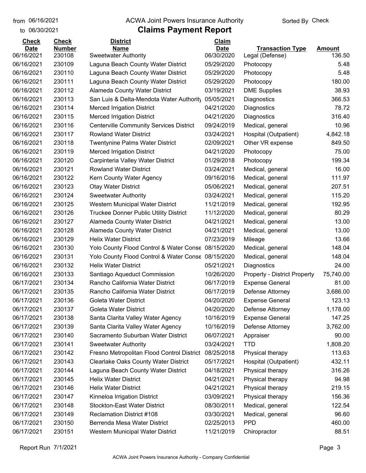to 06/30/2021

#### from 06/16/2021 **The COVA Solic Act Act Authority** Sorted By Check

| <b>Check</b> | <b>Check</b>  | <b>District</b>                                    | Claim       |                                     |               |
|--------------|---------------|----------------------------------------------------|-------------|-------------------------------------|---------------|
| <b>Date</b>  | <b>Number</b> | <b>Name</b>                                        | <b>Date</b> | <b>Transaction Type</b>             | <b>Amount</b> |
| 06/16/2021   | 230108        | <b>Sweetwater Authority</b>                        | 06/30/2020  | Legal (Defense)                     | 136.50        |
| 06/16/2021   | 230109        | Laguna Beach County Water District                 | 05/29/2020  | Photocopy                           | 5.48          |
| 06/16/2021   | 230110        | Laguna Beach County Water District                 | 05/29/2020  | Photocopy                           | 5.48          |
| 06/16/2021   | 230111        | Laguna Beach County Water District                 | 05/29/2020  | Photocopy                           | 180.00        |
| 06/16/2021   | 230112        | Alameda County Water District                      | 03/19/2021  | <b>DME Supplies</b>                 | 38.93         |
| 06/16/2021   | 230113        | San Luis & Delta-Mendota Water Authority           | 05/05/2021  | Diagnostics                         | 366.53        |
| 06/16/2021   | 230114        | <b>Merced Irrigation District</b>                  | 04/21/2020  | Diagnostics                         | 78.72         |
| 06/16/2021   | 230115        | <b>Merced Irrigation District</b>                  | 04/21/2020  | Diagnostics                         | 316.40        |
| 06/16/2021   | 230116        | <b>Centerville Community Services District</b>     | 09/24/2019  | Medical, general                    | 10.96         |
| 06/16/2021   | 230117        | <b>Rowland Water District</b>                      | 03/24/2021  | Hospital (Outpatient)               | 4,842.18      |
| 06/16/2021   | 230118        | <b>Twentynine Palms Water District</b>             | 02/09/2021  | Other VR expense                    | 849.50        |
| 06/16/2021   | 230119        | <b>Merced Irrigation District</b>                  | 04/21/2020  | Photocopy                           | 75.00         |
| 06/16/2021   | 230120        | Carpinteria Valley Water District                  | 01/29/2018  | Photocopy                           | 199.34        |
| 06/16/2021   | 230121        | <b>Rowland Water District</b>                      | 03/24/2021  | Medical, general                    | 16.00         |
| 06/16/2021   | 230122        | Kern County Water Agency                           | 09/16/2016  | Medical, general                    | 111.97        |
| 06/16/2021   | 230123        | <b>Otay Water District</b>                         | 05/06/2021  | Medical, general                    | 207.51        |
| 06/16/2021   | 230124        | <b>Sweetwater Authority</b>                        | 03/24/2021  | Medical, general                    | 115.20        |
| 06/16/2021   | 230125        | Western Municipal Water District                   | 11/21/2019  | Medical, general                    | 192.95        |
| 06/16/2021   | 230126        | <b>Truckee Donner Public Utility District</b>      | 11/12/2020  | Medical, general                    | 80.29         |
| 06/16/2021   | 230127        | Alameda County Water District                      | 04/21/2021  | Medical, general                    | 13.00         |
| 06/16/2021   | 230128        | <b>Alameda County Water District</b>               | 04/21/2021  | Medical, general                    | 13.00         |
| 06/16/2021   | 230129        | <b>Helix Water District</b>                        | 07/23/2019  | Mileage                             | 13.66         |
| 06/16/2021   | 230130        | Yolo County Flood Control & Water Conse 08/15/2020 |             | Medical, general                    | 148.04        |
| 06/16/2021   | 230131        | Yolo County Flood Control & Water Conse 08/15/2020 |             | Medical, general                    | 148.04        |
| 06/16/2021   | 230132        | <b>Helix Water District</b>                        | 05/21/2021  | Diagnostics                         | 24.00         |
| 06/16/2021   | 230133        | Santiago Aqueduct Commission                       | 10/26/2020  | <b>Property - District Property</b> | 75,740.00     |
| 06/17/2021   | 230134        | Rancho California Water District                   | 06/17/2019  | <b>Expense General</b>              | 81.00         |
| 06/17/2021   | 230135        | Rancho California Water District                   | 06/17/2019  | Defense Attorney                    | 3,686.00      |
| 06/17/2021   | 230136        | <b>Goleta Water District</b>                       | 04/20/2020  | <b>Expense General</b>              | 123.13        |
| 06/17/2021   | 230137        | Goleta Water District                              | 04/20/2020  | Defense Attorney                    | 1,178.00      |
| 06/17/2021   | 230138        | Santa Clarita Valley Water Agency                  | 10/16/2019  | <b>Expense General</b>              | 147.25        |
| 06/17/2021   | 230139        | Santa Clarita Valley Water Agency                  | 10/16/2019  | Defense Attorney                    | 3,762.00      |
| 06/17/2021   | 230140        | Sacramento Suburban Water District                 | 06/07/2021  | Appraiser                           | 90.00         |
| 06/17/2021   | 230141        | <b>Sweetwater Authority</b>                        | 03/24/2021  | <b>TTD</b>                          | 1,808.20      |
| 06/17/2021   | 230142        | Fresno Metropolitan Flood Control District         | 08/25/2018  | Physical therapy                    | 113.63        |
| 06/17/2021   | 230143        | <b>Clearlake Oaks County Water District</b>        | 05/17/2021  | Hospital (Outpatient)               | 432.11        |
| 06/17/2021   | 230144        | Laguna Beach County Water District                 | 04/18/2021  | Physical therapy                    | 316.26        |
| 06/17/2021   | 230145        | <b>Helix Water District</b>                        | 04/21/2021  | Physical therapy                    | 94.98         |
| 06/17/2021   | 230146        | <b>Helix Water District</b>                        | 04/21/2021  | Physical therapy                    | 219.15        |
| 06/17/2021   | 230147        | Kinneloa Irrigation District                       | 03/09/2021  | Physical therapy                    | 156.36        |
| 06/17/2021   | 230148        | <b>Stockton-East Water District</b>                | 08/30/2011  | Medical, general                    | 122.54        |
| 06/17/2021   | 230149        | <b>Reclamation District #108</b>                   | 03/30/2021  | Medical, general                    | 96.60         |
| 06/17/2021   | 230150        | Berrenda Mesa Water District                       | 02/25/2013  | <b>PPD</b>                          | 460.00        |
| 06/17/2021   | 230151        | Western Municipal Water District                   | 11/21/2019  | Chiropractor                        | 88.51         |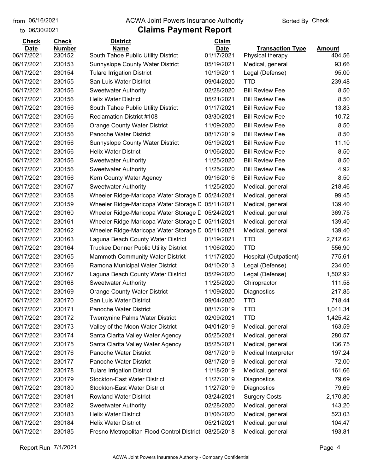to 06/30/2021 06/16/2021

#### from 06/16/2021 **The COVA Solic Act Act Authority** Sorted By Check

| <b>Check</b> | <b>Check</b>  | <b>District</b>                                       | Claim       |                         |               |
|--------------|---------------|-------------------------------------------------------|-------------|-------------------------|---------------|
| <b>Date</b>  | <b>Number</b> | <b>Name</b>                                           | <b>Date</b> | <b>Transaction Type</b> | <b>Amount</b> |
| 06/17/2021   | 230152        | South Tahoe Public Utility District                   | 01/17/2021  | Physical therapy        | 404.56        |
| 06/17/2021   | 230153        | Sunnyslope County Water District                      | 05/19/2021  | Medical, general        | 93.66         |
| 06/17/2021   | 230154        | <b>Tulare Irrigation District</b>                     | 10/19/2011  | Legal (Defense)         | 95.00         |
| 06/17/2021   | 230155        | San Luis Water District                               | 09/04/2020  | TTD                     | 239.48        |
| 06/17/2021   | 230156        | <b>Sweetwater Authority</b>                           | 02/28/2020  | <b>Bill Review Fee</b>  | 8.50          |
| 06/17/2021   | 230156        | <b>Helix Water District</b>                           | 05/21/2021  | <b>Bill Review Fee</b>  | 8.50          |
| 06/17/2021   | 230156        | South Tahoe Public Utility District                   | 01/17/2021  | <b>Bill Review Fee</b>  | 13.83         |
| 06/17/2021   | 230156        | <b>Reclamation District #108</b>                      | 03/30/2021  | <b>Bill Review Fee</b>  | 10.72         |
| 06/17/2021   | 230156        | <b>Orange County Water District</b>                   | 11/09/2020  | <b>Bill Review Fee</b>  | 8.50          |
| 06/17/2021   | 230156        | Panoche Water District                                | 08/17/2019  | <b>Bill Review Fee</b>  | 8.50          |
| 06/17/2021   | 230156        | Sunnyslope County Water District                      | 05/19/2021  | <b>Bill Review Fee</b>  | 11.10         |
| 06/17/2021   | 230156        | <b>Helix Water District</b>                           | 01/06/2020  | <b>Bill Review Fee</b>  | 8.50          |
| 06/17/2021   | 230156        | <b>Sweetwater Authority</b>                           | 11/25/2020  | <b>Bill Review Fee</b>  | 8.50          |
| 06/17/2021   | 230156        | <b>Sweetwater Authority</b>                           | 11/25/2020  | <b>Bill Review Fee</b>  | 4.92          |
| 06/17/2021   | 230156        | Kern County Water Agency                              | 09/16/2016  | <b>Bill Review Fee</b>  | 8.50          |
| 06/17/2021   | 230157        | <b>Sweetwater Authority</b>                           | 11/25/2020  | Medical, general        | 218.46        |
| 06/17/2021   | 230158        | Wheeler Ridge-Maricopa Water Storage D                | 05/24/2021  | Medical, general        | 99.45         |
| 06/17/2021   | 230159        | Wheeler Ridge-Maricopa Water Storage D                | 05/11/2021  | Medical, general        | 139.40        |
| 06/17/2021   | 230160        | Wheeler Ridge-Maricopa Water Storage D                | 05/24/2021  | Medical, general        | 369.75        |
| 06/17/2021   | 230161        | Wheeler Ridge-Maricopa Water Storage D                | 05/11/2021  | Medical, general        | 139.40        |
| 06/17/2021   | 230162        | Wheeler Ridge-Maricopa Water Storage D                | 05/11/2021  | Medical, general        | 139.40        |
| 06/17/2021   | 230163        | Laguna Beach County Water District                    | 01/19/2021  | <b>TTD</b>              | 2,712.62      |
| 06/17/2021   | 230164        | <b>Truckee Donner Public Utility District</b>         | 11/06/2020  | <b>TTD</b>              | 556.90        |
| 06/17/2021   | 230165        | <b>Mammoth Community Water District</b>               | 11/17/2020  | Hospital (Outpatient)   | 775.61        |
| 06/17/2021   | 230166        | Ramona Municipal Water District                       | 04/10/2013  | Legal (Defense)         | 234.00        |
| 06/17/2021   | 230167        | Laguna Beach County Water District                    | 05/29/2020  | Legal (Defense)         | 1,502.92      |
| 06/17/2021   | 230168        | <b>Sweetwater Authority</b>                           | 11/25/2020  | Chiropractor            | 111.58        |
| 06/17/2021   | 230169        | <b>Orange County Water District</b>                   | 11/09/2020  | Diagnostics             | 217.85        |
| 06/17/2021   | 230170        | San Luis Water District                               | 09/04/2020  | <b>TTD</b>              | 718.44        |
| 06/17/2021   | 230171        | Panoche Water District                                | 08/17/2019  | <b>TTD</b>              | 1,041.34      |
| 06/17/2021   | 230172        | <b>Twentynine Palms Water District</b>                | 02/09/2021  | <b>TTD</b>              | 1,425.42      |
| 06/17/2021   | 230173        | Valley of the Moon Water District                     | 04/01/2019  | Medical, general        | 163.59        |
| 06/17/2021   | 230174        | Santa Clarita Valley Water Agency                     | 05/25/2021  | Medical, general        | 280.57        |
| 06/17/2021   | 230175        | Santa Clarita Valley Water Agency                     | 05/25/2021  | Medical, general        | 136.75        |
| 06/17/2021   | 230176        | Panoche Water District                                | 08/17/2019  | Medical Interpreter     | 197.24        |
| 06/17/2021   | 230177        | Panoche Water District                                | 08/17/2019  | Medical, general        | 72.00         |
| 06/17/2021   | 230178        | <b>Tulare Irrigation District</b>                     | 11/18/2019  | Medical, general        | 161.66        |
| 06/17/2021   | 230179        | <b>Stockton-East Water District</b>                   | 11/27/2019  | Diagnostics             | 79.69         |
| 06/17/2021   | 230180        | <b>Stockton-East Water District</b>                   | 11/27/2019  | Diagnostics             | 79.69         |
| 06/17/2021   | 230181        | <b>Rowland Water District</b>                         | 03/24/2021  | <b>Surgery Costs</b>    | 2,170.80      |
| 06/17/2021   | 230182        | <b>Sweetwater Authority</b>                           | 02/28/2020  | Medical, general        | 143.20        |
| 06/17/2021   | 230183        | <b>Helix Water District</b>                           | 01/06/2020  | Medical, general        | 523.03        |
| 06/17/2021   | 230184        | <b>Helix Water District</b>                           | 05/21/2021  | Medical, general        | 104.47        |
| 06/17/2021   | 230185        | Fresno Metropolitan Flood Control District 08/25/2018 |             | Medical, general        | 193.81        |
|              |               |                                                       |             |                         |               |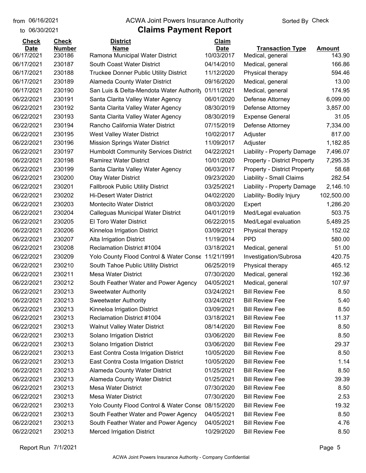to 06/30/2021

#### from 06/16/2021 **The COVA Solic Act Act Authority** Sorted By Check

| <b>Check</b>              | <b>Check</b>            | <b>District</b>                                                           | Claim                     |                                      |                         |
|---------------------------|-------------------------|---------------------------------------------------------------------------|---------------------------|--------------------------------------|-------------------------|
| <b>Date</b><br>06/17/2021 | <b>Number</b><br>230186 | <b>Name</b><br>Ramona Municipal Water District                            | <b>Date</b><br>10/03/2017 | <b>Transaction Type</b>              | <b>Amount</b><br>143.90 |
| 06/17/2021                | 230187                  | South Coast Water District                                                | 04/14/2010                | Medical, general                     | 166.86                  |
| 06/17/2021                | 230188                  |                                                                           | 11/12/2020                | Medical, general                     | 594.46                  |
| 06/17/2021                | 230189                  | <b>Truckee Donner Public Utility District</b>                             | 09/16/2020                | Physical therapy                     | 13.00                   |
| 06/17/2021                | 230190                  | Alameda County Water District<br>San Luis & Delta-Mendota Water Authority | 01/11/2021                | Medical, general<br>Medical, general | 174.95                  |
| 06/22/2021                | 230191                  | Santa Clarita Valley Water Agency                                         | 06/01/2020                | Defense Attorney                     | 6,099.00                |
| 06/22/2021                | 230192                  | Santa Clarita Valley Water Agency                                         | 08/30/2019                | Defense Attorney                     | 3,857.00                |
| 06/22/2021                | 230193                  | Santa Clarita Valley Water Agency                                         | 08/30/2019                | <b>Expense General</b>               | 31.05                   |
| 06/22/2021                | 230194                  | Rancho California Water District                                          | 07/15/2019                | Defense Attorney                     | 7,334.00                |
| 06/22/2021                | 230195                  | West Valley Water District                                                | 10/02/2017                | Adjuster                             | 817.00                  |
| 06/22/2021                | 230196                  | <b>Mission Springs Water District</b>                                     | 11/09/2017                | Adjuster                             | 1,182.85                |
| 06/22/2021                | 230197                  | <b>Humboldt Community Services District</b>                               | 04/22/2021                | Liability - Property Damage          | 7,496.07                |
| 06/22/2021                | 230198                  | <b>Ramirez Water District</b>                                             | 10/01/2020                | <b>Property - District Property</b>  | 7,295.35                |
| 06/22/2021                | 230199                  | Santa Clarita Valley Water Agency                                         | 06/03/2017                | <b>Property - District Property</b>  | 58.68                   |
| 06/22/2021                | 230200                  | <b>Otay Water District</b>                                                | 09/23/2020                | Liability - Small Claims             | 282.54                  |
| 06/22/2021                | 230201                  | <b>Fallbrook Public Utility District</b>                                  | 03/25/2021                | Liability - Property Damage          | 2,146.10                |
| 06/22/2021                | 230202                  | <b>Hi-Desert Water District</b>                                           | 04/02/2020                | Liability- Bodily Injury             | 102,500.00              |
| 06/22/2021                | 230203                  | <b>Montecito Water District</b>                                           | 08/03/2020                | Expert                               | 1,286.20                |
| 06/22/2021                | 230204                  | Calleguas Municipal Water District                                        | 04/01/2019                | Med/Legal evaluation                 | 503.75                  |
| 06/22/2021                | 230205                  | El Toro Water District                                                    | 06/22/2015                | Med/Legal evaluation                 | 5,489.25                |
| 06/22/2021                | 230206                  | Kinneloa Irrigation District                                              | 03/09/2021                | Physical therapy                     | 152.02                  |
| 06/22/2021                | 230207                  | Alta Irrigation District                                                  | 11/19/2014                | <b>PPD</b>                           | 580.00                  |
| 06/22/2021                | 230208                  | Reclamation District #1004                                                | 03/18/2021                | Medical, general                     | 51.00                   |
| 06/22/2021                | 230209                  | Yolo County Flood Control & Water Conse                                   | 11/21/1991                | Investigation/Subrosa                | 420.75                  |
| 06/22/2021                | 230210                  | South Tahoe Public Utility District                                       | 06/25/2019                | Physical therapy                     | 465.12                  |
| 06/22/2021                | 230211                  | <b>Mesa Water District</b>                                                | 07/30/2020                | Medical, general                     | 192.36                  |
| 06/22/2021                | 230212                  | South Feather Water and Power Agency                                      | 04/05/2021                | Medical, general                     | 107.97                  |
| 06/22/2021                | 230213                  | <b>Sweetwater Authority</b>                                               | 03/24/2021                | <b>Bill Review Fee</b>               | 8.50                    |
| 06/22/2021                | 230213                  | <b>Sweetwater Authority</b>                                               | 03/24/2021                | <b>Bill Review Fee</b>               | 5.40                    |
| 06/22/2021                | 230213                  | Kinneloa Irrigation District                                              | 03/09/2021                | <b>Bill Review Fee</b>               | 8.50                    |
| 06/22/2021                | 230213                  | Reclamation District #1004                                                | 03/18/2021                | <b>Bill Review Fee</b>               | 11.37                   |
| 06/22/2021                | 230213                  | <b>Walnut Valley Water District</b>                                       | 08/14/2020                | <b>Bill Review Fee</b>               | 8.50                    |
| 06/22/2021                | 230213                  | Solano Irrigation District                                                | 03/06/2020                | <b>Bill Review Fee</b>               | 8.50                    |
| 06/22/2021                | 230213                  | Solano Irrigation District                                                | 03/06/2020                | <b>Bill Review Fee</b>               | 29.37                   |
| 06/22/2021                | 230213                  | East Contra Costa Irrigation District                                     | 10/05/2020                | <b>Bill Review Fee</b>               | 8.50                    |
| 06/22/2021                | 230213                  | East Contra Costa Irrigation District                                     | 10/05/2020                | <b>Bill Review Fee</b>               | 1.14                    |
| 06/22/2021                | 230213                  | Alameda County Water District                                             | 01/25/2021                | <b>Bill Review Fee</b>               | 8.50                    |
| 06/22/2021                | 230213                  | Alameda County Water District                                             | 01/25/2021                | <b>Bill Review Fee</b>               | 39.39                   |
| 06/22/2021                | 230213                  | <b>Mesa Water District</b>                                                | 07/30/2020                | <b>Bill Review Fee</b>               | 8.50                    |
| 06/22/2021                | 230213                  | <b>Mesa Water District</b>                                                | 07/30/2020                | <b>Bill Review Fee</b>               | 2.53                    |
| 06/22/2021                | 230213                  | Yolo County Flood Control & Water Conse                                   | 08/15/2020                | <b>Bill Review Fee</b>               | 19.32                   |
| 06/22/2021                | 230213                  | South Feather Water and Power Agency                                      | 04/05/2021                | <b>Bill Review Fee</b>               | 8.50                    |
| 06/22/2021                | 230213                  | South Feather Water and Power Agency                                      | 04/05/2021                | <b>Bill Review Fee</b>               | 4.76                    |
| 06/22/2021                | 230213                  | <b>Merced Irrigation District</b>                                         | 10/29/2020                | <b>Bill Review Fee</b>               | 8.50                    |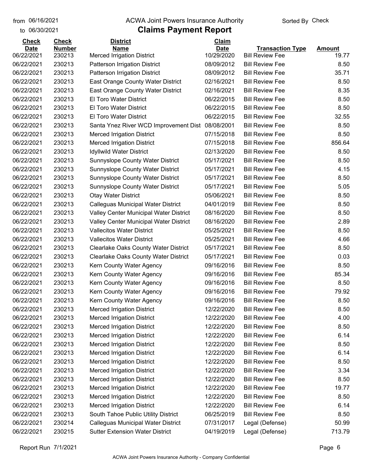#### from 06/16/2021 **The COVA Solic Act Act Authority** Sorted By Check

#### to 06/30/2021

| <b>Check</b>             | <b>Check</b>     | <b>District</b>                               | Claim                    |                                                  |               |
|--------------------------|------------------|-----------------------------------------------|--------------------------|--------------------------------------------------|---------------|
| <b>Date</b>              | <b>Number</b>    | <b>Name</b>                                   | <b>Date</b>              | <b>Transaction Type</b>                          | <b>Amount</b> |
| 06/22/2021<br>06/22/2021 | 230213<br>230213 | <b>Merced Irrigation District</b>             | 10/29/2020<br>08/09/2012 | <b>Bill Review Fee</b><br><b>Bill Review Fee</b> | 19.77<br>8.50 |
|                          | 230213           | Patterson Irrigation District                 |                          |                                                  | 35.71         |
| 06/22/2021               |                  | Patterson Irrigation District                 | 08/09/2012               | <b>Bill Review Fee</b>                           |               |
| 06/22/2021               | 230213           | East Orange County Water District             | 02/16/2021               | <b>Bill Review Fee</b>                           | 8.50          |
| 06/22/2021               | 230213           | East Orange County Water District             | 02/16/2021               | <b>Bill Review Fee</b>                           | 8.35          |
| 06/22/2021               | 230213           | <b>El Toro Water District</b>                 | 06/22/2015               | <b>Bill Review Fee</b>                           | 8.50          |
| 06/22/2021               | 230213           | <b>El Toro Water District</b>                 | 06/22/2015               | <b>Bill Review Fee</b>                           | 8.50          |
| 06/22/2021               | 230213           | El Toro Water District                        | 06/22/2015               | <b>Bill Review Fee</b>                           | 32.55         |
| 06/22/2021               | 230213           | Santa Ynez River WCD Improvement Dist         | 08/08/2001               | <b>Bill Review Fee</b>                           | 8.50          |
| 06/22/2021               | 230213           | <b>Merced Irrigation District</b>             | 07/15/2018               | <b>Bill Review Fee</b>                           | 8.50          |
| 06/22/2021               | 230213           | <b>Merced Irrigation District</b>             | 07/15/2018               | <b>Bill Review Fee</b>                           | 856.64        |
| 06/22/2021               | 230213           | Idyllwild Water District                      | 02/13/2020               | <b>Bill Review Fee</b>                           | 8.50          |
| 06/22/2021               | 230213           | <b>Sunnyslope County Water District</b>       | 05/17/2021               | <b>Bill Review Fee</b>                           | 8.50          |
| 06/22/2021               | 230213           | Sunnyslope County Water District              | 05/17/2021               | <b>Bill Review Fee</b>                           | 4.15          |
| 06/22/2021               | 230213           | Sunnyslope County Water District              | 05/17/2021               | <b>Bill Review Fee</b>                           | 8.50          |
| 06/22/2021               | 230213           | Sunnyslope County Water District              | 05/17/2021               | <b>Bill Review Fee</b>                           | 5.05          |
| 06/22/2021               | 230213           | <b>Otay Water District</b>                    | 05/06/2021               | <b>Bill Review Fee</b>                           | 8.50          |
| 06/22/2021               | 230213           | Calleguas Municipal Water District            | 04/01/2019               | <b>Bill Review Fee</b>                           | 8.50          |
| 06/22/2021               | 230213           | <b>Valley Center Municipal Water District</b> | 08/16/2020               | <b>Bill Review Fee</b>                           | 8.50          |
| 06/22/2021               | 230213           | <b>Valley Center Municipal Water District</b> | 08/16/2020               | <b>Bill Review Fee</b>                           | 2.89          |
| 06/22/2021               | 230213           | <b>Vallecitos Water District</b>              | 05/25/2021               | <b>Bill Review Fee</b>                           | 8.50          |
| 06/22/2021               | 230213           | <b>Vallecitos Water District</b>              | 05/25/2021               | <b>Bill Review Fee</b>                           | 4.66          |
| 06/22/2021               | 230213           | <b>Clearlake Oaks County Water District</b>   | 05/17/2021               | <b>Bill Review Fee</b>                           | 8.50          |
| 06/22/2021               | 230213           | <b>Clearlake Oaks County Water District</b>   | 05/17/2021               | <b>Bill Review Fee</b>                           | 0.03          |
| 06/22/2021               | 230213           | Kern County Water Agency                      | 09/16/2016               | <b>Bill Review Fee</b>                           | 8.50          |
| 06/22/2021               | 230213           | Kern County Water Agency                      | 09/16/2016               | <b>Bill Review Fee</b>                           | 85.34         |
| 06/22/2021               | 230213           | Kern County Water Agency                      | 09/16/2016               | <b>Bill Review Fee</b>                           | 8.50          |
| 06/22/2021               | 230213           | Kern County Water Agency                      | 09/16/2016               | <b>Bill Review Fee</b>                           | 79.92         |
| 06/22/2021               | 230213           | Kern County Water Agency                      | 09/16/2016               | <b>Bill Review Fee</b>                           | 8.50          |
| 06/22/2021               | 230213           | <b>Merced Irrigation District</b>             | 12/22/2020               | <b>Bill Review Fee</b>                           | 8.50          |
| 06/22/2021               | 230213           | <b>Merced Irrigation District</b>             | 12/22/2020               | <b>Bill Review Fee</b>                           | 4.00          |
| 06/22/2021               | 230213           | <b>Merced Irrigation District</b>             | 12/22/2020               | <b>Bill Review Fee</b>                           | 8.50          |
| 06/22/2021               | 230213           | <b>Merced Irrigation District</b>             | 12/22/2020               | <b>Bill Review Fee</b>                           | 6.14          |
| 06/22/2021               | 230213           | <b>Merced Irrigation District</b>             | 12/22/2020               | <b>Bill Review Fee</b>                           | 8.50          |
| 06/22/2021               | 230213           | <b>Merced Irrigation District</b>             | 12/22/2020               | <b>Bill Review Fee</b>                           | 6.14          |
| 06/22/2021               | 230213           | <b>Merced Irrigation District</b>             | 12/22/2020               | <b>Bill Review Fee</b>                           | 8.50          |
| 06/22/2021               | 230213           | <b>Merced Irrigation District</b>             | 12/22/2020               | <b>Bill Review Fee</b>                           | 3.34          |
| 06/22/2021               | 230213           | <b>Merced Irrigation District</b>             | 12/22/2020               | <b>Bill Review Fee</b>                           | 8.50          |
| 06/22/2021               | 230213           | <b>Merced Irrigation District</b>             | 12/22/2020               | <b>Bill Review Fee</b>                           | 19.77         |
| 06/22/2021               | 230213           | <b>Merced Irrigation District</b>             | 12/22/2020               | <b>Bill Review Fee</b>                           | 8.50          |
| 06/22/2021               | 230213           | <b>Merced Irrigation District</b>             | 12/22/2020               | <b>Bill Review Fee</b>                           | 6.14          |
| 06/22/2021               | 230213           | South Tahoe Public Utility District           | 06/25/2019               | <b>Bill Review Fee</b>                           | 8.50          |
| 06/22/2021               | 230214           | Calleguas Municipal Water District            | 07/31/2017               | Legal (Defense)                                  | 50.99         |
| 06/22/2021               | 230215           | <b>Sutter Extension Water District</b>        | 04/19/2019               | Legal (Defense)                                  | 713.79        |
|                          |                  |                                               |                          |                                                  |               |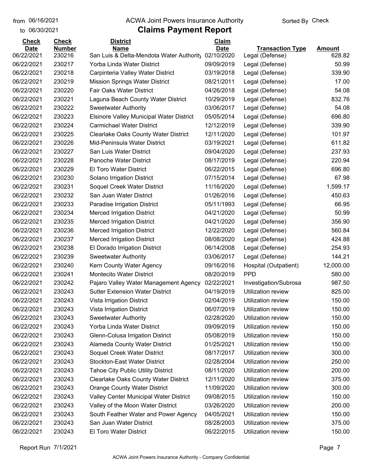to 06/30/2021

#### from 06/16/2021 **The COVA Solic Act Act Authority** Sorted By Check

## **Claims Payment Report**

| <b>Check</b> | <b>Check</b>  | <b>District</b>                                 | Claim       |                         |               |
|--------------|---------------|-------------------------------------------------|-------------|-------------------------|---------------|
| <b>Date</b>  | <b>Number</b> | <b>Name</b>                                     | <b>Date</b> | <b>Transaction Type</b> | <b>Amount</b> |
| 06/22/2021   | 230216        | San Luis & Delta-Mendota Water Authority        | 02/10/2020  | Legal (Defense)         | 628.82        |
| 06/22/2021   | 230217        | Yorba Linda Water District                      | 09/09/2019  | Legal (Defense)         | 50.99         |
| 06/22/2021   | 230218        | Carpinteria Valley Water District               | 03/19/2018  | Legal (Defense)         | 339.90        |
| 06/22/2021   | 230219        | <b>Mission Springs Water District</b>           | 08/21/2011  | Legal (Defense)         | 17.00         |
| 06/22/2021   | 230220        | <b>Fair Oaks Water District</b>                 | 04/26/2018  | Legal (Defense)         | 54.08         |
| 06/22/2021   | 230221        | Laguna Beach County Water District              | 10/29/2019  | Legal (Defense)         | 832.76        |
| 06/22/2021   | 230222        | <b>Sweetwater Authority</b>                     | 03/06/2017  | Legal (Defense)         | 54.08         |
| 06/22/2021   | 230223        | <b>Elsinore Valley Municipal Water District</b> | 05/05/2014  | Legal (Defense)         | 696.80        |
| 06/22/2021   | 230224        | <b>Carmichael Water District</b>                | 12/12/2019  | Legal (Defense)         | 339.90        |
| 06/22/2021   | 230225        | <b>Clearlake Oaks County Water District</b>     | 12/11/2020  | Legal (Defense)         | 101.97        |
| 06/22/2021   | 230226        | Mid-Peninsula Water District                    | 03/19/2021  | Legal (Defense)         | 611.82        |
| 06/22/2021   | 230227        | San Luis Water District                         | 09/04/2020  | Legal (Defense)         | 237.93        |
| 06/22/2021   | 230228        | <b>Panoche Water District</b>                   | 08/17/2019  | Legal (Defense)         | 220.94        |
| 06/22/2021   | 230229        | El Toro Water District                          | 06/22/2015  | Legal (Defense)         | 696.80        |
| 06/22/2021   | 230230        | Solano Irrigation District                      | 07/15/2014  | Legal (Defense)         | 67.98         |
| 06/22/2021   | 230231        | Soquel Creek Water District                     | 11/16/2020  | Legal (Defense)         | 1,599.17      |
| 06/22/2021   | 230232        | San Juan Water District                         | 01/26/2016  | Legal (Defense)         | 450.63        |
| 06/22/2021   | 230233        | Paradise Irrigation District                    | 05/11/1993  | Legal (Defense)         | 66.95         |
| 06/22/2021   | 230234        | <b>Merced Irrigation District</b>               | 04/21/2020  | Legal (Defense)         | 50.99         |
| 06/22/2021   | 230235        | <b>Merced Irrigation District</b>               | 04/21/2020  | Legal (Defense)         | 356.90        |
| 06/22/2021   | 230236        | <b>Merced Irrigation District</b>               | 12/22/2020  | Legal (Defense)         | 560.84        |
| 06/22/2021   | 230237        | <b>Merced Irrigation District</b>               | 08/08/2020  | Legal (Defense)         | 424.88        |
| 06/22/2021   | 230238        | El Dorado Irrigation District                   | 06/14/2008  | Legal (Defense)         | 254.93        |
| 06/22/2021   | 230239        | <b>Sweetwater Authority</b>                     | 03/06/2017  | Legal (Defense)         | 144.21        |
| 06/22/2021   | 230240        | Kern County Water Agency                        | 09/16/2016  | Hospital (Outpatient)   | 12,000.00     |
| 06/22/2021   | 230241        | <b>Montecito Water District</b>                 | 08/20/2019  | <b>PPD</b>              | 580.00        |
| 06/22/2021   | 230242        | Pajaro Valley Water Management Agency           | 02/22/2021  | Investigation/Subrosa   | 987.50        |
| 06/22/2021   | 230243        | <b>Sutter Extension Water District</b>          | 04/19/2019  | Utilization review      | 825.00        |
| 06/22/2021   | 230243        | Vista Irrigation District                       | 02/04/2019  | Utilization review      | 150.00        |
| 06/22/2021   | 230243        | Vista Irrigation District                       | 06/07/2019  | Utilization review      | 150.00        |
| 06/22/2021   | 230243        | <b>Sweetwater Authority</b>                     | 02/28/2020  | Utilization review      | 150.00        |
| 06/22/2021   | 230243        | Yorba Linda Water District                      | 09/09/2019  | Utilization review      | 150.00        |
| 06/22/2021   | 230243        | Glenn-Colusa Irrigation District                | 05/08/2019  | Utilization review      | 150.00        |
| 06/22/2021   | 230243        | Alameda County Water District                   | 01/25/2021  | Utilization review      | 150.00        |
| 06/22/2021   | 230243        | Soquel Creek Water District                     | 08/17/2017  | Utilization review      | 300.00        |
| 06/22/2021   | 230243        | <b>Stockton-East Water District</b>             | 02/28/2004  | Utilization review      | 250.00        |
| 06/22/2021   | 230243        | <b>Tahoe City Public Utility District</b>       | 08/11/2020  | Utilization review      | 200.00        |
| 06/22/2021   | 230243        | <b>Clearlake Oaks County Water District</b>     | 12/11/2020  | Utilization review      | 375.00        |
| 06/22/2021   | 230243        | <b>Orange County Water District</b>             | 11/09/2020  | Utilization review      | 300.00        |
| 06/22/2021   | 230243        | Valley Center Municipal Water District          | 09/08/2015  | Utilization review      | 150.00        |
| 06/22/2021   | 230243        | Valley of the Moon Water District               | 03/26/2020  | Utilization review      | 200.00        |
| 06/22/2021   | 230243        | South Feather Water and Power Agency            | 04/05/2021  | Utilization review      | 150.00        |
| 06/22/2021   | 230243        | San Juan Water District                         | 08/28/2003  | Utilization review      | 375.00        |
| 06/22/2021   | 230243        | El Toro Water District                          | 06/22/2015  | Utilization review      | 150.00        |
|              |               |                                                 |             |                         |               |

Report Run 7/1/2021 Page 7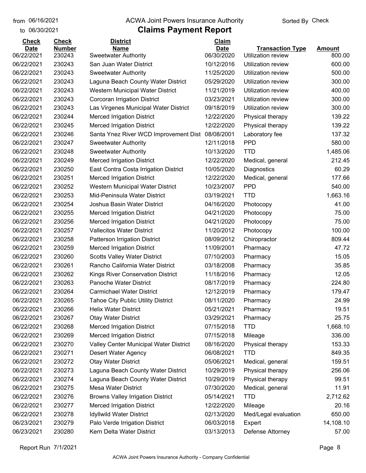to 06/30/2021

#### from 06/16/2021 **The COVA Solic Act Act Authority** Sorted By Check

## **Claims Payment Report**

| <b>Check</b> | <b>Check</b>  | <b>District</b>                                  | Claim       |                           |               |
|--------------|---------------|--------------------------------------------------|-------------|---------------------------|---------------|
| <b>Date</b>  | <b>Number</b> | <b>Name</b>                                      | <b>Date</b> | <b>Transaction Type</b>   | <b>Amount</b> |
| 06/22/2021   | 230243        | <b>Sweetwater Authority</b>                      | 06/30/2020  | <b>Utilization review</b> | 800.00        |
| 06/22/2021   | 230243        | San Juan Water District                          | 10/12/2016  | Utilization review        | 600.00        |
| 06/22/2021   | 230243        | <b>Sweetwater Authority</b>                      | 11/25/2020  | Utilization review        | 500.00        |
| 06/22/2021   | 230243        | Laguna Beach County Water District               | 05/29/2020  | Utilization review        | 300.00        |
| 06/22/2021   | 230243        | Western Municipal Water District                 | 11/21/2019  | Utilization review        | 400.00        |
| 06/22/2021   | 230243        | Corcoran Irrigation District                     | 03/23/2021  | Utilization review        | 300.00        |
| 06/22/2021   | 230243        | Las Virgenes Municipal Water District            | 09/18/2019  | Utilization review        | 300.00        |
| 06/22/2021   | 230244        | <b>Merced Irrigation District</b>                | 12/22/2020  | Physical therapy          | 139.22        |
| 06/22/2021   | 230245        | <b>Merced Irrigation District</b>                | 12/22/2020  | Physical therapy          | 139.22        |
| 06/22/2021   | 230246        | Santa Ynez River WCD Improvement Dist 08/08/2001 |             | Laboratory fee            | 137.32        |
| 06/22/2021   | 230247        | <b>Sweetwater Authority</b>                      | 12/11/2018  | <b>PPD</b>                | 580.00        |
| 06/22/2021   | 230248        | <b>Sweetwater Authority</b>                      | 10/13/2020  | <b>TTD</b>                | 1,485.06      |
| 06/22/2021   | 230249        | <b>Merced Irrigation District</b>                | 12/22/2020  | Medical, general          | 212.45        |
| 06/22/2021   | 230250        | East Contra Costa Irrigation District            | 10/05/2020  | Diagnostics               | 60.29         |
| 06/22/2021   | 230251        | <b>Merced Irrigation District</b>                | 12/22/2020  | Medical, general          | 177.66        |
| 06/22/2021   | 230252        | Western Municipal Water District                 | 10/23/2007  | <b>PPD</b>                | 540.00        |
| 06/22/2021   | 230253        | Mid-Peninsula Water District                     | 03/19/2021  | <b>TTD</b>                | 1,663.16      |
| 06/22/2021   | 230254        | Joshua Basin Water District                      | 04/16/2020  | Photocopy                 | 41.00         |
| 06/22/2021   | 230255        | <b>Merced Irrigation District</b>                | 04/21/2020  | Photocopy                 | 75.00         |
| 06/22/2021   | 230256        | <b>Merced Irrigation District</b>                | 04/21/2020  | Photocopy                 | 75.00         |
| 06/22/2021   | 230257        | <b>Vallecitos Water District</b>                 | 11/20/2012  | Photocopy                 | 100.00        |
| 06/22/2021   | 230258        | Patterson Irrigation District                    | 08/09/2012  | Chiropractor              | 809.44        |
| 06/22/2021   | 230259        | <b>Merced Irrigation District</b>                | 11/09/2001  | Pharmacy                  | 47.72         |
| 06/22/2021   | 230260        | <b>Scotts Valley Water District</b>              | 07/10/2003  | Pharmacy                  | 15.05         |
| 06/22/2021   | 230261        | Rancho California Water District                 | 03/18/2008  | Pharmacy                  | 35.85         |
| 06/22/2021   | 230262        | <b>Kings River Conservation District</b>         | 11/18/2016  | Pharmacy                  | 12.05         |
| 06/22/2021   | 230263        | Panoche Water District                           | 08/17/2019  | Pharmacy                  | 224.80        |
| 06/22/2021   | 230264        | <b>Carmichael Water District</b>                 | 12/12/2019  | Pharmacy                  | 179.47        |
| 06/22/2021   | 230265        | <b>Tahoe City Public Utility District</b>        | 08/11/2020  | Pharmacy                  | 24.99         |
| 06/22/2021   | 230266        | <b>Helix Water District</b>                      | 05/21/2021  | Pharmacy                  | 19.51         |
| 06/22/2021   | 230267        | <b>Otay Water District</b>                       | 03/29/2021  | Pharmacy                  | 25.75         |
| 06/22/2021   | 230268        | <b>Merced Irrigation District</b>                | 07/15/2018  | <b>TTD</b>                | 1,668.10      |
| 06/22/2021   | 230269        | <b>Merced Irrigation District</b>                | 07/15/2018  | Mileage                   | 336.00        |
| 06/22/2021   | 230270        | Valley Center Municipal Water District           | 08/16/2020  | Physical therapy          | 153.33        |
| 06/22/2021   | 230271        | Desert Water Agency                              | 06/08/2021  | <b>TTD</b>                | 849.35        |
| 06/22/2021   | 230272        | <b>Otay Water District</b>                       | 05/06/2021  | Medical, general          | 159.51        |
| 06/22/2021   | 230273        | Laguna Beach County Water District               | 10/29/2019  | Physical therapy          | 256.06        |
| 06/22/2021   | 230274        | Laguna Beach County Water District               | 10/29/2019  | Physical therapy          | 99.51         |
| 06/22/2021   | 230275        | <b>Mesa Water District</b>                       | 07/30/2020  | Medical, general          | 11.91         |
| 06/22/2021   | 230276        | <b>Browns Valley Irrigation District</b>         | 05/14/2021  | <b>TTD</b>                | 2,712.62      |
| 06/22/2021   | 230277        | <b>Merced Irrigation District</b>                | 12/22/2020  | Mileage                   | 20.16         |
| 06/22/2021   | 230278        | <b>Idyllwild Water District</b>                  | 02/13/2020  | Med/Legal evaluation      | 650.00        |
| 06/23/2021   | 230279        | Palo Verde Irrigation District                   | 06/03/2018  | Expert                    | 14,108.10     |
| 06/23/2021   | 230280        | Kern Delta Water District                        | 03/13/2013  | Defense Attorney          | 57.00         |
|              |               |                                                  |             |                           |               |

Report Run 7/1/2021 Page 8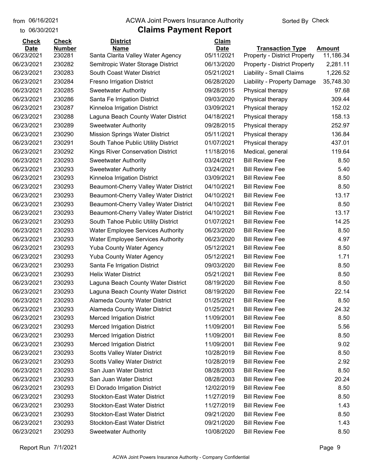to 06/30/2021

#### from 06/16/2021 **The COVA Solic Act Act Authority** Sorted By Check

| <b>Check</b> | <b>Check</b>  | <b>District</b>                          | Claim       |                                     |               |
|--------------|---------------|------------------------------------------|-------------|-------------------------------------|---------------|
| <b>Date</b>  | <b>Number</b> | <b>Name</b>                              | <b>Date</b> | <b>Transaction Type</b>             | <b>Amount</b> |
| 06/23/2021   | 230281        | Santa Clarita Valley Water Agency        | 05/11/2021  | <b>Property - District Property</b> | 11,186.34     |
| 06/23/2021   | 230282        | Semitropic Water Storage District        | 06/13/2020  | <b>Property - District Property</b> | 2,281.11      |
| 06/23/2021   | 230283        | South Coast Water District               | 05/21/2021  | Liability - Small Claims            | 1,226.52      |
| 06/23/2021   | 230284        | <b>Fresno Irrigation District</b>        | 06/28/2020  | Liability - Property Damage         | 35,748.30     |
| 06/23/2021   | 230285        | <b>Sweetwater Authority</b>              | 09/28/2015  | Physical therapy                    | 97.68         |
| 06/23/2021   | 230286        | Santa Fe Irrigation District             | 09/03/2020  | Physical therapy                    | 309.44        |
| 06/23/2021   | 230287        | Kinneloa Irrigation District             | 03/09/2021  | Physical therapy                    | 152.02        |
| 06/23/2021   | 230288        | Laguna Beach County Water District       | 04/18/2021  | Physical therapy                    | 158.13        |
| 06/23/2021   | 230289        | <b>Sweetwater Authority</b>              | 09/28/2015  | Physical therapy                    | 252.97        |
| 06/23/2021   | 230290        | <b>Mission Springs Water District</b>    | 05/11/2021  | Physical therapy                    | 136.84        |
| 06/23/2021   | 230291        | South Tahoe Public Utility District      | 01/07/2021  | Physical therapy                    | 437.01        |
| 06/23/2021   | 230292        | <b>Kings River Conservation District</b> | 11/18/2016  | Medical, general                    | 119.64        |
| 06/23/2021   | 230293        | <b>Sweetwater Authority</b>              | 03/24/2021  | <b>Bill Review Fee</b>              | 8.50          |
| 06/23/2021   | 230293        | <b>Sweetwater Authority</b>              | 03/24/2021  | <b>Bill Review Fee</b>              | 5.40          |
| 06/23/2021   | 230293        | Kinneloa Irrigation District             | 03/09/2021  | <b>Bill Review Fee</b>              | 8.50          |
| 06/23/2021   | 230293        | Beaumont-Cherry Valley Water District    | 04/10/2021  | <b>Bill Review Fee</b>              | 8.50          |
| 06/23/2021   | 230293        | Beaumont-Cherry Valley Water District    | 04/10/2021  | <b>Bill Review Fee</b>              | 13.17         |
| 06/23/2021   | 230293        | Beaumont-Cherry Valley Water District    | 04/10/2021  | <b>Bill Review Fee</b>              | 8.50          |
| 06/23/2021   | 230293        | Beaumont-Cherry Valley Water District    | 04/10/2021  | <b>Bill Review Fee</b>              | 13.17         |
| 06/23/2021   | 230293        | South Tahoe Public Utility District      | 01/07/2021  | <b>Bill Review Fee</b>              | 14.25         |
| 06/23/2021   | 230293        | <b>Water Employee Services Authority</b> | 06/23/2020  | <b>Bill Review Fee</b>              | 8.50          |
| 06/23/2021   | 230293        | <b>Water Employee Services Authority</b> | 06/23/2020  | <b>Bill Review Fee</b>              | 4.97          |
| 06/23/2021   | 230293        | <b>Yuba County Water Agency</b>          | 05/12/2021  | <b>Bill Review Fee</b>              | 8.50          |
| 06/23/2021   | 230293        | <b>Yuba County Water Agency</b>          | 05/12/2021  | <b>Bill Review Fee</b>              | 1.71          |
| 06/23/2021   | 230293        | Santa Fe Irrigation District             | 09/03/2020  | <b>Bill Review Fee</b>              | 8.50          |
| 06/23/2021   | 230293        | <b>Helix Water District</b>              | 05/21/2021  | <b>Bill Review Fee</b>              | 8.50          |
| 06/23/2021   | 230293        | Laguna Beach County Water District       | 08/19/2020  | <b>Bill Review Fee</b>              | 8.50          |
| 06/23/2021   | 230293        | Laguna Beach County Water District       | 08/19/2020  | <b>Bill Review Fee</b>              | 22.14         |
| 06/23/2021   | 230293        | Alameda County Water District            | 01/25/2021  | <b>Bill Review Fee</b>              | 8.50          |
| 06/23/2021   | 230293        | <b>Alameda County Water District</b>     | 01/25/2021  | <b>Bill Review Fee</b>              | 24.32         |
| 06/23/2021   | 230293        | <b>Merced Irrigation District</b>        | 11/09/2001  | <b>Bill Review Fee</b>              | 8.50          |
| 06/23/2021   | 230293        | <b>Merced Irrigation District</b>        | 11/09/2001  | <b>Bill Review Fee</b>              | 5.56          |
| 06/23/2021   | 230293        | <b>Merced Irrigation District</b>        | 11/09/2001  | <b>Bill Review Fee</b>              | 8.50          |
| 06/23/2021   | 230293        | <b>Merced Irrigation District</b>        | 11/09/2001  | <b>Bill Review Fee</b>              | 9.02          |
| 06/23/2021   | 230293        | <b>Scotts Valley Water District</b>      | 10/28/2019  | <b>Bill Review Fee</b>              | 8.50          |
| 06/23/2021   | 230293        | <b>Scotts Valley Water District</b>      | 10/28/2019  | <b>Bill Review Fee</b>              | 2.92          |
| 06/23/2021   | 230293        | San Juan Water District                  | 08/28/2003  | <b>Bill Review Fee</b>              | 8.50          |
| 06/23/2021   | 230293        | San Juan Water District                  | 08/28/2003  | <b>Bill Review Fee</b>              | 20.24         |
| 06/23/2021   | 230293        | El Dorado Irrigation District            | 12/02/2019  | <b>Bill Review Fee</b>              | 8.50          |
| 06/23/2021   | 230293        | <b>Stockton-East Water District</b>      | 11/27/2019  | <b>Bill Review Fee</b>              | 8.50          |
| 06/23/2021   | 230293        | <b>Stockton-East Water District</b>      | 11/27/2019  | <b>Bill Review Fee</b>              | 1.43          |
| 06/23/2021   | 230293        | <b>Stockton-East Water District</b>      | 09/21/2020  | <b>Bill Review Fee</b>              | 8.50          |
| 06/23/2021   | 230293        | <b>Stockton-East Water District</b>      | 09/21/2020  | <b>Bill Review Fee</b>              | 1.43          |
| 06/23/2021   | 230293        | <b>Sweetwater Authority</b>              | 10/08/2020  | <b>Bill Review Fee</b>              | 8.50          |
|              |               |                                          |             |                                     |               |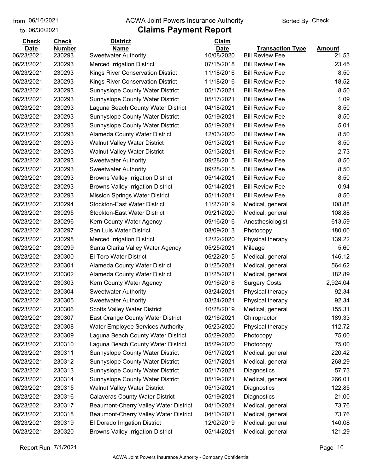to 06/30/2021

#### from 06/16/2021 **The COVA Solic Act Act Authority** Sorted By Check

## **Claims Payment Report**

| <b>Check</b> | <b>Check</b>  | <b>District</b>                          | Claim       |                         |               |
|--------------|---------------|------------------------------------------|-------------|-------------------------|---------------|
| <b>Date</b>  | <b>Number</b> | <b>Name</b>                              | <b>Date</b> | <b>Transaction Type</b> | <b>Amount</b> |
| 06/23/2021   | 230293        | <b>Sweetwater Authority</b>              | 10/08/2020  | <b>Bill Review Fee</b>  | 21.53         |
| 06/23/2021   | 230293        | <b>Merced Irrigation District</b>        | 07/15/2018  | <b>Bill Review Fee</b>  | 23.45         |
| 06/23/2021   | 230293        | Kings River Conservation District        | 11/18/2016  | <b>Bill Review Fee</b>  | 8.50          |
| 06/23/2021   | 230293        | Kings River Conservation District        | 11/18/2016  | <b>Bill Review Fee</b>  | 18.52         |
| 06/23/2021   | 230293        | Sunnyslope County Water District         | 05/17/2021  | <b>Bill Review Fee</b>  | 8.50          |
| 06/23/2021   | 230293        | Sunnyslope County Water District         | 05/17/2021  | <b>Bill Review Fee</b>  | 1.09          |
| 06/23/2021   | 230293        | Laguna Beach County Water District       | 04/18/2021  | <b>Bill Review Fee</b>  | 8.50          |
| 06/23/2021   | 230293        | <b>Sunnyslope County Water District</b>  | 05/19/2021  | <b>Bill Review Fee</b>  | 8.50          |
| 06/23/2021   | 230293        | <b>Sunnyslope County Water District</b>  | 05/19/2021  | <b>Bill Review Fee</b>  | 5.01          |
| 06/23/2021   | 230293        | Alameda County Water District            | 12/03/2020  | <b>Bill Review Fee</b>  | 8.50          |
| 06/23/2021   | 230293        | <b>Walnut Valley Water District</b>      | 05/13/2021  | <b>Bill Review Fee</b>  | 8.50          |
| 06/23/2021   | 230293        | <b>Walnut Valley Water District</b>      | 05/13/2021  | <b>Bill Review Fee</b>  | 2.73          |
| 06/23/2021   | 230293        | <b>Sweetwater Authority</b>              | 09/28/2015  | <b>Bill Review Fee</b>  | 8.50          |
| 06/23/2021   | 230293        | <b>Sweetwater Authority</b>              | 09/28/2015  | <b>Bill Review Fee</b>  | 8.50          |
| 06/23/2021   | 230293        | <b>Browns Valley Irrigation District</b> | 05/14/2021  | <b>Bill Review Fee</b>  | 8.50          |
| 06/23/2021   | 230293        | <b>Browns Valley Irrigation District</b> | 05/14/2021  | <b>Bill Review Fee</b>  | 0.94          |
| 06/23/2021   | 230293        | <b>Mission Springs Water District</b>    | 05/11/2021  | <b>Bill Review Fee</b>  | 8.50          |
| 06/23/2021   | 230294        | <b>Stockton-East Water District</b>      | 11/27/2019  | Medical, general        | 108.88        |
| 06/23/2021   | 230295        | <b>Stockton-East Water District</b>      | 09/21/2020  | Medical, general        | 108.88        |
| 06/23/2021   | 230296        | Kern County Water Agency                 | 09/16/2016  | Anesthesiologist        | 613.59        |
| 06/23/2021   | 230297        | San Luis Water District                  | 08/09/2013  | Photocopy               | 180.00        |
| 06/23/2021   | 230298        | <b>Merced Irrigation District</b>        | 12/22/2020  | Physical therapy        | 139.22        |
| 06/23/2021   | 230299        | Santa Clarita Valley Water Agency        | 05/25/2021  | Mileage                 | 5.60          |
| 06/23/2021   | 230300        | <b>El Toro Water District</b>            | 06/22/2015  | Medical, general        | 146.12        |
| 06/23/2021   | 230301        | Alameda County Water District            | 01/25/2021  | Medical, general        | 564.62        |
| 06/23/2021   | 230302        | Alameda County Water District            | 01/25/2021  | Medical, general        | 182.89        |
| 06/23/2021   | 230303        | Kern County Water Agency                 | 09/16/2016  | <b>Surgery Costs</b>    | 2,924.04      |
| 06/23/2021   | 230304        | <b>Sweetwater Authority</b>              | 03/24/2021  | Physical therapy        | 92.34         |
| 06/23/2021   | 230305        | <b>Sweetwater Authority</b>              | 03/24/2021  | Physical therapy        | 92.34         |
| 06/23/2021   | 230306        | <b>Scotts Valley Water District</b>      | 10/28/2019  | Medical, general        | 155.31        |
| 06/23/2021   | 230307        | East Orange County Water District        | 02/16/2021  | Chiropractor            | 189.33        |
| 06/23/2021   | 230308        | <b>Water Employee Services Authority</b> | 06/23/2020  | Physical therapy        | 112.72        |
| 06/23/2021   | 230309        | Laguna Beach County Water District       | 05/29/2020  | Photocopy               | 75.00         |
| 06/23/2021   | 230310        | Laguna Beach County Water District       | 05/29/2020  | Photocopy               | 75.00         |
| 06/23/2021   | 230311        | <b>Sunnyslope County Water District</b>  | 05/17/2021  | Medical, general        | 220.42        |
| 06/23/2021   | 230312        | <b>Sunnyslope County Water District</b>  | 05/17/2021  | Medical, general        | 268.29        |
| 06/23/2021   | 230313        | <b>Sunnyslope County Water District</b>  | 05/17/2021  | Diagnostics             | 57.73         |
| 06/23/2021   | 230314        | Sunnyslope County Water District         | 05/19/2021  | Medical, general        | 266.01        |
| 06/23/2021   | 230315        | <b>Walnut Valley Water District</b>      | 05/13/2021  | Diagnostics             | 122.85        |
| 06/23/2021   | 230316        | <b>Calaveras County Water District</b>   | 05/19/2021  | Diagnostics             | 21.00         |
| 06/23/2021   | 230317        | Beaumont-Cherry Valley Water District    | 04/10/2021  | Medical, general        | 73.76         |
| 06/23/2021   | 230318        | Beaumont-Cherry Valley Water District    | 04/10/2021  | Medical, general        | 73.76         |
| 06/23/2021   | 230319        | El Dorado Irrigation District            | 12/02/2019  | Medical, general        | 140.08        |
| 06/23/2021   | 230320        | <b>Browns Valley Irrigation District</b> | 05/14/2021  | Medical, general        | 121.29        |
|              |               |                                          |             |                         |               |

Report Run 7/1/2021 Page 10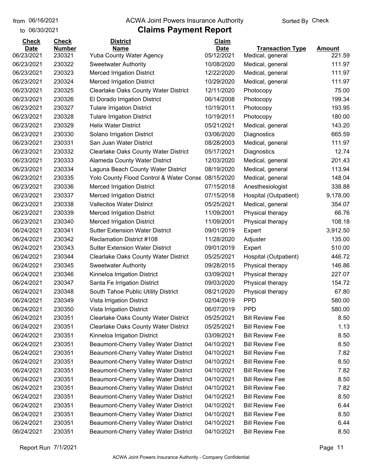to 06/30/2021

#### from 06/16/2021 **The COVA Solic Act Act Authority** Sorted By Check

| <b>Check</b> | <b>Check</b>  | <b>District</b>                                    | Claim       |                         |               |
|--------------|---------------|----------------------------------------------------|-------------|-------------------------|---------------|
| <b>Date</b>  | <b>Number</b> | <b>Name</b>                                        | <b>Date</b> | <b>Transaction Type</b> | <b>Amount</b> |
| 06/23/2021   | 230321        | <b>Yuba County Water Agency</b>                    | 05/12/2021  | Medical, general        | 221.59        |
| 06/23/2021   | 230322        | <b>Sweetwater Authority</b>                        | 10/08/2020  | Medical, general        | 111.97        |
| 06/23/2021   | 230323        | <b>Merced Irrigation District</b>                  | 12/22/2020  | Medical, general        | 111.97        |
| 06/23/2021   | 230324        | <b>Merced Irrigation District</b>                  | 10/29/2020  | Medical, general        | 111.97        |
| 06/23/2021   | 230325        | <b>Clearlake Oaks County Water District</b>        | 12/11/2020  | Photocopy               | 75.00         |
| 06/23/2021   | 230326        | El Dorado Irrigation District                      | 06/14/2008  | Photocopy               | 199.34        |
| 06/23/2021   | 230327        | <b>Tulare Irrigation District</b>                  | 10/19/2011  | Photocopy               | 193.95        |
| 06/23/2021   | 230328        | <b>Tulare Irrigation District</b>                  | 10/19/2011  | Photocopy               | 180.00        |
| 06/23/2021   | 230329        | <b>Helix Water District</b>                        | 05/21/2021  | Medical, general        | 143.20        |
| 06/23/2021   | 230330        | Solano Irrigation District                         | 03/06/2020  | Diagnostics             | 665.59        |
| 06/23/2021   | 230331        | San Juan Water District                            | 08/28/2003  | Medical, general        | 111.97        |
| 06/23/2021   | 230332        | <b>Clearlake Oaks County Water District</b>        | 05/17/2021  | Diagnostics             | 12.74         |
| 06/23/2021   | 230333        | Alameda County Water District                      | 12/03/2020  | Medical, general        | 201.43        |
| 06/23/2021   | 230334        | Laguna Beach County Water District                 | 08/19/2020  | Medical, general        | 113.94        |
| 06/23/2021   | 230335        | Yolo County Flood Control & Water Conse 08/15/2020 |             | Medical, general        | 148.04        |
| 06/23/2021   | 230336        | <b>Merced Irrigation District</b>                  | 07/15/2018  | Anesthesiologist        | 338.88        |
| 06/23/2021   | 230337        | <b>Merced Irrigation District</b>                  | 07/15/2018  | Hospital (Outpatient)   | 9,178.00      |
| 06/23/2021   | 230338        | <b>Vallecitos Water District</b>                   | 05/25/2021  | Medical, general        | 354.07        |
| 06/23/2021   | 230339        | <b>Merced Irrigation District</b>                  | 11/09/2001  | Physical therapy        | 66.76         |
| 06/23/2021   | 230340        | <b>Merced Irrigation District</b>                  | 11/09/2001  | Physical therapy        | 108.18        |
| 06/24/2021   | 230341        | <b>Sutter Extension Water District</b>             | 09/01/2019  | Expert                  | 3,912.50      |
| 06/24/2021   | 230342        | <b>Reclamation District #108</b>                   | 11/28/2020  | Adjuster                | 135.00        |
| 06/24/2021   | 230343        | <b>Sutter Extension Water District</b>             | 09/01/2019  | Expert                  | 510.00        |
| 06/24/2021   | 230344        | <b>Clearlake Oaks County Water District</b>        | 05/25/2021  | Hospital (Outpatient)   | 446.72        |
| 06/24/2021   | 230345        | <b>Sweetwater Authority</b>                        | 09/28/2015  | Physical therapy        | 146.86        |
| 06/24/2021   | 230346        | Kinneloa Irrigation District                       | 03/09/2021  | Physical therapy        | 227.07        |
| 06/24/2021   | 230347        | Santa Fe Irrigation District                       | 09/03/2020  | Physical therapy        | 154.72        |
| 06/24/2021   | 230348        | South Tahoe Public Utility District                | 08/21/2020  | Physical therapy        | 67.80         |
| 06/24/2021   | 230349        | Vista Irrigation District                          | 02/04/2019  | <b>PPD</b>              | 580.00        |
| 06/24/2021   | 230350        | Vista Irrigation District                          | 06/07/2019  | <b>PPD</b>              | 580.00        |
| 06/24/2021   | 230351        | Clearlake Oaks County Water District               | 05/25/2021  | <b>Bill Review Fee</b>  | 8.50          |
| 06/24/2021   | 230351        | Clearlake Oaks County Water District               | 05/25/2021  | <b>Bill Review Fee</b>  | 1.13          |
| 06/24/2021   | 230351        | Kinneloa Irrigation District                       | 03/09/2021  | <b>Bill Review Fee</b>  | 8.50          |
| 06/24/2021   | 230351        | Beaumont-Cherry Valley Water District              | 04/10/2021  | <b>Bill Review Fee</b>  | 8.50          |
| 06/24/2021   | 230351        | Beaumont-Cherry Valley Water District              | 04/10/2021  | <b>Bill Review Fee</b>  | 7.82          |
| 06/24/2021   | 230351        | Beaumont-Cherry Valley Water District              | 04/10/2021  | <b>Bill Review Fee</b>  | 8.50          |
| 06/24/2021   | 230351        | Beaumont-Cherry Valley Water District              | 04/10/2021  | <b>Bill Review Fee</b>  | 7.82          |
| 06/24/2021   | 230351        | Beaumont-Cherry Valley Water District              | 04/10/2021  | <b>Bill Review Fee</b>  | 8.50          |
| 06/24/2021   | 230351        | Beaumont-Cherry Valley Water District              | 04/10/2021  | <b>Bill Review Fee</b>  | 7.82          |
| 06/24/2021   | 230351        | Beaumont-Cherry Valley Water District              | 04/10/2021  | <b>Bill Review Fee</b>  | 8.50          |
| 06/24/2021   | 230351        | Beaumont-Cherry Valley Water District              | 04/10/2021  | <b>Bill Review Fee</b>  | 6.44          |
| 06/24/2021   | 230351        | Beaumont-Cherry Valley Water District              | 04/10/2021  | <b>Bill Review Fee</b>  | 8.50          |
| 06/24/2021   | 230351        | Beaumont-Cherry Valley Water District              | 04/10/2021  | <b>Bill Review Fee</b>  | 6.44          |
| 06/24/2021   | 230351        | Beaumont-Cherry Valley Water District              | 04/10/2021  | <b>Bill Review Fee</b>  | 8.50          |
|              |               |                                                    |             |                         |               |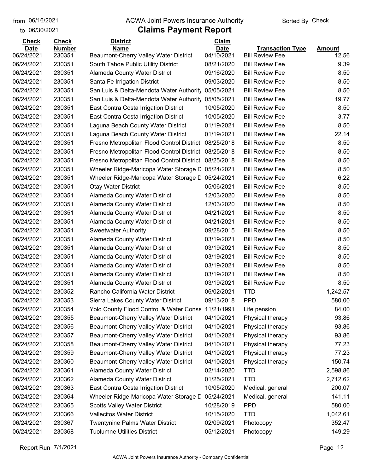to 06/30/2021

#### from 06/16/2021 **The COVA Solic Act Act Authority** Sorted By Check

| <b>Check</b>              | <b>Check</b>            | <b>District</b>                                      | Claim                     |                                                   |                        |
|---------------------------|-------------------------|------------------------------------------------------|---------------------------|---------------------------------------------------|------------------------|
| <b>Date</b><br>06/24/2021 | <b>Number</b><br>230351 | <b>Name</b><br>Beaumont-Cherry Valley Water District | <b>Date</b><br>04/10/2021 | <b>Transaction Type</b><br><b>Bill Review Fee</b> | <b>Amount</b><br>12.56 |
| 06/24/2021                | 230351                  | South Tahoe Public Utility District                  | 08/21/2020                | <b>Bill Review Fee</b>                            | 9.39                   |
| 06/24/2021                | 230351                  | Alameda County Water District                        | 09/16/2020                | <b>Bill Review Fee</b>                            | 8.50                   |
| 06/24/2021                | 230351                  | Santa Fe Irrigation District                         | 09/03/2020                | <b>Bill Review Fee</b>                            | 8.50                   |
| 06/24/2021                | 230351                  | San Luis & Delta-Mendota Water Authority             | 05/05/2021                | <b>Bill Review Fee</b>                            | 8.50                   |
| 06/24/2021                | 230351                  | San Luis & Delta-Mendota Water Authority             | 05/05/2021                | <b>Bill Review Fee</b>                            | 19.77                  |
| 06/24/2021                | 230351                  | East Contra Costa Irrigation District                | 10/05/2020                | <b>Bill Review Fee</b>                            | 8.50                   |
| 06/24/2021                | 230351                  | East Contra Costa Irrigation District                | 10/05/2020                | <b>Bill Review Fee</b>                            | 3.77                   |
| 06/24/2021                | 230351                  | Laguna Beach County Water District                   | 01/19/2021                | <b>Bill Review Fee</b>                            | 8.50                   |
| 06/24/2021                | 230351                  | Laguna Beach County Water District                   | 01/19/2021                | <b>Bill Review Fee</b>                            | 22.14                  |
| 06/24/2021                | 230351                  | Fresno Metropolitan Flood Control District           | 08/25/2018                | <b>Bill Review Fee</b>                            | 8.50                   |
| 06/24/2021                | 230351                  | Fresno Metropolitan Flood Control District           | 08/25/2018                | <b>Bill Review Fee</b>                            | 8.50                   |
| 06/24/2021                | 230351                  | Fresno Metropolitan Flood Control District           | 08/25/2018                | <b>Bill Review Fee</b>                            | 8.50                   |
| 06/24/2021                | 230351                  | Wheeler Ridge-Maricopa Water Storage D               | 05/24/2021                | <b>Bill Review Fee</b>                            | 8.50                   |
| 06/24/2021                | 230351                  | Wheeler Ridge-Maricopa Water Storage D               | 05/24/2021                | <b>Bill Review Fee</b>                            | 6.22                   |
| 06/24/2021                | 230351                  | <b>Otay Water District</b>                           | 05/06/2021                | <b>Bill Review Fee</b>                            | 8.50                   |
| 06/24/2021                | 230351                  | Alameda County Water District                        | 12/03/2020                | <b>Bill Review Fee</b>                            | 8.50                   |
| 06/24/2021                | 230351                  | Alameda County Water District                        | 12/03/2020                | <b>Bill Review Fee</b>                            | 8.50                   |
| 06/24/2021                | 230351                  | Alameda County Water District                        | 04/21/2021                | <b>Bill Review Fee</b>                            | 8.50                   |
| 06/24/2021                | 230351                  | <b>Alameda County Water District</b>                 | 04/21/2021                | <b>Bill Review Fee</b>                            | 8.50                   |
| 06/24/2021                | 230351                  | <b>Sweetwater Authority</b>                          | 09/28/2015                | <b>Bill Review Fee</b>                            | 8.50                   |
| 06/24/2021                | 230351                  | Alameda County Water District                        | 03/19/2021                | <b>Bill Review Fee</b>                            | 8.50                   |
| 06/24/2021                | 230351                  | Alameda County Water District                        | 03/19/2021                | <b>Bill Review Fee</b>                            | 8.50                   |
| 06/24/2021                | 230351                  | Alameda County Water District                        | 03/19/2021                | <b>Bill Review Fee</b>                            | 8.50                   |
| 06/24/2021                | 230351                  | Alameda County Water District                        | 03/19/2021                | <b>Bill Review Fee</b>                            | 8.50                   |
| 06/24/2021                | 230351                  | Alameda County Water District                        | 03/19/2021                | <b>Bill Review Fee</b>                            | 8.50                   |
| 06/24/2021                | 230351                  | Alameda County Water District                        | 03/19/2021                | <b>Bill Review Fee</b>                            | 8.50                   |
| 06/24/2021                | 230352                  | Rancho California Water District                     | 06/02/2021                | <b>TTD</b>                                        | 1,242.57               |
| 06/24/2021                | 230353                  | Sierra Lakes County Water District                   | 09/13/2018                | <b>PPD</b>                                        | 580.00                 |
| 06/24/2021                | 230354                  | Yolo County Flood Control & Water Conse 11/21/1991   |                           | Life pension                                      | 84.00                  |
| 06/24/2021                | 230355                  | Beaumont-Cherry Valley Water District                | 04/10/2021                | Physical therapy                                  | 93.86                  |
| 06/24/2021                | 230356                  | Beaumont-Cherry Valley Water District                | 04/10/2021                | Physical therapy                                  | 93.86                  |
| 06/24/2021                | 230357                  | Beaumont-Cherry Valley Water District                | 04/10/2021                | Physical therapy                                  | 93.86                  |
| 06/24/2021                | 230358                  | Beaumont-Cherry Valley Water District                | 04/10/2021                | Physical therapy                                  | 77.23                  |
| 06/24/2021                | 230359                  | Beaumont-Cherry Valley Water District                | 04/10/2021                | Physical therapy                                  | 77.23                  |
| 06/24/2021                | 230360                  | Beaumont-Cherry Valley Water District                | 04/10/2021                | Physical therapy                                  | 150.74                 |
| 06/24/2021                | 230361                  | Alameda County Water District                        | 02/14/2020                | <b>TTD</b>                                        | 2,598.86               |
| 06/24/2021                | 230362                  | Alameda County Water District                        | 01/25/2021                | <b>TTD</b>                                        | 2,712.62               |
| 06/24/2021                | 230363                  | East Contra Costa Irrigation District                | 10/05/2020                | Medical, general                                  | 200.07                 |
| 06/24/2021                | 230364                  | Wheeler Ridge-Maricopa Water Storage D               | 05/24/2021                | Medical, general                                  | 141.11                 |
| 06/24/2021                | 230365                  | <b>Scotts Valley Water District</b>                  | 10/28/2019                | <b>PPD</b>                                        | 580.00                 |
| 06/24/2021                | 230366                  | <b>Vallecitos Water District</b>                     | 10/15/2020                | <b>TTD</b>                                        | 1,042.61               |
| 06/24/2021                | 230367                  | <b>Twentynine Palms Water District</b>               | 02/09/2021                | Photocopy                                         | 352.47                 |
| 06/24/2021                | 230368                  | <b>Tuolumne Utilities District</b>                   | 05/12/2021                | Photocopy                                         | 149.29                 |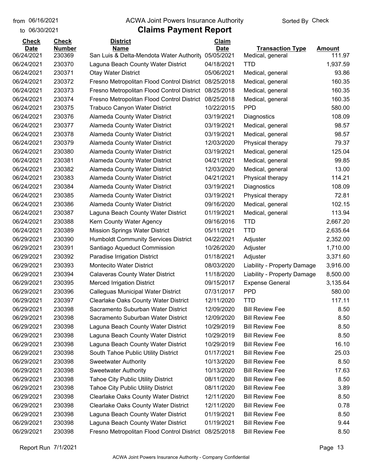to 06/30/2021

#### from 06/16/2021 **The COVA Solic Act Act Authority** Sorted By Check

| <b>Check</b><br><b>Date</b> | <b>Check</b><br><b>Number</b> | <b>District</b><br><b>Name</b>              | <b>Claim</b><br><b>Date</b> | <b>Transaction Type</b>     | Amount   |
|-----------------------------|-------------------------------|---------------------------------------------|-----------------------------|-----------------------------|----------|
| 06/24/2021                  | 230369                        | San Luis & Delta-Mendota Water Authority    | 05/05/2021                  | Medical, general            | 111.97   |
| 06/24/2021                  | 230370                        | Laguna Beach County Water District          | 04/18/2021                  | <b>TTD</b>                  | 1,937.59 |
| 06/24/2021                  | 230371                        | <b>Otay Water District</b>                  | 05/06/2021                  | Medical, general            | 93.86    |
| 06/24/2021                  | 230372                        | Fresno Metropolitan Flood Control District  | 08/25/2018                  | Medical, general            | 160.35   |
| 06/24/2021                  | 230373                        | Fresno Metropolitan Flood Control District  | 08/25/2018                  | Medical, general            | 160.35   |
| 06/24/2021                  | 230374                        | Fresno Metropolitan Flood Control District  | 08/25/2018                  | Medical, general            | 160.35   |
| 06/24/2021                  | 230375                        | Trabuco Canyon Water District               | 10/22/2015                  | <b>PPD</b>                  | 580.00   |
| 06/24/2021                  | 230376                        | Alameda County Water District               | 03/19/2021                  | Diagnostics                 | 108.09   |
| 06/24/2021                  | 230377                        | Alameda County Water District               | 03/19/2021                  | Medical, general            | 98.57    |
| 06/24/2021                  | 230378                        | Alameda County Water District               | 03/19/2021                  | Medical, general            | 98.57    |
| 06/24/2021                  | 230379                        | Alameda County Water District               | 12/03/2020                  | Physical therapy            | 79.37    |
| 06/24/2021                  | 230380                        | Alameda County Water District               | 03/19/2021                  | Medical, general            | 125.04   |
| 06/24/2021                  | 230381                        | Alameda County Water District               | 04/21/2021                  | Medical, general            | 99.85    |
| 06/24/2021                  | 230382                        | Alameda County Water District               | 12/03/2020                  | Medical, general            | 13.00    |
| 06/24/2021                  | 230383                        | Alameda County Water District               | 04/21/2021                  | Physical therapy            | 114.21   |
| 06/24/2021                  | 230384                        | Alameda County Water District               | 03/19/2021                  | Diagnostics                 | 108.09   |
| 06/24/2021                  | 230385                        | Alameda County Water District               | 03/19/2021                  | Physical therapy            | 72.81    |
| 06/24/2021                  | 230386                        | Alameda County Water District               | 09/16/2020                  | Medical, general            | 102.15   |
| 06/24/2021                  | 230387                        | Laguna Beach County Water District          | 01/19/2021                  | Medical, general            | 113.94   |
| 06/24/2021                  | 230388                        | Kern County Water Agency                    | 09/16/2016                  | <b>TTD</b>                  | 2,667.20 |
| 06/24/2021                  | 230389                        | <b>Mission Springs Water District</b>       | 05/11/2021                  | <b>TTD</b>                  | 2,635.64 |
| 06/29/2021                  | 230390                        | <b>Humboldt Community Services District</b> | 04/22/2021                  | Adjuster                    | 2,352.00 |
| 06/29/2021                  | 230391                        | Santiago Aqueduct Commission                | 10/26/2020                  | Adjuster                    | 1,710.00 |
| 06/29/2021                  | 230392                        | Paradise Irrigation District                | 01/18/2021                  | Adjuster                    | 3,371.60 |
| 06/29/2021                  | 230393                        | Montecito Water District                    | 08/03/2020                  | Liability - Property Damage | 3,916.00 |
| 06/29/2021                  | 230394                        | <b>Calaveras County Water District</b>      | 11/18/2020                  | Liability - Property Damage | 8,500.00 |
| 06/29/2021                  | 230395                        | <b>Merced Irrigation District</b>           | 09/15/2017                  | <b>Expense General</b>      | 3,135.64 |
| 06/29/2021                  | 230396                        | Calleguas Municipal Water District          | 07/31/2017                  | <b>PPD</b>                  | 580.00   |
| 06/29/2021                  | 230397                        | <b>Clearlake Oaks County Water District</b> | 12/11/2020                  | <b>TTD</b>                  | 117.11   |
| 06/29/2021                  | 230398                        | Sacramento Suburban Water District          | 12/09/2020                  | <b>Bill Review Fee</b>      | 8.50     |
| 06/29/2021                  | 230398                        | Sacramento Suburban Water District          | 12/09/2020                  | <b>Bill Review Fee</b>      | 8.50     |
| 06/29/2021                  | 230398                        | Laguna Beach County Water District          | 10/29/2019                  | <b>Bill Review Fee</b>      | 8.50     |
| 06/29/2021                  | 230398                        | Laguna Beach County Water District          | 10/29/2019                  | <b>Bill Review Fee</b>      | 8.50     |
| 06/29/2021                  | 230398                        | Laguna Beach County Water District          | 10/29/2019                  | <b>Bill Review Fee</b>      | 16.10    |
| 06/29/2021                  | 230398                        | South Tahoe Public Utility District         | 01/17/2021                  | <b>Bill Review Fee</b>      | 25.03    |
| 06/29/2021                  | 230398                        | <b>Sweetwater Authority</b>                 | 10/13/2020                  | <b>Bill Review Fee</b>      | 8.50     |
| 06/29/2021                  | 230398                        | <b>Sweetwater Authority</b>                 | 10/13/2020                  | <b>Bill Review Fee</b>      | 17.63    |
| 06/29/2021                  | 230398                        | <b>Tahoe City Public Utility District</b>   | 08/11/2020                  | <b>Bill Review Fee</b>      | 8.50     |
| 06/29/2021                  | 230398                        | <b>Tahoe City Public Utility District</b>   | 08/11/2020                  | <b>Bill Review Fee</b>      | 3.89     |
| 06/29/2021                  | 230398                        | <b>Clearlake Oaks County Water District</b> | 12/11/2020                  | <b>Bill Review Fee</b>      | 8.50     |
| 06/29/2021                  | 230398                        | <b>Clearlake Oaks County Water District</b> | 12/11/2020                  | <b>Bill Review Fee</b>      | 0.78     |
| 06/29/2021                  | 230398                        | Laguna Beach County Water District          | 01/19/2021                  | <b>Bill Review Fee</b>      | 8.50     |
| 06/29/2021                  | 230398                        | Laguna Beach County Water District          | 01/19/2021                  | <b>Bill Review Fee</b>      | 9.44     |
| 06/29/2021                  | 230398                        | Fresno Metropolitan Flood Control District  | 08/25/2018                  | <b>Bill Review Fee</b>      | 8.50     |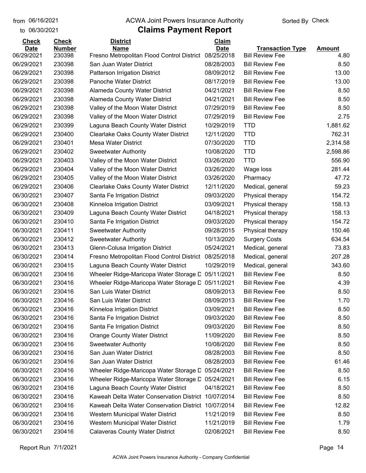to 06/30/2021

#### from 06/16/2021 **The COVA Solic Act Act Authority** Sorted By Check

| <b>Check</b> | <b>Check</b>  | <b>District</b>                             | <b>Claim</b> |                         |               |
|--------------|---------------|---------------------------------------------|--------------|-------------------------|---------------|
| <b>Date</b>  | <b>Number</b> | <b>Name</b>                                 | <b>Date</b>  | <b>Transaction Type</b> | <b>Amount</b> |
| 06/29/2021   | 230398        | Fresno Metropolitan Flood Control District  | 08/25/2018   | <b>Bill Review Fee</b>  | 4.80          |
| 06/29/2021   | 230398        | San Juan Water District                     | 08/28/2003   | <b>Bill Review Fee</b>  | 8.50          |
| 06/29/2021   | 230398        | Patterson Irrigation District               | 08/09/2012   | <b>Bill Review Fee</b>  | 13.00         |
| 06/29/2021   | 230398        | Panoche Water District                      | 08/17/2019   | <b>Bill Review Fee</b>  | 13.00         |
| 06/29/2021   | 230398        | <b>Alameda County Water District</b>        | 04/21/2021   | <b>Bill Review Fee</b>  | 8.50          |
| 06/29/2021   | 230398        | Alameda County Water District               | 04/21/2021   | <b>Bill Review Fee</b>  | 8.50          |
| 06/29/2021   | 230398        | Valley of the Moon Water District           | 07/29/2019   | <b>Bill Review Fee</b>  | 8.50          |
| 06/29/2021   | 230398        | Valley of the Moon Water District           | 07/29/2019   | <b>Bill Review Fee</b>  | 2.75          |
| 06/29/2021   | 230399        | Laguna Beach County Water District          | 10/29/2019   | <b>TTD</b>              | 1,881.62      |
| 06/29/2021   | 230400        | <b>Clearlake Oaks County Water District</b> | 12/11/2020   | <b>TTD</b>              | 762.31        |
| 06/29/2021   | 230401        | <b>Mesa Water District</b>                  | 07/30/2020   | <b>TTD</b>              | 2,314.58      |
| 06/29/2021   | 230402        | <b>Sweetwater Authority</b>                 | 10/08/2020   | <b>TTD</b>              | 2,598.86      |
| 06/29/2021   | 230403        | Valley of the Moon Water District           | 03/26/2020   | <b>TTD</b>              | 556.90        |
| 06/29/2021   | 230404        | Valley of the Moon Water District           | 03/26/2020   | Wage loss               | 281.44        |
| 06/29/2021   | 230405        | Valley of the Moon Water District           | 03/26/2020   | Pharmacy                | 47.72         |
| 06/29/2021   | 230406        | <b>Clearlake Oaks County Water District</b> | 12/11/2020   | Medical, general        | 59.23         |
| 06/30/2021   | 230407        | Santa Fe Irrigation District                | 09/03/2020   | Physical therapy        | 154.72        |
| 06/30/2021   | 230408        | Kinneloa Irrigation District                | 03/09/2021   | Physical therapy        | 158.13        |
| 06/30/2021   | 230409        | Laguna Beach County Water District          | 04/18/2021   | Physical therapy        | 158.13        |
| 06/30/2021   | 230410        | Santa Fe Irrigation District                | 09/03/2020   | Physical therapy        | 154.72        |
| 06/30/2021   | 230411        | <b>Sweetwater Authority</b>                 | 09/28/2015   | Physical therapy        | 150.46        |
| 06/30/2021   | 230412        | <b>Sweetwater Authority</b>                 | 10/13/2020   | <b>Surgery Costs</b>    | 634.54        |
| 06/30/2021   | 230413        | Glenn-Colusa Irrigation District            | 05/24/2021   | Medical, general        | 73.83         |
| 06/30/2021   | 230414        | Fresno Metropolitan Flood Control District  | 08/25/2018   | Medical, general        | 207.28        |
| 06/30/2021   | 230415        | Laguna Beach County Water District          | 10/29/2019   | Medical, general        | 343.60        |
| 06/30/2021   | 230416        | Wheeler Ridge-Maricopa Water Storage D      | 05/11/2021   | <b>Bill Review Fee</b>  | 8.50          |
| 06/30/2021   | 230416        | Wheeler Ridge-Maricopa Water Storage D      | 05/11/2021   | <b>Bill Review Fee</b>  | 4.39          |
| 06/30/2021   | 230416        | San Luis Water District                     | 08/09/2013   | <b>Bill Review Fee</b>  | 8.50          |
| 06/30/2021   | 230416        | San Luis Water District                     | 08/09/2013   | <b>Bill Review Fee</b>  | 1.70          |
| 06/30/2021   | 230416        | Kinneloa Irrigation District                | 03/09/2021   | <b>Bill Review Fee</b>  | 8.50          |
| 06/30/2021   | 230416        | Santa Fe Irrigation District                | 09/03/2020   | <b>Bill Review Fee</b>  | 8.50          |
| 06/30/2021   | 230416        | Santa Fe Irrigation District                | 09/03/2020   | <b>Bill Review Fee</b>  | 8.50          |
| 06/30/2021   | 230416        | <b>Orange County Water District</b>         | 11/09/2020   | <b>Bill Review Fee</b>  | 8.50          |
| 06/30/2021   | 230416        | <b>Sweetwater Authority</b>                 | 10/08/2020   | <b>Bill Review Fee</b>  | 8.50          |
| 06/30/2021   | 230416        | San Juan Water District                     | 08/28/2003   | <b>Bill Review Fee</b>  | 8.50          |
| 06/30/2021   | 230416        | San Juan Water District                     | 08/28/2003   | <b>Bill Review Fee</b>  | 61.46         |
| 06/30/2021   | 230416        | Wheeler Ridge-Maricopa Water Storage D      | 05/24/2021   | <b>Bill Review Fee</b>  | 8.50          |
| 06/30/2021   | 230416        | Wheeler Ridge-Maricopa Water Storage D      | 05/24/2021   | <b>Bill Review Fee</b>  | 6.15          |
| 06/30/2021   | 230416        | Laguna Beach County Water District          | 04/18/2021   | <b>Bill Review Fee</b>  | 8.50          |
| 06/30/2021   | 230416        | Kaweah Delta Water Conservation District    | 10/07/2014   | <b>Bill Review Fee</b>  | 8.50          |
| 06/30/2021   | 230416        | Kaweah Delta Water Conservation District    | 10/07/2014   | <b>Bill Review Fee</b>  | 12.82         |
| 06/30/2021   | 230416        | Western Municipal Water District            | 11/21/2019   | <b>Bill Review Fee</b>  | 8.50          |
| 06/30/2021   | 230416        | Western Municipal Water District            | 11/21/2019   | <b>Bill Review Fee</b>  | 1.79          |
| 06/30/2021   | 230416        | <b>Calaveras County Water District</b>      | 02/08/2021   | <b>Bill Review Fee</b>  | 8.50          |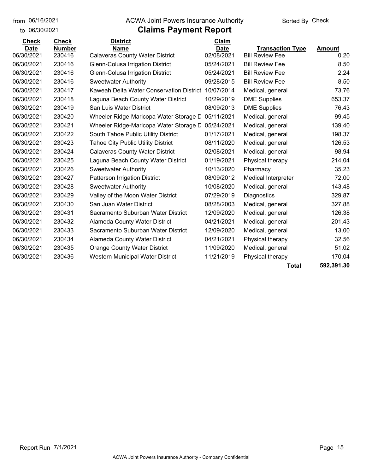to 06/30/2021

## from 06/16/2021 **The COVA Solic Act Act Authority** Sorted By Check

| <b>Check</b> | <b>Check</b>  | <b>District</b>                           | Claim       |                         |               |
|--------------|---------------|-------------------------------------------|-------------|-------------------------|---------------|
| <b>Date</b>  | <b>Number</b> | <b>Name</b>                               | <b>Date</b> | <b>Transaction Type</b> | <b>Amount</b> |
| 06/30/2021   | 230416        | <b>Calaveras County Water District</b>    | 02/08/2021  | <b>Bill Review Fee</b>  | 0.20          |
| 06/30/2021   | 230416        | Glenn-Colusa Irrigation District          | 05/24/2021  | <b>Bill Review Fee</b>  | 8.50          |
| 06/30/2021   | 230416        | Glenn-Colusa Irrigation District          | 05/24/2021  | <b>Bill Review Fee</b>  | 2.24          |
| 06/30/2021   | 230416        | <b>Sweetwater Authority</b>               | 09/28/2015  | <b>Bill Review Fee</b>  | 8.50          |
| 06/30/2021   | 230417        | Kaweah Delta Water Conservation District  | 10/07/2014  | Medical, general        | 73.76         |
| 06/30/2021   | 230418        | Laguna Beach County Water District        | 10/29/2019  | <b>DME Supplies</b>     | 653.37        |
| 06/30/2021   | 230419        | San Luis Water District                   | 08/09/2013  | <b>DME Supplies</b>     | 76.43         |
| 06/30/2021   | 230420        | Wheeler Ridge-Maricopa Water Storage D    | 05/11/2021  | Medical, general        | 99.45         |
| 06/30/2021   | 230421        | Wheeler Ridge-Maricopa Water Storage D    | 05/24/2021  | Medical, general        | 139.40        |
| 06/30/2021   | 230422        | South Tahoe Public Utility District       | 01/17/2021  | Medical, general        | 198.37        |
| 06/30/2021   | 230423        | <b>Tahoe City Public Utility District</b> | 08/11/2020  | Medical, general        | 126.53        |
| 06/30/2021   | 230424        | <b>Calaveras County Water District</b>    | 02/08/2021  | Medical, general        | 98.94         |
| 06/30/2021   | 230425        | Laguna Beach County Water District        | 01/19/2021  | Physical therapy        | 214.04        |
| 06/30/2021   | 230426        | Sweetwater Authority                      | 10/13/2020  | Pharmacy                | 35.23         |
| 06/30/2021   | 230427        | <b>Patterson Irrigation District</b>      | 08/09/2012  | Medical Interpreter     | 72.00         |
| 06/30/2021   | 230428        | <b>Sweetwater Authority</b>               | 10/08/2020  | Medical, general        | 143.48        |
| 06/30/2021   | 230429        | Valley of the Moon Water District         | 07/29/2019  | Diagnostics             | 329.87        |
| 06/30/2021   | 230430        | San Juan Water District                   | 08/28/2003  | Medical, general        | 327.88        |
| 06/30/2021   | 230431        | Sacramento Suburban Water District        | 12/09/2020  | Medical, general        | 126.38        |
| 06/30/2021   | 230432        | Alameda County Water District             | 04/21/2021  | Medical, general        | 201.43        |
| 06/30/2021   | 230433        | Sacramento Suburban Water District        | 12/09/2020  | Medical, general        | 13.00         |
| 06/30/2021   | 230434        | Alameda County Water District             | 04/21/2021  | Physical therapy        | 32.56         |
| 06/30/2021   | 230435        | <b>Orange County Water District</b>       | 11/09/2020  | Medical, general        | 51.02         |
| 06/30/2021   | 230436        | <b>Western Municipal Water District</b>   | 11/21/2019  | Physical therapy        | 170.04        |
|              |               |                                           |             | Total                   | 592,391.30    |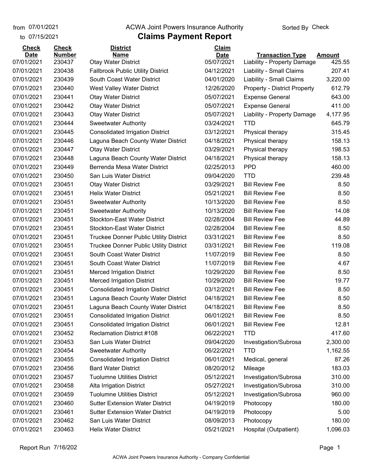## **Claims Payment Report** from 07/01/2021 **Example 20 Travellet Authority** and Travellet Sorted By Check

| to 07/15/2021 |               | <b>Claims Payment Report</b>                  |              |                                     |               |
|---------------|---------------|-----------------------------------------------|--------------|-------------------------------------|---------------|
| <b>Check</b>  | <b>Check</b>  | <b>District</b>                               | <b>Claim</b> |                                     |               |
| <b>Date</b>   | <b>Number</b> | <b>Name</b>                                   | <b>Date</b>  | <b>Transaction Type</b>             | <b>Amount</b> |
| 07/01/2021    | 230437        | <b>Otay Water District</b>                    | 05/07/2021   | Liability - Property Damage         | 425.55        |
| 07/01/2021    | 230438        | <b>Fallbrook Public Utility District</b>      | 04/12/2021   | Liability - Small Claims            | 207.41        |
| 07/01/2021    | 230439        | South Coast Water District                    | 04/01/2020   | Liability - Small Claims            | 3,220.00      |
| 07/01/2021    | 230440        | <b>West Valley Water District</b>             | 12/26/2020   | <b>Property - District Property</b> | 612.79        |
| 07/01/2021    | 230441        | <b>Otay Water District</b>                    | 05/07/2021   | <b>Expense General</b>              | 643.00        |
| 07/01/2021    | 230442        | <b>Otay Water District</b>                    | 05/07/2021   | <b>Expense General</b>              | 411.00        |
| 07/01/2021    | 230443        | <b>Otay Water District</b>                    | 05/07/2021   | Liability - Property Damage         | 4,177.95      |
| 07/01/2021    | 230444        | <b>Sweetwater Authority</b>                   | 03/24/2021   | <b>TTD</b>                          | 645.79        |
| 07/01/2021    | 230445        | <b>Consolidated Irrigation District</b>       | 03/12/2021   | Physical therapy                    | 315.45        |
| 07/01/2021    | 230446        | Laguna Beach County Water District            | 04/18/2021   | Physical therapy                    | 158.13        |
| 07/01/2021    | 230447        | <b>Otay Water District</b>                    | 03/29/2021   | Physical therapy                    | 198.53        |
| 07/01/2021    | 230448        | Laguna Beach County Water District            | 04/18/2021   | Physical therapy                    | 158.13        |
| 07/01/2021    | 230449        | Berrenda Mesa Water District                  | 02/25/2013   | <b>PPD</b>                          | 460.00        |
| 07/01/2021    | 230450        | San Luis Water District                       | 09/04/2020   | <b>TTD</b>                          | 239.48        |
| 07/01/2021    | 230451        | <b>Otay Water District</b>                    | 03/29/2021   | <b>Bill Review Fee</b>              | 8.50          |
| 07/01/2021    | 230451        | <b>Helix Water District</b>                   | 05/21/2021   | <b>Bill Review Fee</b>              | 8.50          |
| 07/01/2021    | 230451        | <b>Sweetwater Authority</b>                   | 10/13/2020   | <b>Bill Review Fee</b>              | 8.50          |
| 07/01/2021    | 230451        | <b>Sweetwater Authority</b>                   | 10/13/2020   | <b>Bill Review Fee</b>              | 14.08         |
| 07/01/2021    | 230451        | <b>Stockton-East Water District</b>           | 02/28/2004   | <b>Bill Review Fee</b>              | 44.89         |
| 07/01/2021    | 230451        | <b>Stockton-East Water District</b>           | 02/28/2004   | <b>Bill Review Fee</b>              | 8.50          |
| 07/01/2021    | 230451        | <b>Truckee Donner Public Utility District</b> | 03/31/2021   | <b>Bill Review Fee</b>              | 8.50          |
| 07/01/2021    | 230451        | Truckee Donner Public Utility District        | 03/31/2021   | <b>Bill Review Fee</b>              | 119.08        |
| 07/01/2021    | 230451        | South Coast Water District                    | 11/07/2019   | <b>Bill Review Fee</b>              | 8.50          |
| 07/01/2021    | 230451        | South Coast Water District                    | 11/07/2019   | <b>Bill Review Fee</b>              | 4.67          |
| 07/01/2021    | 230451        | <b>Merced Irrigation District</b>             | 10/29/2020   | <b>Bill Review Fee</b>              | 8.50          |
| 07/01/2021    | 230451        | <b>Merced Irrigation District</b>             | 10/29/2020   | <b>Bill Review Fee</b>              | 19.77         |
| 07/01/2021    | 230451        | <b>Consolidated Irrigation District</b>       | 03/12/2021   | <b>Bill Review Fee</b>              | 8.50          |
| 07/01/2021    | 230451        | Laguna Beach County Water District            | 04/18/2021   | <b>Bill Review Fee</b>              | 8.50          |
| 07/01/2021    | 230451        | Laguna Beach County Water District            | 04/18/2021   | <b>Bill Review Fee</b>              | 8.50          |
| 07/01/2021    | 230451        | <b>Consolidated Irrigation District</b>       | 06/01/2021   | <b>Bill Review Fee</b>              | 8.50          |
| 07/01/2021    | 230451        | <b>Consolidated Irrigation District</b>       | 06/01/2021   | <b>Bill Review Fee</b>              | 12.81         |
| 07/01/2021    | 230452        | <b>Reclamation District #108</b>              | 06/22/2021   | <b>TTD</b>                          | 417.60        |
| 07/01/2021    | 230453        | San Luis Water District                       | 09/04/2020   | Investigation/Subrosa               | 2,300.00      |
| 07/01/2021    | 230454        | <b>Sweetwater Authority</b>                   | 06/22/2021   | <b>TTD</b>                          | 1,162.55      |
| 07/01/2021    | 230455        | <b>Consolidated Irrigation District</b>       | 06/01/2021   | Medical, general                    | 87.26         |
| 07/01/2021    | 230456        | <b>Bard Water District</b>                    | 08/20/2012   | Mileage                             | 183.03        |
| 07/01/2021    | 230457        | <b>Tuolumne Utilities District</b>            | 05/12/2021   | Investigation/Subrosa               | 310.00        |
| 07/01/2021    | 230458        | Alta Irrigation District                      | 05/27/2021   | Investigation/Subrosa               | 310.00        |
| 07/01/2021    | 230459        | <b>Tuolumne Utilities District</b>            | 05/12/2021   | Investigation/Subrosa               | 960.00        |
| 07/01/2021    | 230460        | <b>Sutter Extension Water District</b>        | 04/19/2019   | Photocopy                           | 180.00        |
| 07/01/2021    | 230461        | <b>Sutter Extension Water District</b>        | 04/19/2019   | Photocopy                           | 5.00          |
| 07/01/2021    | 230462        | San Luis Water District                       | 08/09/2013   | Photocopy                           | 180.00        |
| 07/01/2021    | 230463        | <b>Helix Water District</b>                   | 05/21/2021   | Hospital (Outpatient)               | 1,096.03      |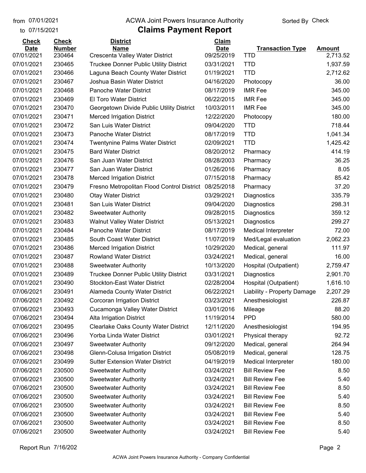to 07/15/2021

## from 07/01/2021 **Example 20 Travellet Authority** and D7/01/2021 Check

| <b>Check</b> | <b>Check</b>  | <b>District</b>                               | Claim       |                             |               |
|--------------|---------------|-----------------------------------------------|-------------|-----------------------------|---------------|
| <b>Date</b>  | <b>Number</b> | <b>Name</b>                                   | <b>Date</b> | <b>Transaction Type</b>     | <b>Amount</b> |
| 07/01/2021   | 230464        | Crescenta Valley Water District               | 09/25/2019  | <b>TTD</b>                  | 2,713.52      |
| 07/01/2021   | 230465        | <b>Truckee Donner Public Utility District</b> | 03/31/2021  | <b>TTD</b>                  | 1,937.59      |
| 07/01/2021   | 230466        | Laguna Beach County Water District            | 01/19/2021  | <b>TTD</b>                  | 2,712.62      |
| 07/01/2021   | 230467        | Joshua Basin Water District                   | 04/16/2020  | Photocopy                   | 36.00         |
| 07/01/2021   | 230468        | <b>Panoche Water District</b>                 | 08/17/2019  | <b>IMR Fee</b>              | 345.00        |
| 07/01/2021   | 230469        | El Toro Water District                        | 06/22/2015  | <b>IMR Fee</b>              | 345.00        |
| 07/01/2021   | 230470        | Georgetown Divide Public Utility District     | 10/03/2011  | <b>IMR Fee</b>              | 345.00        |
| 07/01/2021   | 230471        | <b>Merced Irrigation District</b>             | 12/22/2020  | Photocopy                   | 180.00        |
| 07/01/2021   | 230472        | San Luis Water District                       | 09/04/2020  | <b>TTD</b>                  | 718.44        |
| 07/01/2021   | 230473        | <b>Panoche Water District</b>                 | 08/17/2019  | <b>TTD</b>                  | 1,041.34      |
| 07/01/2021   | 230474        | <b>Twentynine Palms Water District</b>        | 02/09/2021  | <b>TTD</b>                  | 1,425.42      |
| 07/01/2021   | 230475        | <b>Bard Water District</b>                    | 08/20/2012  | Pharmacy                    | 414.19        |
| 07/01/2021   | 230476        | San Juan Water District                       | 08/28/2003  | Pharmacy                    | 36.25         |
| 07/01/2021   | 230477        | San Juan Water District                       | 01/26/2016  | Pharmacy                    | 8.05          |
| 07/01/2021   | 230478        | <b>Merced Irrigation District</b>             | 07/15/2018  | Pharmacy                    | 85.42         |
| 07/01/2021   | 230479        | Fresno Metropolitan Flood Control District    | 08/25/2018  | Pharmacy                    | 37.20         |
| 07/01/2021   | 230480        | <b>Otay Water District</b>                    | 03/29/2021  | Diagnostics                 | 335.79        |
| 07/01/2021   | 230481        | San Luis Water District                       | 09/04/2020  | Diagnostics                 | 298.31        |
| 07/01/2021   | 230482        | <b>Sweetwater Authority</b>                   | 09/28/2015  | Diagnostics                 | 359.12        |
| 07/01/2021   | 230483        | <b>Walnut Valley Water District</b>           | 05/13/2021  | Diagnostics                 | 299.27        |
| 07/01/2021   | 230484        | <b>Panoche Water District</b>                 | 08/17/2019  | <b>Medical Interpreter</b>  | 72.00         |
| 07/01/2021   | 230485        | South Coast Water District                    | 11/07/2019  | Med/Legal evaluation        | 2,062.23      |
| 07/01/2021   | 230486        | <b>Merced Irrigation District</b>             | 10/29/2020  | Medical, general            | 111.97        |
| 07/01/2021   | 230487        | <b>Rowland Water District</b>                 | 03/24/2021  | Medical, general            | 16.00         |
| 07/01/2021   | 230488        | <b>Sweetwater Authority</b>                   | 10/13/2020  | Hospital (Outpatient)       | 2,759.47      |
| 07/01/2021   | 230489        | <b>Truckee Donner Public Utility District</b> | 03/31/2021  | Diagnostics                 | 2,901.70      |
| 07/01/2021   | 230490        | <b>Stockton-East Water District</b>           | 02/28/2004  | Hospital (Outpatient)       | 1,616.10      |
| 07/06/2021   | 230491        | Alameda County Water District                 | 06/22/2021  | Liability - Property Damage | 2,207.29      |
| 07/06/2021   | 230492        | Corcoran Irrigation District                  | 03/23/2021  | Anesthesiologist            | 226.87        |
| 07/06/2021   | 230493        | Cucamonga Valley Water District               | 03/01/2016  | Mileage                     | 88.20         |
| 07/06/2021   | 230494        | Alta Irrigation District                      | 11/19/2014  | <b>PPD</b>                  | 580.00        |
| 07/06/2021   | 230495        | Clearlake Oaks County Water District          | 12/11/2020  | Anesthesiologist            | 194.95        |
| 07/06/2021   | 230496        | Yorba Linda Water District                    | 03/01/2021  | Physical therapy            | 92.72         |
| 07/06/2021   | 230497        | <b>Sweetwater Authority</b>                   | 09/12/2020  | Medical, general            | 264.94        |
| 07/06/2021   | 230498        | Glenn-Colusa Irrigation District              | 05/08/2019  | Medical, general            | 128.75        |
| 07/06/2021   | 230499        | <b>Sutter Extension Water District</b>        | 04/19/2019  | Medical Interpreter         | 180.00        |
| 07/06/2021   | 230500        | Sweetwater Authority                          | 03/24/2021  | <b>Bill Review Fee</b>      | 8.50          |
| 07/06/2021   | 230500        | <b>Sweetwater Authority</b>                   | 03/24/2021  | <b>Bill Review Fee</b>      | 5.40          |
| 07/06/2021   | 230500        | <b>Sweetwater Authority</b>                   | 03/24/2021  | <b>Bill Review Fee</b>      | 8.50          |
| 07/06/2021   | 230500        | <b>Sweetwater Authority</b>                   | 03/24/2021  | <b>Bill Review Fee</b>      | 5.40          |
| 07/06/2021   | 230500        | <b>Sweetwater Authority</b>                   | 03/24/2021  | <b>Bill Review Fee</b>      | 8.50          |
| 07/06/2021   | 230500        | <b>Sweetwater Authority</b>                   | 03/24/2021  | <b>Bill Review Fee</b>      | 5.40          |
| 07/06/2021   | 230500        | <b>Sweetwater Authority</b>                   | 03/24/2021  | <b>Bill Review Fee</b>      | 8.50          |
| 07/06/2021   | 230500        | <b>Sweetwater Authority</b>                   | 03/24/2021  | <b>Bill Review Fee</b>      | 5.40          |
|              |               |                                               |             |                             |               |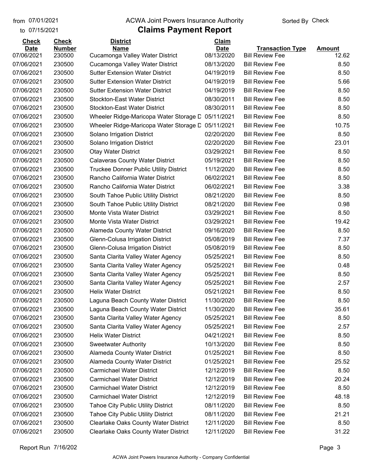to 07/15/2021

#### from 07/01/2021 **Example 20 Travellet Authority** and D7/01/2021 Check

| <b>Check</b>              | <b>Check</b>            | <b>District</b>                                | <b>Claim</b>              |                                                   |                        |
|---------------------------|-------------------------|------------------------------------------------|---------------------------|---------------------------------------------------|------------------------|
| <b>Date</b><br>07/06/2021 | <b>Number</b><br>230500 | <b>Name</b><br>Cucamonga Valley Water District | <b>Date</b><br>08/13/2020 | <b>Transaction Type</b><br><b>Bill Review Fee</b> | <b>Amount</b><br>12.62 |
| 07/06/2021                | 230500                  | Cucamonga Valley Water District                | 08/13/2020                | <b>Bill Review Fee</b>                            | 8.50                   |
| 07/06/2021                | 230500                  | <b>Sutter Extension Water District</b>         | 04/19/2019                | <b>Bill Review Fee</b>                            | 8.50                   |
| 07/06/2021                | 230500                  | <b>Sutter Extension Water District</b>         | 04/19/2019                | <b>Bill Review Fee</b>                            | 5.66                   |
| 07/06/2021                | 230500                  | <b>Sutter Extension Water District</b>         | 04/19/2019                | <b>Bill Review Fee</b>                            | 8.50                   |
| 07/06/2021                | 230500                  | <b>Stockton-East Water District</b>            | 08/30/2011                | <b>Bill Review Fee</b>                            | 8.50                   |
| 07/06/2021                | 230500                  | Stockton-East Water District                   | 08/30/2011                | <b>Bill Review Fee</b>                            | 8.50                   |
| 07/06/2021                | 230500                  | Wheeler Ridge-Maricopa Water Storage D         | 05/11/2021                | <b>Bill Review Fee</b>                            | 8.50                   |
| 07/06/2021                | 230500                  | Wheeler Ridge-Maricopa Water Storage D         | 05/11/2021                | <b>Bill Review Fee</b>                            | 10.75                  |
| 07/06/2021                | 230500                  | Solano Irrigation District                     | 02/20/2020                | <b>Bill Review Fee</b>                            | 8.50                   |
| 07/06/2021                | 230500                  | Solano Irrigation District                     | 02/20/2020                | <b>Bill Review Fee</b>                            | 23.01                  |
| 07/06/2021                | 230500                  | <b>Otay Water District</b>                     | 03/29/2021                | <b>Bill Review Fee</b>                            | 8.50                   |
| 07/06/2021                | 230500                  | <b>Calaveras County Water District</b>         | 05/19/2021                | <b>Bill Review Fee</b>                            | 8.50                   |
| 07/06/2021                | 230500                  | <b>Truckee Donner Public Utility District</b>  | 11/12/2020                | <b>Bill Review Fee</b>                            | 8.50                   |
| 07/06/2021                | 230500                  | Rancho California Water District               | 06/02/2021                | <b>Bill Review Fee</b>                            | 8.50                   |
| 07/06/2021                | 230500                  | Rancho California Water District               | 06/02/2021                | <b>Bill Review Fee</b>                            | 3.38                   |
| 07/06/2021                | 230500                  | South Tahoe Public Utility District            | 08/21/2020                | <b>Bill Review Fee</b>                            | 8.50                   |
| 07/06/2021                | 230500                  | South Tahoe Public Utility District            | 08/21/2020                | <b>Bill Review Fee</b>                            | 0.98                   |
| 07/06/2021                | 230500                  | Monte Vista Water District                     | 03/29/2021                | <b>Bill Review Fee</b>                            | 8.50                   |
| 07/06/2021                | 230500                  | Monte Vista Water District                     | 03/29/2021                | <b>Bill Review Fee</b>                            | 19.42                  |
| 07/06/2021                | 230500                  | <b>Alameda County Water District</b>           | 09/16/2020                | <b>Bill Review Fee</b>                            | 8.50                   |
| 07/06/2021                | 230500                  | Glenn-Colusa Irrigation District               | 05/08/2019                | <b>Bill Review Fee</b>                            | 7.37                   |
| 07/06/2021                | 230500                  | Glenn-Colusa Irrigation District               | 05/08/2019                | <b>Bill Review Fee</b>                            | 8.50                   |
| 07/06/2021                | 230500                  | Santa Clarita Valley Water Agency              | 05/25/2021                | <b>Bill Review Fee</b>                            | 8.50                   |
| 07/06/2021                | 230500                  | Santa Clarita Valley Water Agency              | 05/25/2021                | <b>Bill Review Fee</b>                            | 0.48                   |
| 07/06/2021                | 230500                  | Santa Clarita Valley Water Agency              | 05/25/2021                | <b>Bill Review Fee</b>                            | 8.50                   |
| 07/06/2021                | 230500                  | Santa Clarita Valley Water Agency              | 05/25/2021                | <b>Bill Review Fee</b>                            | 2.57                   |
| 07/06/2021                | 230500                  | <b>Helix Water District</b>                    | 05/21/2021                | <b>Bill Review Fee</b>                            | 8.50                   |
| 07/06/2021                | 230500                  | Laguna Beach County Water District             | 11/30/2020                | <b>Bill Review Fee</b>                            | 8.50                   |
| 07/06/2021                | 230500                  | Laguna Beach County Water District             | 11/30/2020                | <b>Bill Review Fee</b>                            | 35.61                  |
| 07/06/2021                | 230500                  | Santa Clarita Valley Water Agency              | 05/25/2021                | <b>Bill Review Fee</b>                            | 8.50                   |
| 07/06/2021                | 230500                  | Santa Clarita Valley Water Agency              | 05/25/2021                | <b>Bill Review Fee</b>                            | 2.57                   |
| 07/06/2021                | 230500                  | <b>Helix Water District</b>                    | 04/21/2021                | <b>Bill Review Fee</b>                            | 8.50                   |
| 07/06/2021                | 230500                  | <b>Sweetwater Authority</b>                    | 10/13/2020                | <b>Bill Review Fee</b>                            | 8.50                   |
| 07/06/2021                | 230500                  | Alameda County Water District                  | 01/25/2021                | <b>Bill Review Fee</b>                            | 8.50                   |
| 07/06/2021                | 230500                  | Alameda County Water District                  | 01/25/2021                | <b>Bill Review Fee</b>                            | 25.52                  |
| 07/06/2021                | 230500                  | <b>Carmichael Water District</b>               | 12/12/2019                | <b>Bill Review Fee</b>                            | 8.50                   |
| 07/06/2021                | 230500                  | <b>Carmichael Water District</b>               | 12/12/2019                | <b>Bill Review Fee</b>                            | 20.24                  |
| 07/06/2021                | 230500                  | <b>Carmichael Water District</b>               | 12/12/2019                | <b>Bill Review Fee</b>                            | 8.50                   |
| 07/06/2021                | 230500                  | <b>Carmichael Water District</b>               | 12/12/2019                | <b>Bill Review Fee</b>                            | 48.18                  |
| 07/06/2021                | 230500                  | <b>Tahoe City Public Utility District</b>      | 08/11/2020                | <b>Bill Review Fee</b>                            | 8.50                   |
| 07/06/2021                | 230500                  | <b>Tahoe City Public Utility District</b>      | 08/11/2020                | <b>Bill Review Fee</b>                            | 21.21                  |
| 07/06/2021                | 230500                  | <b>Clearlake Oaks County Water District</b>    | 12/11/2020                | <b>Bill Review Fee</b>                            | 8.50                   |
| 07/06/2021                | 230500                  | <b>Clearlake Oaks County Water District</b>    | 12/11/2020                | <b>Bill Review Fee</b>                            | 31.22                  |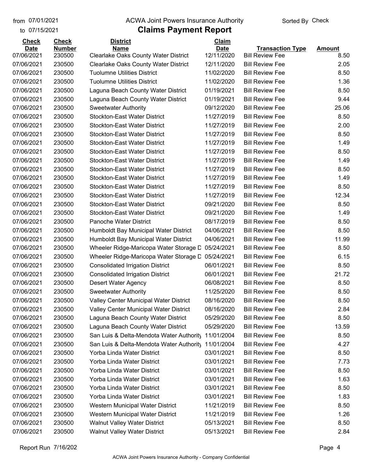#### from 07/01/2021 **Example 20 Travellet Authority** and D7/01/2021 Check

#### to 07/15/2021

| <b>Check</b> | <b>Check</b>  | <b>District</b>                             | Claim       |                         |               |
|--------------|---------------|---------------------------------------------|-------------|-------------------------|---------------|
| <b>Date</b>  | <b>Number</b> | <b>Name</b>                                 | <b>Date</b> | <b>Transaction Type</b> | <b>Amount</b> |
| 07/06/2021   | 230500        | <b>Clearlake Oaks County Water District</b> | 12/11/2020  | <b>Bill Review Fee</b>  | 8.50          |
| 07/06/2021   | 230500        | Clearlake Oaks County Water District        | 12/11/2020  | <b>Bill Review Fee</b>  | 2.05          |
| 07/06/2021   | 230500        | <b>Tuolumne Utilities District</b>          | 11/02/2020  | <b>Bill Review Fee</b>  | 8.50          |
| 07/06/2021   | 230500        | <b>Tuolumne Utilities District</b>          | 11/02/2020  | <b>Bill Review Fee</b>  | 1.36          |
| 07/06/2021   | 230500        | Laguna Beach County Water District          | 01/19/2021  | <b>Bill Review Fee</b>  | 8.50          |
| 07/06/2021   | 230500        | Laguna Beach County Water District          | 01/19/2021  | <b>Bill Review Fee</b>  | 9.44          |
| 07/06/2021   | 230500        | <b>Sweetwater Authority</b>                 | 09/12/2020  | <b>Bill Review Fee</b>  | 25.06         |
| 07/06/2021   | 230500        | <b>Stockton-East Water District</b>         | 11/27/2019  | <b>Bill Review Fee</b>  | 8.50          |
| 07/06/2021   | 230500        | <b>Stockton-East Water District</b>         | 11/27/2019  | <b>Bill Review Fee</b>  | 2.00          |
| 07/06/2021   | 230500        | <b>Stockton-East Water District</b>         | 11/27/2019  | <b>Bill Review Fee</b>  | 8.50          |
| 07/06/2021   | 230500        | <b>Stockton-East Water District</b>         | 11/27/2019  | <b>Bill Review Fee</b>  | 1.49          |
| 07/06/2021   | 230500        | <b>Stockton-East Water District</b>         | 11/27/2019  | <b>Bill Review Fee</b>  | 8.50          |
| 07/06/2021   | 230500        | <b>Stockton-East Water District</b>         | 11/27/2019  | <b>Bill Review Fee</b>  | 1.49          |
| 07/06/2021   | 230500        | <b>Stockton-East Water District</b>         | 11/27/2019  | <b>Bill Review Fee</b>  | 8.50          |
| 07/06/2021   | 230500        | <b>Stockton-East Water District</b>         | 11/27/2019  | <b>Bill Review Fee</b>  | 1.49          |
| 07/06/2021   | 230500        | <b>Stockton-East Water District</b>         | 11/27/2019  | <b>Bill Review Fee</b>  | 8.50          |
| 07/06/2021   | 230500        | <b>Stockton-East Water District</b>         | 11/27/2019  | <b>Bill Review Fee</b>  | 12.34         |
| 07/06/2021   | 230500        | <b>Stockton-East Water District</b>         | 09/21/2020  | <b>Bill Review Fee</b>  | 8.50          |
| 07/06/2021   | 230500        | <b>Stockton-East Water District</b>         | 09/21/2020  | <b>Bill Review Fee</b>  | 1.49          |
| 07/06/2021   | 230500        | Panoche Water District                      | 08/17/2019  | <b>Bill Review Fee</b>  | 8.50          |
| 07/06/2021   | 230500        | Humboldt Bay Municipal Water District       | 04/06/2021  | <b>Bill Review Fee</b>  | 8.50          |
| 07/06/2021   | 230500        | Humboldt Bay Municipal Water District       | 04/06/2021  | <b>Bill Review Fee</b>  | 11.99         |
| 07/06/2021   | 230500        | Wheeler Ridge-Maricopa Water Storage D      | 05/24/2021  | <b>Bill Review Fee</b>  | 8.50          |
| 07/06/2021   | 230500        | Wheeler Ridge-Maricopa Water Storage D      | 05/24/2021  | <b>Bill Review Fee</b>  | 6.15          |
| 07/06/2021   | 230500        | <b>Consolidated Irrigation District</b>     | 06/01/2021  | <b>Bill Review Fee</b>  | 8.50          |
| 07/06/2021   | 230500        | <b>Consolidated Irrigation District</b>     | 06/01/2021  | <b>Bill Review Fee</b>  | 21.72         |
| 07/06/2021   | 230500        | Desert Water Agency                         | 06/08/2021  | <b>Bill Review Fee</b>  | 8.50          |
| 07/06/2021   | 230500        | <b>Sweetwater Authority</b>                 | 11/25/2020  | <b>Bill Review Fee</b>  | 8.50          |
| 07/06/2021   | 230500        | Valley Center Municipal Water District      | 08/16/2020  | <b>Bill Review Fee</b>  | 8.50          |
| 07/06/2021   | 230500        | Valley Center Municipal Water District      | 08/16/2020  | <b>Bill Review Fee</b>  | 2.84          |
| 07/06/2021   | 230500        | Laguna Beach County Water District          | 05/29/2020  | <b>Bill Review Fee</b>  | 8.50          |
| 07/06/2021   | 230500        | Laguna Beach County Water District          | 05/29/2020  | <b>Bill Review Fee</b>  | 13.59         |
| 07/06/2021   | 230500        | San Luis & Delta-Mendota Water Authority    | 11/01/2004  | <b>Bill Review Fee</b>  | 8.50          |
| 07/06/2021   | 230500        | San Luis & Delta-Mendota Water Authority    | 11/01/2004  | <b>Bill Review Fee</b>  | 4.27          |
| 07/06/2021   | 230500        | Yorba Linda Water District                  | 03/01/2021  | <b>Bill Review Fee</b>  | 8.50          |
| 07/06/2021   | 230500        | Yorba Linda Water District                  | 03/01/2021  | <b>Bill Review Fee</b>  | 7.73          |
| 07/06/2021   | 230500        | Yorba Linda Water District                  | 03/01/2021  | <b>Bill Review Fee</b>  | 8.50          |
| 07/06/2021   | 230500        | Yorba Linda Water District                  | 03/01/2021  | <b>Bill Review Fee</b>  | 1.63          |
| 07/06/2021   | 230500        | Yorba Linda Water District                  | 03/01/2021  | <b>Bill Review Fee</b>  | 8.50          |
| 07/06/2021   | 230500        | Yorba Linda Water District                  | 03/01/2021  | <b>Bill Review Fee</b>  | 1.83          |
| 07/06/2021   | 230500        | Western Municipal Water District            | 11/21/2019  | <b>Bill Review Fee</b>  | 8.50          |
| 07/06/2021   | 230500        | Western Municipal Water District            | 11/21/2019  | <b>Bill Review Fee</b>  | 1.26          |
| 07/06/2021   | 230500        | <b>Walnut Valley Water District</b>         | 05/13/2021  | <b>Bill Review Fee</b>  | 8.50          |
| 07/06/2021   | 230500        | <b>Walnut Valley Water District</b>         | 05/13/2021  | <b>Bill Review Fee</b>  | 2.84          |
|              |               |                                             |             |                         |               |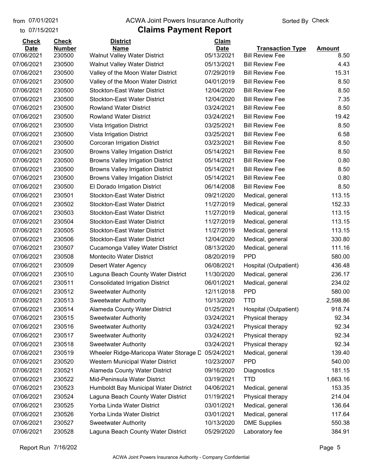#### from 07/01/2021 **Example 20 Travellet Authority** and D7/01/2021 Check

#### to 07/15/2021

| <b>Check</b> | <b>Check</b>  | <b>District</b>                          | Claim       |                         |               |
|--------------|---------------|------------------------------------------|-------------|-------------------------|---------------|
| <b>Date</b>  | <b>Number</b> | <b>Name</b>                              | <b>Date</b> | <b>Transaction Type</b> | <b>Amount</b> |
| 07/06/2021   | 230500        | Walnut Valley Water District             | 05/13/2021  | <b>Bill Review Fee</b>  | 8.50          |
| 07/06/2021   | 230500        | <b>Walnut Valley Water District</b>      | 05/13/2021  | <b>Bill Review Fee</b>  | 4.43          |
| 07/06/2021   | 230500        | Valley of the Moon Water District        | 07/29/2019  | <b>Bill Review Fee</b>  | 15.31         |
| 07/06/2021   | 230500        | Valley of the Moon Water District        | 04/01/2019  | <b>Bill Review Fee</b>  | 8.50          |
| 07/06/2021   | 230500        | <b>Stockton-East Water District</b>      | 12/04/2020  | <b>Bill Review Fee</b>  | 8.50          |
| 07/06/2021   | 230500        | <b>Stockton-East Water District</b>      | 12/04/2020  | <b>Bill Review Fee</b>  | 7.35          |
| 07/06/2021   | 230500        | <b>Rowland Water District</b>            | 03/24/2021  | <b>Bill Review Fee</b>  | 8.50          |
| 07/06/2021   | 230500        | <b>Rowland Water District</b>            | 03/24/2021  | <b>Bill Review Fee</b>  | 19.42         |
| 07/06/2021   | 230500        | Vista Irrigation District                | 03/25/2021  | <b>Bill Review Fee</b>  | 8.50          |
| 07/06/2021   | 230500        | Vista Irrigation District                | 03/25/2021  | <b>Bill Review Fee</b>  | 6.58          |
| 07/06/2021   | 230500        | Corcoran Irrigation District             | 03/23/2021  | <b>Bill Review Fee</b>  | 8.50          |
| 07/06/2021   | 230500        | <b>Browns Valley Irrigation District</b> | 05/14/2021  | <b>Bill Review Fee</b>  | 8.50          |
| 07/06/2021   | 230500        | <b>Browns Valley Irrigation District</b> | 05/14/2021  | <b>Bill Review Fee</b>  | 0.80          |
| 07/06/2021   | 230500        | <b>Browns Valley Irrigation District</b> | 05/14/2021  | <b>Bill Review Fee</b>  | 8.50          |
| 07/06/2021   | 230500        | <b>Browns Valley Irrigation District</b> | 05/14/2021  | <b>Bill Review Fee</b>  | 0.80          |
| 07/06/2021   | 230500        | El Dorado Irrigation District            | 06/14/2008  | <b>Bill Review Fee</b>  | 8.50          |
| 07/06/2021   | 230501        | <b>Stockton-East Water District</b>      | 09/21/2020  | Medical, general        | 113.15        |
| 07/06/2021   | 230502        | <b>Stockton-East Water District</b>      | 11/27/2019  | Medical, general        | 152.33        |
| 07/06/2021   | 230503        | <b>Stockton-East Water District</b>      | 11/27/2019  | Medical, general        | 113.15        |
| 07/06/2021   | 230504        | <b>Stockton-East Water District</b>      | 11/27/2019  | Medical, general        | 113.15        |
| 07/06/2021   | 230505        | <b>Stockton-East Water District</b>      | 11/27/2019  | Medical, general        | 113.15        |
| 07/06/2021   | 230506        | <b>Stockton-East Water District</b>      | 12/04/2020  | Medical, general        | 330.80        |
| 07/06/2021   | 230507        | Cucamonga Valley Water District          | 08/13/2020  | Medical, general        | 111.16        |
| 07/06/2021   | 230508        | <b>Montecito Water District</b>          | 08/20/2019  | <b>PPD</b>              | 580.00        |
| 07/06/2021   | 230509        | Desert Water Agency                      | 06/08/2021  | Hospital (Outpatient)   | 436.48        |
| 07/06/2021   | 230510        | Laguna Beach County Water District       | 11/30/2020  | Medical, general        | 236.17        |
| 07/06/2021   | 230511        | <b>Consolidated Irrigation District</b>  | 06/01/2021  | Medical, general        | 234.02        |
| 07/06/2021   | 230512        | <b>Sweetwater Authority</b>              | 12/11/2018  | <b>PPD</b>              | 580.00        |
| 07/06/2021   | 230513        | <b>Sweetwater Authority</b>              | 10/13/2020  | <b>TTD</b>              | 2,598.86      |
| 07/06/2021   | 230514        | Alameda County Water District            | 01/25/2021  | Hospital (Outpatient)   | 918.74        |
| 07/06/2021   | 230515        | <b>Sweetwater Authority</b>              | 03/24/2021  | Physical therapy        | 92.34         |
| 07/06/2021   | 230516        | <b>Sweetwater Authority</b>              | 03/24/2021  | Physical therapy        | 92.34         |
| 07/06/2021   | 230517        | <b>Sweetwater Authority</b>              | 03/24/2021  | Physical therapy        | 92.34         |
| 07/06/2021   | 230518        | <b>Sweetwater Authority</b>              | 03/24/2021  | Physical therapy        | 92.34         |
| 07/06/2021   | 230519        | Wheeler Ridge-Maricopa Water Storage D   | 05/24/2021  | Medical, general        | 139.40        |
| 07/06/2021   | 230520        | Western Municipal Water District         | 10/23/2007  | <b>PPD</b>              | 540.00        |
| 07/06/2021   | 230521        | Alameda County Water District            | 09/16/2020  | Diagnostics             | 181.15        |
| 07/06/2021   | 230522        | Mid-Peninsula Water District             | 03/19/2021  | <b>TTD</b>              | 1,663.16      |
| 07/06/2021   | 230523        | Humboldt Bay Municipal Water District    | 04/06/2021  | Medical, general        | 153.35        |
| 07/06/2021   | 230524        | Laguna Beach County Water District       | 01/19/2021  | Physical therapy        | 214.04        |
| 07/06/2021   | 230525        | Yorba Linda Water District               | 03/01/2021  | Medical, general        | 136.64        |
| 07/06/2021   | 230526        | Yorba Linda Water District               | 03/01/2021  | Medical, general        | 117.64        |
| 07/06/2021   | 230527        | <b>Sweetwater Authority</b>              | 10/13/2020  | <b>DME Supplies</b>     | 550.38        |
| 07/06/2021   | 230528        | Laguna Beach County Water District       | 05/29/2020  | Laboratory fee          | 384.91        |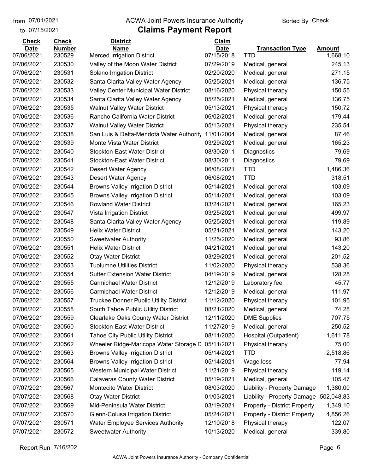to 07/15/2021

#### from 07/01/2021 **ACWA Joint Powers Insurance Authority** Sorted By Check

## **Claims Payment Report**

| <b>Check</b> | <b>Check</b>  | <b>District</b>                             | Claim       |                                     |               |
|--------------|---------------|---------------------------------------------|-------------|-------------------------------------|---------------|
| <b>Date</b>  | <b>Number</b> | <b>Name</b>                                 | <b>Date</b> | <b>Transaction Type</b>             | <b>Amount</b> |
| 07/06/2021   | 230529        | <b>Merced Irrigation District</b>           | 07/15/2018  | TTD                                 | 1,668.10      |
| 07/06/2021   | 230530        | Valley of the Moon Water District           | 07/29/2019  | Medical, general                    | 245.13        |
| 07/06/2021   | 230531        | Solano Irrigation District                  | 02/20/2020  | Medical, general                    | 271.15        |
| 07/06/2021   | 230532        | Santa Clarita Valley Water Agency           | 05/25/2021  | Medical, general                    | 136.75        |
| 07/06/2021   | 230533        | Valley Center Municipal Water District      | 08/16/2020  | Physical therapy                    | 150.55        |
| 07/06/2021   | 230534        | Santa Clarita Valley Water Agency           | 05/25/2021  | Medical, general                    | 136.75        |
| 07/06/2021   | 230535        | <b>Walnut Valley Water District</b>         | 05/13/2021  | Physical therapy                    | 150.72        |
| 07/06/2021   | 230536        | Rancho California Water District            | 06/02/2021  | Medical, general                    | 179.44        |
| 07/06/2021   | 230537        | <b>Walnut Valley Water District</b>         | 05/13/2021  | Physical therapy                    | 235.54        |
| 07/06/2021   | 230538        | San Luis & Delta-Mendota Water Authority    | 11/01/2004  | Medical, general                    | 87.46         |
| 07/06/2021   | 230539        | Monte Vista Water District                  | 03/29/2021  | Medical, general                    | 165.23        |
| 07/06/2021   | 230540        | <b>Stockton-East Water District</b>         | 08/30/2011  | Diagnostics                         | 79.69         |
| 07/06/2021   | 230541        | <b>Stockton-East Water District</b>         | 08/30/2011  | Diagnostics                         | 79.69         |
| 07/06/2021   | 230542        | <b>Desert Water Agency</b>                  | 06/08/2021  | <b>TTD</b>                          | 1,486.36      |
| 07/06/2021   | 230543        | Desert Water Agency                         | 06/08/2021  | <b>TTD</b>                          | 318.51        |
| 07/06/2021   | 230544        | <b>Browns Valley Irrigation District</b>    | 05/14/2021  | Medical, general                    | 103.09        |
| 07/06/2021   | 230545        | <b>Browns Valley Irrigation District</b>    | 05/14/2021  | Medical, general                    | 103.09        |
| 07/06/2021   | 230546        | <b>Rowland Water District</b>               | 03/24/2021  | Medical, general                    | 165.23        |
| 07/06/2021   | 230547        | Vista Irrigation District                   | 03/25/2021  | Medical, general                    | 499.97        |
| 07/06/2021   | 230548        | Santa Clarita Valley Water Agency           | 05/25/2021  | Medical, general                    | 119.89        |
| 07/06/2021   | 230549        | <b>Helix Water District</b>                 | 05/21/2021  | Medical, general                    | 143.20        |
| 07/06/2021   | 230550        | <b>Sweetwater Authority</b>                 | 11/25/2020  | Medical, general                    | 93.86         |
| 07/06/2021   | 230551        | <b>Helix Water District</b>                 | 04/21/2021  | Medical, general                    | 143.20        |
| 07/06/2021   | 230552        | <b>Otay Water District</b>                  | 03/29/2021  | Medical, general                    | 201.52        |
| 07/06/2021   | 230553        | <b>Tuolumne Utilities District</b>          | 11/02/2020  | Physical therapy                    | 538.36        |
| 07/06/2021   | 230554        | <b>Sutter Extension Water District</b>      | 04/19/2019  | Medical, general                    | 128.28        |
| 07/06/2021   | 230555        | <b>Carmichael Water District</b>            | 12/12/2019  | Laboratory fee                      | 45.77         |
| 07/06/2021   | 230556        | <b>Carmichael Water District</b>            | 12/12/2019  | Medical, general                    | 111.97        |
| 07/06/2021   | 230557        | Truckee Donner Public Utility District      | 11/12/2020  | Physical therapy                    | 101.95        |
| 07/06/2021   | 230558        | South Tahoe Public Utility District         | 08/21/2020  | Medical, general                    | 74.28         |
| 07/06/2021   | 230559        | <b>Clearlake Oaks County Water District</b> | 12/11/2020  | <b>DME Supplies</b>                 | 707.75        |
| 07/06/2021   | 230560        | <b>Stockton-East Water District</b>         | 11/27/2019  | Medical, general                    | 250.52        |
| 07/06/2021   | 230561        | <b>Tahoe City Public Utility District</b>   | 08/11/2020  | Hospital (Outpatient)               | 1,611.78      |
| 07/06/2021   | 230562        | Wheeler Ridge-Maricopa Water Storage D      | 05/11/2021  | Physical therapy                    | 75.00         |
| 07/06/2021   | 230563        | <b>Browns Valley Irrigation District</b>    | 05/14/2021  | <b>TTD</b>                          | 2,518.86      |
| 07/06/2021   | 230564        | <b>Browns Valley Irrigation District</b>    | 05/14/2021  | Wage loss                           | 77.94         |
| 07/06/2021   | 230565        | Western Municipal Water District            | 11/21/2019  | Physical therapy                    | 119.14        |
| 07/06/2021   | 230566        | <b>Calaveras County Water District</b>      | 05/19/2021  | Medical, general                    | 105.47        |
| 07/07/2021   | 230567        | Montecito Water District                    | 08/03/2020  | Liability - Property Damage         | 1,380.00      |
| 07/07/2021   | 230568        | <b>Otay Water District</b>                  | 01/03/2021  | Liability - Property Damage         | 502,048.83    |
| 07/07/2021   | 230569        | Mid-Peninsula Water District                | 03/19/2021  | <b>Property - District Property</b> | 1,349.10      |
| 07/07/2021   | 230570        | Glenn-Colusa Irrigation District            | 05/24/2021  | <b>Property - District Property</b> | 4,856.26      |
| 07/07/2021   | 230571        | <b>Water Employee Services Authority</b>    | 12/10/2018  | Physical therapy                    | 122.07        |
| 07/07/2021   | 230572        | <b>Sweetwater Authority</b>                 | 10/13/2020  | Medical, general                    | 339.80        |

Report Run 7/16/202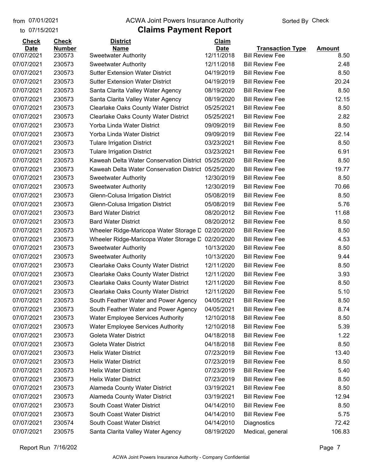to 07/15/2021 07/01/2021

#### from 07/01/2021 **ACWA Joint Powers Insurance Authority** Sorted By Check

| <b>Check</b> | <b>Check</b>  | <b>District</b>                                     | Claim       |                         |               |
|--------------|---------------|-----------------------------------------------------|-------------|-------------------------|---------------|
| <b>Date</b>  | <b>Number</b> | <b>Name</b>                                         | <b>Date</b> | <b>Transaction Type</b> | <b>Amount</b> |
| 07/07/2021   | 230573        | <b>Sweetwater Authority</b>                         | 12/11/2018  | <b>Bill Review Fee</b>  | 8.50          |
| 07/07/2021   | 230573        | <b>Sweetwater Authority</b>                         | 12/11/2018  | <b>Bill Review Fee</b>  | 2.48          |
| 07/07/2021   | 230573        | <b>Sutter Extension Water District</b>              | 04/19/2019  | <b>Bill Review Fee</b>  | 8.50          |
| 07/07/2021   | 230573        | <b>Sutter Extension Water District</b>              | 04/19/2019  | <b>Bill Review Fee</b>  | 20.24         |
| 07/07/2021   | 230573        | Santa Clarita Valley Water Agency                   | 08/19/2020  | <b>Bill Review Fee</b>  | 8.50          |
| 07/07/2021   | 230573        | Santa Clarita Valley Water Agency                   | 08/19/2020  | <b>Bill Review Fee</b>  | 12.15         |
| 07/07/2021   | 230573        | <b>Clearlake Oaks County Water District</b>         | 05/25/2021  | <b>Bill Review Fee</b>  | 8.50          |
| 07/07/2021   | 230573        | <b>Clearlake Oaks County Water District</b>         | 05/25/2021  | <b>Bill Review Fee</b>  | 2.82          |
| 07/07/2021   | 230573        | Yorba Linda Water District                          | 09/09/2019  | <b>Bill Review Fee</b>  | 8.50          |
| 07/07/2021   | 230573        | Yorba Linda Water District                          | 09/09/2019  | <b>Bill Review Fee</b>  | 22.14         |
| 07/07/2021   | 230573        | <b>Tulare Irrigation District</b>                   | 03/23/2021  | <b>Bill Review Fee</b>  | 8.50          |
| 07/07/2021   | 230573        | <b>Tulare Irrigation District</b>                   | 03/23/2021  | <b>Bill Review Fee</b>  | 6.91          |
| 07/07/2021   | 230573        | Kaweah Delta Water Conservation District            | 05/25/2020  | <b>Bill Review Fee</b>  | 8.50          |
| 07/07/2021   | 230573        | Kaweah Delta Water Conservation District 05/25/2020 |             | <b>Bill Review Fee</b>  | 19.77         |
| 07/07/2021   | 230573        | <b>Sweetwater Authority</b>                         | 12/30/2019  | <b>Bill Review Fee</b>  | 8.50          |
| 07/07/2021   | 230573        | <b>Sweetwater Authority</b>                         | 12/30/2019  | <b>Bill Review Fee</b>  | 70.66         |
| 07/07/2021   | 230573        | Glenn-Colusa Irrigation District                    | 05/08/2019  | <b>Bill Review Fee</b>  | 8.50          |
| 07/07/2021   | 230573        | Glenn-Colusa Irrigation District                    | 05/08/2019  | <b>Bill Review Fee</b>  | 5.76          |
| 07/07/2021   | 230573        | <b>Bard Water District</b>                          | 08/20/2012  | <b>Bill Review Fee</b>  | 11.68         |
| 07/07/2021   | 230573        | <b>Bard Water District</b>                          | 08/20/2012  | <b>Bill Review Fee</b>  | 8.50          |
| 07/07/2021   | 230573        | Wheeler Ridge-Maricopa Water Storage D              | 02/20/2020  | <b>Bill Review Fee</b>  | 8.50          |
| 07/07/2021   | 230573        | Wheeler Ridge-Maricopa Water Storage D              | 02/20/2020  | <b>Bill Review Fee</b>  | 4.53          |
| 07/07/2021   | 230573        | <b>Sweetwater Authority</b>                         | 10/13/2020  | <b>Bill Review Fee</b>  | 8.50          |
| 07/07/2021   | 230573        | <b>Sweetwater Authority</b>                         | 10/13/2020  | <b>Bill Review Fee</b>  | 9.44          |
| 07/07/2021   | 230573        | Clearlake Oaks County Water District                | 12/11/2020  | <b>Bill Review Fee</b>  | 8.50          |
| 07/07/2021   | 230573        | <b>Clearlake Oaks County Water District</b>         | 12/11/2020  | <b>Bill Review Fee</b>  | 3.93          |
| 07/07/2021   | 230573        | <b>Clearlake Oaks County Water District</b>         | 12/11/2020  | <b>Bill Review Fee</b>  | 8.50          |
| 07/07/2021   | 230573        | <b>Clearlake Oaks County Water District</b>         | 12/11/2020  | <b>Bill Review Fee</b>  | 5.10          |
| 07/07/2021   | 230573        | South Feather Water and Power Agency                | 04/05/2021  | <b>Bill Review Fee</b>  | 8.50          |
| 07/07/2021   | 230573        | South Feather Water and Power Agency                | 04/05/2021  | <b>Bill Review Fee</b>  | 8.74          |
| 07/07/2021   | 230573        | <b>Water Employee Services Authority</b>            | 12/10/2018  | <b>Bill Review Fee</b>  | 8.50          |
| 07/07/2021   | 230573        | <b>Water Employee Services Authority</b>            | 12/10/2018  | <b>Bill Review Fee</b>  | 5.39          |
| 07/07/2021   | 230573        | <b>Goleta Water District</b>                        | 04/18/2018  | <b>Bill Review Fee</b>  | 1.22          |
| 07/07/2021   | 230573        | <b>Goleta Water District</b>                        | 04/18/2018  | <b>Bill Review Fee</b>  | 8.50          |
| 07/07/2021   | 230573        | <b>Helix Water District</b>                         | 07/23/2019  | <b>Bill Review Fee</b>  | 13.40         |
| 07/07/2021   | 230573        | <b>Helix Water District</b>                         | 07/23/2019  | <b>Bill Review Fee</b>  | 8.50          |
| 07/07/2021   | 230573        | <b>Helix Water District</b>                         | 07/23/2019  | <b>Bill Review Fee</b>  | 5.40          |
| 07/07/2021   | 230573        | <b>Helix Water District</b>                         | 07/23/2019  | <b>Bill Review Fee</b>  | 8.50          |
| 07/07/2021   | 230573        | Alameda County Water District                       | 03/19/2021  | <b>Bill Review Fee</b>  | 8.50          |
| 07/07/2021   | 230573        | Alameda County Water District                       | 03/19/2021  | <b>Bill Review Fee</b>  | 12.94         |
| 07/07/2021   | 230573        | South Coast Water District                          | 04/14/2010  | <b>Bill Review Fee</b>  | 8.50          |
| 07/07/2021   | 230573        | South Coast Water District                          | 04/14/2010  | <b>Bill Review Fee</b>  | 5.75          |
| 07/07/2021   | 230574        | South Coast Water District                          | 04/14/2010  | Diagnostics             | 72.42         |
| 07/07/2021   | 230575        | Santa Clarita Valley Water Agency                   | 08/19/2020  | Medical, general        | 106.83        |
|              |               |                                                     |             |                         |               |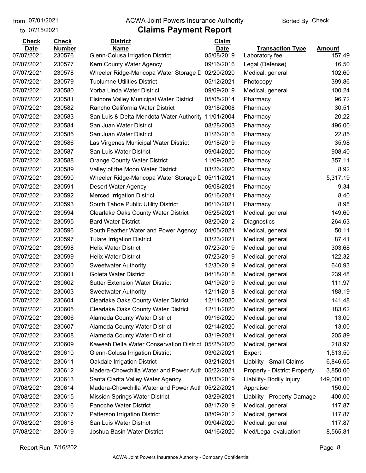to 07/15/2021

## from 07/01/2021 **ACWA Joint Powers Insurance Authority** Sorted By Check

| <b>Check</b>              | <b>Check</b>            | <b>District</b>                                              | <b>Claim</b>              |                                     |                         |
|---------------------------|-------------------------|--------------------------------------------------------------|---------------------------|-------------------------------------|-------------------------|
| <b>Date</b><br>07/07/2021 | <b>Number</b><br>230576 | Name                                                         | <b>Date</b><br>05/08/2019 | <b>Transaction Type</b>             | <b>Amount</b><br>157.49 |
| 07/07/2021                | 230577                  | Glenn-Colusa Irrigation District<br>Kern County Water Agency | 09/16/2016                | Laboratory fee<br>Legal (Defense)   | 16.50                   |
| 07/07/2021                | 230578                  |                                                              | 02/20/2020                |                                     | 102.60                  |
|                           |                         | Wheeler Ridge-Maricopa Water Storage D                       |                           | Medical, general                    |                         |
| 07/07/2021                | 230579                  | <b>Tuolumne Utilities District</b>                           | 05/12/2021                | Photocopy                           | 399.86                  |
| 07/07/2021                | 230580                  | Yorba Linda Water District                                   | 09/09/2019                | Medical, general                    | 100.24                  |
| 07/07/2021                | 230581                  | <b>Elsinore Valley Municipal Water District</b>              | 05/05/2014                | Pharmacy                            | 96.72                   |
| 07/07/2021                | 230582                  | Rancho California Water District                             | 03/18/2008                | Pharmacy                            | 30.51                   |
| 07/07/2021                | 230583                  | San Luis & Delta-Mendota Water Authority                     | 11/01/2004                | Pharmacy                            | 20.22                   |
| 07/07/2021                | 230584                  | San Juan Water District                                      | 08/28/2003                | Pharmacy                            | 496.00                  |
| 07/07/2021                | 230585                  | San Juan Water District                                      | 01/26/2016                | Pharmacy                            | 22.85                   |
| 07/07/2021                | 230586                  | Las Virgenes Municipal Water District                        | 09/18/2019                | Pharmacy                            | 35.98                   |
| 07/07/2021                | 230587                  | San Luis Water District                                      | 09/04/2020                | Pharmacy                            | 908.40                  |
| 07/07/2021                | 230588                  | <b>Orange County Water District</b>                          | 11/09/2020                | Pharmacy                            | 357.11                  |
| 07/07/2021                | 230589                  | Valley of the Moon Water District                            | 03/26/2020                | Pharmacy                            | 8.92                    |
| 07/07/2021                | 230590                  | Wheeler Ridge-Maricopa Water Storage D                       | 05/11/2021                | Pharmacy                            | 5,317.19                |
| 07/07/2021                | 230591                  | Desert Water Agency                                          | 06/08/2021                | Pharmacy                            | 9.34                    |
| 07/07/2021                | 230592                  | <b>Merced Irrigation District</b>                            | 06/16/2021                | Pharmacy                            | 8.40                    |
| 07/07/2021                | 230593                  | South Tahoe Public Utility District                          | 06/16/2021                | Pharmacy                            | 8.98                    |
| 07/07/2021                | 230594                  | <b>Clearlake Oaks County Water District</b>                  | 05/25/2021                | Medical, general                    | 149.60                  |
| 07/07/2021                | 230595                  | <b>Bard Water District</b>                                   | 08/20/2012                | Diagnostics                         | 264.63                  |
| 07/07/2021                | 230596                  | South Feather Water and Power Agency                         | 04/05/2021                | Medical, general                    | 50.11                   |
| 07/07/2021                | 230597                  | <b>Tulare Irrigation District</b>                            | 03/23/2021                | Medical, general                    | 87.41                   |
| 07/07/2021                | 230598                  | <b>Helix Water District</b>                                  | 07/23/2019                | Medical, general                    | 303.68                  |
| 07/07/2021                | 230599                  | <b>Helix Water District</b>                                  | 07/23/2019                | Medical, general                    | 122.32                  |
| 07/07/2021                | 230600                  | <b>Sweetwater Authority</b>                                  | 12/30/2019                | Medical, general                    | 640.93                  |
| 07/07/2021                | 230601                  | Goleta Water District                                        | 04/18/2018                | Medical, general                    | 239.48                  |
| 07/07/2021                | 230602                  | <b>Sutter Extension Water District</b>                       | 04/19/2019                | Medical, general                    | 111.97                  |
| 07/07/2021                | 230603                  | <b>Sweetwater Authority</b>                                  | 12/11/2018                | Medical, general                    | 188.19                  |
| 07/07/2021                | 230604                  | <b>Clearlake Oaks County Water District</b>                  | 12/11/2020                | Medical, general                    | 141.48                  |
| 07/07/2021                | 230605                  | <b>Clearlake Oaks County Water District</b>                  | 12/11/2020                | Medical, general                    | 183.62                  |
| 07/07/2021                | 230606                  | <b>Alameda County Water District</b>                         | 09/16/2020                | Medical, general                    | 13.00                   |
| 07/07/2021                | 230607                  | Alameda County Water District                                | 02/14/2020                | Medical, general                    | 13.00                   |
| 07/07/2021                | 230608                  | <b>Alameda County Water District</b>                         | 03/19/2021                | Medical, general                    | 205.89                  |
| 07/07/2021                | 230609                  | Kaweah Delta Water Conservation District                     | 05/25/2020                | Medical, general                    | 218.97                  |
| 07/08/2021                | 230610                  | Glenn-Colusa Irrigation District                             | 03/02/2021                | Expert                              | 1,513.50                |
| 07/08/2021                | 230611                  | Oakdale Irrigation District                                  | 03/21/2021                | Liability - Small Claims            | 6,846.65                |
| 07/08/2021                | 230612                  | Madera-Chowchilla Water and Power Auth                       | 05/22/2021                | <b>Property - District Property</b> | 3,850.00                |
| 07/08/2021                | 230613                  | Santa Clarita Valley Water Agency                            | 08/30/2019                | Liability- Bodily Injury            | 149,000.00              |
| 07/08/2021                | 230614                  | Madera-Chowchilla Water and Power Auth                       | 05/22/2021                | Appraiser                           | 150.00                  |
| 07/08/2021                | 230615                  | <b>Mission Springs Water District</b>                        | 03/29/2021                | Liability - Property Damage         | 400.00                  |
| 07/08/2021                | 230616                  | Panoche Water District                                       | 08/17/2019                | Medical, general                    | 117.87                  |
| 07/08/2021                | 230617                  | <b>Patterson Irrigation District</b>                         | 08/09/2012                | Medical, general                    | 117.87                  |
| 07/08/2021                | 230618                  | San Luis Water District                                      | 09/04/2020                | Medical, general                    | 117.87                  |
| 07/08/2021                | 230619                  | Joshua Basin Water District                                  | 04/16/2020                | Med/Legal evaluation                | 8,565.81                |
|                           |                         |                                                              |                           |                                     |                         |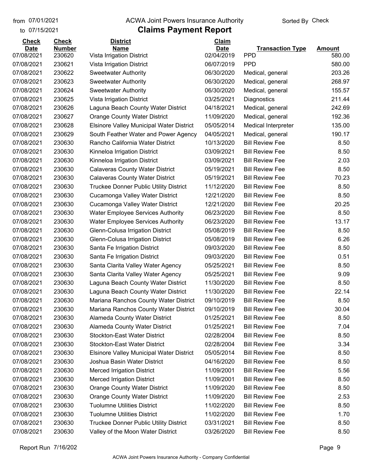#### from 07/01/2021 **ACWA Joint Powers Insurance Authority** Sorted By Check

#### to 07/15/2021

| <b>Check</b> | <b>Check</b>  | <b>District</b>                                 | Claim       |                            |               |
|--------------|---------------|-------------------------------------------------|-------------|----------------------------|---------------|
| <b>Date</b>  | <b>Number</b> | <b>Name</b>                                     | <b>Date</b> | <b>Transaction Type</b>    | <b>Amount</b> |
| 07/08/2021   | 230620        | Vista Irrigation District                       | 02/04/2019  | <b>PPD</b>                 | 580.00        |
| 07/08/2021   | 230621        | Vista Irrigation District                       | 06/07/2019  | <b>PPD</b>                 | 580.00        |
| 07/08/2021   | 230622        | <b>Sweetwater Authority</b>                     | 06/30/2020  | Medical, general           | 203.26        |
| 07/08/2021   | 230623        | <b>Sweetwater Authority</b>                     | 06/30/2020  | Medical, general           | 268.97        |
| 07/08/2021   | 230624        | <b>Sweetwater Authority</b>                     | 06/30/2020  | Medical, general           | 155.57        |
| 07/08/2021   | 230625        | Vista Irrigation District                       | 03/25/2021  | Diagnostics                | 211.44        |
| 07/08/2021   | 230626        | Laguna Beach County Water District              | 04/18/2021  | Medical, general           | 242.69        |
| 07/08/2021   | 230627        | <b>Orange County Water District</b>             | 11/09/2020  | Medical, general           | 192.36        |
| 07/08/2021   | 230628        | <b>Elsinore Valley Municipal Water District</b> | 05/05/2014  | <b>Medical Interpreter</b> | 135.00        |
| 07/08/2021   | 230629        | South Feather Water and Power Agency            | 04/05/2021  | Medical, general           | 190.17        |
| 07/08/2021   | 230630        | Rancho California Water District                | 10/13/2020  | <b>Bill Review Fee</b>     | 8.50          |
| 07/08/2021   | 230630        | Kinneloa Irrigation District                    | 03/09/2021  | <b>Bill Review Fee</b>     | 8.50          |
| 07/08/2021   | 230630        | Kinneloa Irrigation District                    | 03/09/2021  | <b>Bill Review Fee</b>     | 2.03          |
| 07/08/2021   | 230630        | <b>Calaveras County Water District</b>          | 05/19/2021  | <b>Bill Review Fee</b>     | 8.50          |
| 07/08/2021   | 230630        | <b>Calaveras County Water District</b>          | 05/19/2021  | <b>Bill Review Fee</b>     | 70.23         |
| 07/08/2021   | 230630        | <b>Truckee Donner Public Utility District</b>   | 11/12/2020  | <b>Bill Review Fee</b>     | 8.50          |
| 07/08/2021   | 230630        | Cucamonga Valley Water District                 | 12/21/2020  | <b>Bill Review Fee</b>     | 8.50          |
| 07/08/2021   | 230630        | Cucamonga Valley Water District                 | 12/21/2020  | <b>Bill Review Fee</b>     | 20.25         |
| 07/08/2021   | 230630        | <b>Water Employee Services Authority</b>        | 06/23/2020  | <b>Bill Review Fee</b>     | 8.50          |
| 07/08/2021   | 230630        | <b>Water Employee Services Authority</b>        | 06/23/2020  | <b>Bill Review Fee</b>     | 13.17         |
| 07/08/2021   | 230630        | Glenn-Colusa Irrigation District                | 05/08/2019  | <b>Bill Review Fee</b>     | 8.50          |
| 07/08/2021   | 230630        | Glenn-Colusa Irrigation District                | 05/08/2019  | <b>Bill Review Fee</b>     | 6.26          |
| 07/08/2021   | 230630        | Santa Fe Irrigation District                    | 09/03/2020  | <b>Bill Review Fee</b>     | 8.50          |
| 07/08/2021   | 230630        | Santa Fe Irrigation District                    | 09/03/2020  | <b>Bill Review Fee</b>     | 0.51          |
| 07/08/2021   | 230630        | Santa Clarita Valley Water Agency               | 05/25/2021  | <b>Bill Review Fee</b>     | 8.50          |
| 07/08/2021   | 230630        | Santa Clarita Valley Water Agency               | 05/25/2021  | <b>Bill Review Fee</b>     | 9.09          |
| 07/08/2021   | 230630        | Laguna Beach County Water District              | 11/30/2020  | <b>Bill Review Fee</b>     | 8.50          |
| 07/08/2021   | 230630        | Laguna Beach County Water District              | 11/30/2020  | <b>Bill Review Fee</b>     | 22.14         |
| 07/08/2021   | 230630        | Mariana Ranchos County Water District           | 09/10/2019  | <b>Bill Review Fee</b>     | 8.50          |
| 07/08/2021   | 230630        | Mariana Ranchos County Water District           | 09/10/2019  | <b>Bill Review Fee</b>     | 30.04         |
| 07/08/2021   | 230630        | Alameda County Water District                   | 01/25/2021  | <b>Bill Review Fee</b>     | 8.50          |
| 07/08/2021   | 230630        | <b>Alameda County Water District</b>            | 01/25/2021  | <b>Bill Review Fee</b>     | 7.04          |
| 07/08/2021   | 230630        | <b>Stockton-East Water District</b>             | 02/28/2004  | <b>Bill Review Fee</b>     | 8.50          |
| 07/08/2021   | 230630        | <b>Stockton-East Water District</b>             | 02/28/2004  | <b>Bill Review Fee</b>     | 3.34          |
| 07/08/2021   | 230630        | <b>Elsinore Valley Municipal Water District</b> | 05/05/2014  | <b>Bill Review Fee</b>     | 8.50          |
| 07/08/2021   | 230630        | Joshua Basin Water District                     | 04/16/2020  | <b>Bill Review Fee</b>     | 8.50          |
| 07/08/2021   | 230630        | <b>Merced Irrigation District</b>               | 11/09/2001  | <b>Bill Review Fee</b>     | 5.56          |
| 07/08/2021   | 230630        | <b>Merced Irrigation District</b>               | 11/09/2001  | <b>Bill Review Fee</b>     | 8.50          |
| 07/08/2021   | 230630        | <b>Orange County Water District</b>             | 11/09/2020  | <b>Bill Review Fee</b>     | 8.50          |
| 07/08/2021   | 230630        | <b>Orange County Water District</b>             | 11/09/2020  | <b>Bill Review Fee</b>     | 2.53          |
| 07/08/2021   | 230630        | <b>Tuolumne Utilities District</b>              | 11/02/2020  | <b>Bill Review Fee</b>     | 8.50          |
| 07/08/2021   | 230630        | <b>Tuolumne Utilities District</b>              | 11/02/2020  | <b>Bill Review Fee</b>     | 1.70          |
| 07/08/2021   | 230630        | <b>Truckee Donner Public Utility District</b>   | 03/31/2021  | <b>Bill Review Fee</b>     | 8.50          |
| 07/08/2021   | 230630        | Valley of the Moon Water District               | 03/26/2020  | <b>Bill Review Fee</b>     | 8.50          |
|              |               |                                                 |             |                            |               |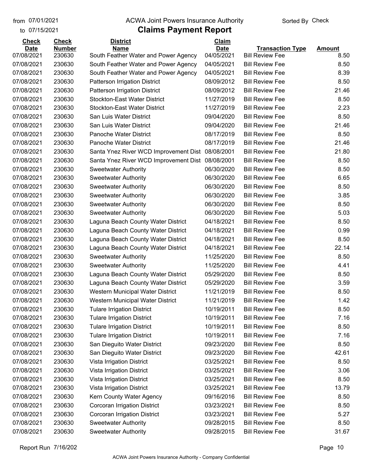to 07/15/2021

#### from 07/01/2021 **ACWA Joint Powers Insurance Authority** Sorted By Check

| <b>Check</b>              | <b>Check</b>            | <b>District</b>                                     | <b>Claim</b>              |                                                   |                       |
|---------------------------|-------------------------|-----------------------------------------------------|---------------------------|---------------------------------------------------|-----------------------|
| <b>Date</b><br>07/08/2021 | <b>Number</b><br>230630 | <b>Name</b><br>South Feather Water and Power Agency | <b>Date</b><br>04/05/2021 | <b>Transaction Type</b><br><b>Bill Review Fee</b> | <b>Amount</b><br>8.50 |
| 07/08/2021                | 230630                  | South Feather Water and Power Agency                | 04/05/2021                | <b>Bill Review Fee</b>                            | 8.50                  |
| 07/08/2021                | 230630                  | South Feather Water and Power Agency                | 04/05/2021                | <b>Bill Review Fee</b>                            | 8.39                  |
| 07/08/2021                | 230630                  | Patterson Irrigation District                       | 08/09/2012                | <b>Bill Review Fee</b>                            | 8.50                  |
| 07/08/2021                | 230630                  | Patterson Irrigation District                       | 08/09/2012                | <b>Bill Review Fee</b>                            | 21.46                 |
| 07/08/2021                | 230630                  | <b>Stockton-East Water District</b>                 | 11/27/2019                | <b>Bill Review Fee</b>                            | 8.50                  |
| 07/08/2021                | 230630                  | <b>Stockton-East Water District</b>                 | 11/27/2019                | <b>Bill Review Fee</b>                            | 2.23                  |
| 07/08/2021                | 230630                  | San Luis Water District                             | 09/04/2020                | <b>Bill Review Fee</b>                            | 8.50                  |
| 07/08/2021                | 230630                  | San Luis Water District                             | 09/04/2020                | <b>Bill Review Fee</b>                            | 21.46                 |
| 07/08/2021                | 230630                  | Panoche Water District                              | 08/17/2019                | <b>Bill Review Fee</b>                            | 8.50                  |
| 07/08/2021                | 230630                  | Panoche Water District                              | 08/17/2019                | <b>Bill Review Fee</b>                            | 21.46                 |
| 07/08/2021                | 230630                  | Santa Ynez River WCD Improvement Dist               | 08/08/2001                | <b>Bill Review Fee</b>                            | 21.80                 |
| 07/08/2021                | 230630                  | Santa Ynez River WCD Improvement Dist               | 08/08/2001                | <b>Bill Review Fee</b>                            | 8.50                  |
| 07/08/2021                | 230630                  | <b>Sweetwater Authority</b>                         | 06/30/2020                | <b>Bill Review Fee</b>                            | 8.50                  |
| 07/08/2021                | 230630                  | <b>Sweetwater Authority</b>                         | 06/30/2020                | <b>Bill Review Fee</b>                            | 6.65                  |
| 07/08/2021                | 230630                  | <b>Sweetwater Authority</b>                         | 06/30/2020                | <b>Bill Review Fee</b>                            | 8.50                  |
| 07/08/2021                | 230630                  | <b>Sweetwater Authority</b>                         | 06/30/2020                | <b>Bill Review Fee</b>                            | 3.85                  |
| 07/08/2021                | 230630                  | <b>Sweetwater Authority</b>                         | 06/30/2020                | <b>Bill Review Fee</b>                            | 8.50                  |
| 07/08/2021                | 230630                  | <b>Sweetwater Authority</b>                         | 06/30/2020                | <b>Bill Review Fee</b>                            | 5.03                  |
| 07/08/2021                | 230630                  | Laguna Beach County Water District                  | 04/18/2021                | <b>Bill Review Fee</b>                            | 8.50                  |
| 07/08/2021                | 230630                  | Laguna Beach County Water District                  | 04/18/2021                | <b>Bill Review Fee</b>                            | 0.99                  |
| 07/08/2021                | 230630                  | Laguna Beach County Water District                  | 04/18/2021                | <b>Bill Review Fee</b>                            | 8.50                  |
| 07/08/2021                | 230630                  | Laguna Beach County Water District                  | 04/18/2021                | <b>Bill Review Fee</b>                            | 22.14                 |
| 07/08/2021                | 230630                  | <b>Sweetwater Authority</b>                         | 11/25/2020                | <b>Bill Review Fee</b>                            | 8.50                  |
| 07/08/2021                | 230630                  | <b>Sweetwater Authority</b>                         | 11/25/2020                | <b>Bill Review Fee</b>                            | 4.41                  |
| 07/08/2021                | 230630                  | Laguna Beach County Water District                  | 05/29/2020                | <b>Bill Review Fee</b>                            | 8.50                  |
| 07/08/2021                | 230630                  | Laguna Beach County Water District                  | 05/29/2020                | <b>Bill Review Fee</b>                            | 3.59                  |
| 07/08/2021                | 230630                  |                                                     | 11/21/2019                | <b>Bill Review Fee</b>                            | 8.50                  |
| 07/08/2021                | 230630                  | Western Municipal Water District                    | 11/21/2019                | <b>Bill Review Fee</b>                            | 1.42                  |
| 07/08/2021                |                         | Western Municipal Water District                    |                           |                                                   |                       |
|                           | 230630                  | <b>Tulare Irrigation District</b>                   | 10/19/2011                | <b>Bill Review Fee</b>                            | 8.50                  |
| 07/08/2021                | 230630                  | <b>Tulare Irrigation District</b>                   | 10/19/2011                | <b>Bill Review Fee</b>                            | 7.16                  |
| 07/08/2021                | 230630                  | <b>Tulare Irrigation District</b>                   | 10/19/2011                | <b>Bill Review Fee</b>                            | 8.50                  |
| 07/08/2021                | 230630                  | <b>Tulare Irrigation District</b>                   | 10/19/2011                | <b>Bill Review Fee</b>                            | 7.16                  |
| 07/08/2021                | 230630                  | San Dieguito Water District                         | 09/23/2020                | <b>Bill Review Fee</b>                            | 8.50                  |
| 07/08/2021                | 230630                  | San Dieguito Water District                         | 09/23/2020                | <b>Bill Review Fee</b>                            | 42.61                 |
| 07/08/2021                | 230630                  | Vista Irrigation District                           | 03/25/2021                | <b>Bill Review Fee</b>                            | 8.50                  |
| 07/08/2021                | 230630                  | Vista Irrigation District                           | 03/25/2021                | <b>Bill Review Fee</b>                            | 3.06                  |
| 07/08/2021                | 230630                  | Vista Irrigation District                           | 03/25/2021                | <b>Bill Review Fee</b>                            | 8.50                  |
| 07/08/2021                | 230630                  | Vista Irrigation District                           | 03/25/2021                | <b>Bill Review Fee</b>                            | 13.79                 |
| 07/08/2021                | 230630                  | Kern County Water Agency                            | 09/16/2016                | <b>Bill Review Fee</b>                            | 8.50                  |
| 07/08/2021                | 230630                  | Corcoran Irrigation District                        | 03/23/2021                | <b>Bill Review Fee</b>                            | 8.50                  |
| 07/08/2021                | 230630                  | Corcoran Irrigation District                        | 03/23/2021                | <b>Bill Review Fee</b>                            | 5.27                  |
| 07/08/2021                | 230630                  | <b>Sweetwater Authority</b>                         | 09/28/2015                | <b>Bill Review Fee</b>                            | 8.50                  |
| 07/08/2021                | 230630                  | <b>Sweetwater Authority</b>                         | 09/28/2015                | <b>Bill Review Fee</b>                            | 31.67                 |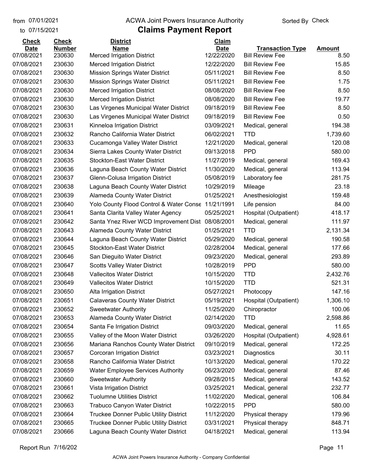#### from 07/01/2021 **ACWA Joint Powers Insurance Authority** Sorted By Check

#### to 07/15/2021

| <b>Check</b> | <b>Check</b>  | <b>District</b>                                  | Claim       |                         |               |
|--------------|---------------|--------------------------------------------------|-------------|-------------------------|---------------|
| <b>Date</b>  | <b>Number</b> | <b>Name</b>                                      | <b>Date</b> | <b>Transaction Type</b> | <b>Amount</b> |
| 07/08/2021   | 230630        | <b>Merced Irrigation District</b>                | 12/22/2020  | <b>Bill Review Fee</b>  | 8.50          |
| 07/08/2021   | 230630        | <b>Merced Irrigation District</b>                | 12/22/2020  | <b>Bill Review Fee</b>  | 15.85         |
| 07/08/2021   | 230630        | <b>Mission Springs Water District</b>            | 05/11/2021  | <b>Bill Review Fee</b>  | 8.50          |
| 07/08/2021   | 230630        | <b>Mission Springs Water District</b>            | 05/11/2021  | <b>Bill Review Fee</b>  | 1.75          |
| 07/08/2021   | 230630        | <b>Merced Irrigation District</b>                | 08/08/2020  | <b>Bill Review Fee</b>  | 8.50          |
| 07/08/2021   | 230630        | <b>Merced Irrigation District</b>                | 08/08/2020  | <b>Bill Review Fee</b>  | 19.77         |
| 07/08/2021   | 230630        | Las Virgenes Municipal Water District            | 09/18/2019  | <b>Bill Review Fee</b>  | 8.50          |
| 07/08/2021   | 230630        | Las Virgenes Municipal Water District            | 09/18/2019  | <b>Bill Review Fee</b>  | 0.50          |
| 07/08/2021   | 230631        | Kinneloa Irrigation District                     | 03/09/2021  | Medical, general        | 194.38        |
| 07/08/2021   | 230632        | Rancho California Water District                 | 06/02/2021  | <b>TTD</b>              | 1,739.60      |
| 07/08/2021   | 230633        | Cucamonga Valley Water District                  | 12/21/2020  | Medical, general        | 120.08        |
| 07/08/2021   | 230634        | Sierra Lakes County Water District               | 09/13/2018  | <b>PPD</b>              | 580.00        |
| 07/08/2021   | 230635        | <b>Stockton-East Water District</b>              | 11/27/2019  | Medical, general        | 169.43        |
| 07/08/2021   | 230636        | Laguna Beach County Water District               | 11/30/2020  | Medical, general        | 113.94        |
| 07/08/2021   | 230637        | Glenn-Colusa Irrigation District                 | 05/08/2019  | Laboratory fee          | 281.75        |
| 07/08/2021   | 230638        | Laguna Beach County Water District               | 10/29/2019  | Mileage                 | 23.18         |
| 07/08/2021   | 230639        | <b>Alameda County Water District</b>             | 01/25/2021  | Anesthesiologist        | 159.48        |
| 07/08/2021   | 230640        | Yolo County Flood Control & Water Conse          | 11/21/1991  | Life pension            | 84.00         |
| 07/08/2021   | 230641        | Santa Clarita Valley Water Agency                | 05/25/2021  | Hospital (Outpatient)   | 418.17        |
| 07/08/2021   | 230642        | Santa Ynez River WCD Improvement Dist 08/08/2001 |             | Medical, general        | 111.97        |
| 07/08/2021   | 230643        | Alameda County Water District                    | 01/25/2021  | <b>TTD</b>              | 2,131.34      |
| 07/08/2021   | 230644        | Laguna Beach County Water District               | 05/29/2020  | Medical, general        | 190.58        |
| 07/08/2021   | 230645        | <b>Stockton-East Water District</b>              | 02/28/2004  | Medical, general        | 177.66        |
| 07/08/2021   | 230646        | San Dieguito Water District                      | 09/23/2020  | Medical, general        | 293.89        |
| 07/08/2021   | 230647        | <b>Scotts Valley Water District</b>              | 10/28/2019  | <b>PPD</b>              | 580.00        |
| 07/08/2021   | 230648        | <b>Vallecitos Water District</b>                 | 10/15/2020  | <b>TTD</b>              | 2,432.76      |
| 07/08/2021   | 230649        | <b>Vallecitos Water District</b>                 | 10/15/2020  | <b>TTD</b>              | 521.31        |
| 07/08/2021   | 230650        | <b>Alta Irrigation District</b>                  | 05/27/2021  | Photocopy               | 147.16        |
| 07/08/2021   | 230651        | <b>Calaveras County Water District</b>           | 05/19/2021  | Hospital (Outpatient)   | 1,306.10      |
| 07/08/2021   | 230652        | <b>Sweetwater Authority</b>                      | 11/25/2020  | Chiropractor            | 100.06        |
| 07/08/2021   | 230653        | Alameda County Water District                    | 02/14/2020  | <b>TTD</b>              | 2,598.86      |
| 07/08/2021   | 230654        | Santa Fe Irrigation District                     | 09/03/2020  | Medical, general        | 11.65         |
| 07/08/2021   | 230655        | Valley of the Moon Water District                | 03/26/2020  | Hospital (Outpatient)   | 4,928.61      |
| 07/08/2021   | 230656        | Mariana Ranchos County Water District            | 09/10/2019  | Medical, general        | 172.25        |
| 07/08/2021   | 230657        | Corcoran Irrigation District                     | 03/23/2021  | Diagnostics             | 30.11         |
| 07/08/2021   | 230658        | Rancho California Water District                 | 10/13/2020  | Medical, general        | 170.22        |
| 07/08/2021   | 230659        | <b>Water Employee Services Authority</b>         | 06/23/2020  | Medical, general        | 87.46         |
| 07/08/2021   | 230660        | <b>Sweetwater Authority</b>                      | 09/28/2015  | Medical, general        | 143.52        |
| 07/08/2021   | 230661        | Vista Irrigation District                        | 03/25/2021  | Medical, general        | 232.77        |
| 07/08/2021   | 230662        | <b>Tuolumne Utilities District</b>               | 11/02/2020  | Medical, general        | 106.84        |
| 07/08/2021   | 230663        | <b>Trabuco Canyon Water District</b>             | 10/22/2015  | <b>PPD</b>              | 580.00        |
| 07/08/2021   | 230664        | <b>Truckee Donner Public Utility District</b>    | 11/12/2020  | Physical therapy        | 179.96        |
| 07/08/2021   | 230665        | <b>Truckee Donner Public Utility District</b>    | 03/31/2021  | Physical therapy        | 848.71        |
| 07/08/2021   | 230666        | Laguna Beach County Water District               | 04/18/2021  | Medical, general        | 113.94        |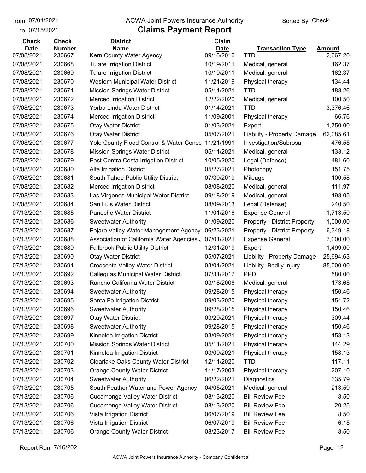to 07/15/2021 07/01/2021

#### from 07/01/2021 **ACWA Joint Powers Insurance Authority** Sorted By Check

| <b>Check</b> | <b>Check</b>  | <b>District</b>                                    | Claim       |                                     |               |
|--------------|---------------|----------------------------------------------------|-------------|-------------------------------------|---------------|
| <b>Date</b>  | <b>Number</b> | <b>Name</b>                                        | <b>Date</b> | <b>Transaction Type</b>             | <b>Amount</b> |
| 07/08/2021   | 230667        | Kern County Water Agency                           | 09/16/2016  | <b>TTD</b>                          | 2,667.20      |
| 07/08/2021   | 230668        | <b>Tulare Irrigation District</b>                  | 10/19/2011  | Medical, general                    | 162.37        |
| 07/08/2021   | 230669        | <b>Tulare Irrigation District</b>                  | 10/19/2011  | Medical, general                    | 162.37        |
| 07/08/2021   | 230670        | Western Municipal Water District                   | 11/21/2019  | Physical therapy                    | 134.44        |
| 07/08/2021   | 230671        | <b>Mission Springs Water District</b>              | 05/11/2021  | <b>TTD</b>                          | 188.26        |
| 07/08/2021   | 230672        | <b>Merced Irrigation District</b>                  | 12/22/2020  | Medical, general                    | 100.50        |
| 07/08/2021   | 230673        | Yorba Linda Water District                         | 01/14/2021  | <b>TTD</b>                          | 3,376.46      |
| 07/08/2021   | 230674        | <b>Merced Irrigation District</b>                  | 11/09/2001  | Physical therapy                    | 66.76         |
| 07/08/2021   | 230675        | <b>Otay Water District</b>                         | 01/03/2021  | Expert                              | 1,750.00      |
| 07/08/2021   | 230676        | <b>Otay Water District</b>                         | 05/07/2021  | Liability - Property Damage         | 62,085.61     |
| 07/08/2021   | 230677        | Yolo County Flood Control & Water Conse 11/21/1991 |             | Investigation/Subrosa               | 476.55        |
| 07/08/2021   | 230678        | <b>Mission Springs Water District</b>              | 05/11/2021  | Medical, general                    | 133.12        |
| 07/08/2021   | 230679        | East Contra Costa Irrigation District              | 10/05/2020  | Legal (Defense)                     | 481.60        |
| 07/08/2021   | 230680        | Alta Irrigation District                           | 05/27/2021  | Photocopy                           | 151.75        |
| 07/08/2021   | 230681        | South Tahoe Public Utility District                | 07/30/2019  | Mileage                             | 100.58        |
| 07/08/2021   | 230682        | <b>Merced Irrigation District</b>                  | 08/08/2020  | Medical, general                    | 111.97        |
| 07/08/2021   | 230683        | Las Virgenes Municipal Water District              | 09/18/2019  | Medical, general                    | 198.05        |
| 07/08/2021   | 230684        | San Luis Water District                            | 08/09/2013  | Legal (Defense)                     | 240.50        |
| 07/13/2021   | 230685        | Panoche Water District                             | 11/01/2016  | <b>Expense General</b>              | 1,713.50      |
| 07/13/2021   | 230686        | <b>Sweetwater Authority</b>                        | 01/09/2020  | <b>Property - District Property</b> | 1,000.00      |
| 07/13/2021   | 230687        | Pajaro Valley Water Management Agency              | 06/23/2021  | <b>Property - District Property</b> | 6,349.18      |
| 07/13/2021   | 230688        | Association of California Water Agencies.          | 07/01/2021  | <b>Expense General</b>              | 7,000.00      |
| 07/13/2021   | 230689        | <b>Fallbrook Public Utility District</b>           | 12/31/2019  | Expert                              | 1,499.00      |
| 07/13/2021   | 230690        | <b>Otay Water District</b>                         | 05/07/2021  | Liability - Property Damage         | 25,694.63     |
| 07/13/2021   | 230691        | Crescenta Valley Water District                    | 03/01/2021  | Liability- Bodily Injury            | 85,000.00     |
| 07/13/2021   | 230692        | Calleguas Municipal Water District                 | 07/31/2017  | <b>PPD</b>                          | 580.00        |
| 07/13/2021   | 230693        | Rancho California Water District                   | 03/18/2008  | Medical, general                    | 173.65        |
| 07/13/2021   | 230694        | <b>Sweetwater Authority</b>                        | 09/28/2015  | Physical therapy                    | 150.46        |
| 07/13/2021   | 230695        | Santa Fe Irrigation District                       | 09/03/2020  | Physical therapy                    | 154.72        |
| 07/13/2021   | 230696        | <b>Sweetwater Authority</b>                        | 09/28/2015  | Physical therapy                    | 150.46        |
| 07/13/2021   | 230697        | <b>Otay Water District</b>                         | 03/29/2021  | Physical therapy                    | 309.44        |
| 07/13/2021   | 230698        | <b>Sweetwater Authority</b>                        | 09/28/2015  | Physical therapy                    | 150.46        |
| 07/13/2021   | 230699        | Kinneloa Irrigation District                       | 03/09/2021  | Physical therapy                    | 158.13        |
| 07/13/2021   | 230700        | <b>Mission Springs Water District</b>              | 05/11/2021  | Physical therapy                    | 144.29        |
| 07/13/2021   | 230701        | Kinneloa Irrigation District                       | 03/09/2021  | Physical therapy                    | 158.13        |
| 07/13/2021   | 230702        | <b>Clearlake Oaks County Water District</b>        | 12/11/2020  | <b>TTD</b>                          | 117.11        |
| 07/13/2021   | 230703        | <b>Orange County Water District</b>                | 11/17/2003  | Physical therapy                    | 207.10        |
| 07/13/2021   | 230704        | <b>Sweetwater Authority</b>                        | 06/22/2021  | Diagnostics                         | 335.79        |
| 07/13/2021   | 230705        | South Feather Water and Power Agency               | 04/05/2021  | Medical, general                    | 213.59        |
| 07/13/2021   | 230706        | Cucamonga Valley Water District                    | 08/13/2020  | <b>Bill Review Fee</b>              | 8.50          |
| 07/13/2021   | 230706        | Cucamonga Valley Water District                    | 08/13/2020  | <b>Bill Review Fee</b>              | 20.25         |
| 07/13/2021   | 230706        | Vista Irrigation District                          | 06/07/2019  | <b>Bill Review Fee</b>              | 8.50          |
| 07/13/2021   | 230706        | Vista Irrigation District                          | 06/07/2019  | <b>Bill Review Fee</b>              | 6.15          |
| 07/13/2021   | 230706        | <b>Orange County Water District</b>                | 08/23/2017  | <b>Bill Review Fee</b>              | 8.50          |
|              |               |                                                    |             |                                     |               |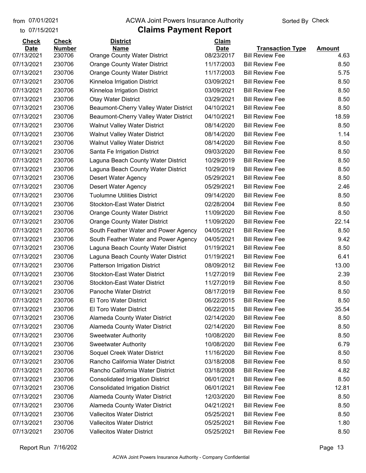#### from 07/01/2021 **ACWA Joint Powers Insurance Authority** Sorted By Check

#### to 07/15/2021

| <b>Check</b> | <b>Check</b>  | <b>District</b>                         | Claim       |                         |               |
|--------------|---------------|-----------------------------------------|-------------|-------------------------|---------------|
| <b>Date</b>  | <b>Number</b> | <b>Name</b>                             | <b>Date</b> | <b>Transaction Type</b> | <b>Amount</b> |
| 07/13/2021   | 230706        | <b>Orange County Water District</b>     | 08/23/2017  | <b>Bill Review Fee</b>  | 4.63          |
| 07/13/2021   | 230706        | <b>Orange County Water District</b>     | 11/17/2003  | <b>Bill Review Fee</b>  | 8.50          |
| 07/13/2021   | 230706        | <b>Orange County Water District</b>     | 11/17/2003  | <b>Bill Review Fee</b>  | 5.75          |
| 07/13/2021   | 230706        | Kinneloa Irrigation District            | 03/09/2021  | <b>Bill Review Fee</b>  | 8.50          |
| 07/13/2021   | 230706        | Kinneloa Irrigation District            | 03/09/2021  | <b>Bill Review Fee</b>  | 8.50          |
| 07/13/2021   | 230706        | <b>Otay Water District</b>              | 03/29/2021  | <b>Bill Review Fee</b>  | 8.50          |
| 07/13/2021   | 230706        | Beaumont-Cherry Valley Water District   | 04/10/2021  | <b>Bill Review Fee</b>  | 8.50          |
| 07/13/2021   | 230706        | Beaumont-Cherry Valley Water District   | 04/10/2021  | <b>Bill Review Fee</b>  | 18.59         |
| 07/13/2021   | 230706        | <b>Walnut Valley Water District</b>     | 08/14/2020  | <b>Bill Review Fee</b>  | 8.50          |
| 07/13/2021   | 230706        | <b>Walnut Valley Water District</b>     | 08/14/2020  | <b>Bill Review Fee</b>  | 1.14          |
| 07/13/2021   | 230706        | <b>Walnut Valley Water District</b>     | 08/14/2020  | <b>Bill Review Fee</b>  | 8.50          |
| 07/13/2021   | 230706        | Santa Fe Irrigation District            | 09/03/2020  | <b>Bill Review Fee</b>  | 8.50          |
| 07/13/2021   | 230706        | Laguna Beach County Water District      | 10/29/2019  | <b>Bill Review Fee</b>  | 8.50          |
| 07/13/2021   | 230706        | Laguna Beach County Water District      | 10/29/2019  | <b>Bill Review Fee</b>  | 8.50          |
| 07/13/2021   | 230706        | <b>Desert Water Agency</b>              | 05/29/2021  | <b>Bill Review Fee</b>  | 8.50          |
| 07/13/2021   | 230706        | Desert Water Agency                     | 05/29/2021  | <b>Bill Review Fee</b>  | 2.46          |
| 07/13/2021   | 230706        | <b>Tuolumne Utilities District</b>      | 09/14/2020  | <b>Bill Review Fee</b>  | 8.50          |
| 07/13/2021   | 230706        | <b>Stockton-East Water District</b>     | 02/28/2004  | <b>Bill Review Fee</b>  | 8.50          |
| 07/13/2021   | 230706        | <b>Orange County Water District</b>     | 11/09/2020  | <b>Bill Review Fee</b>  | 8.50          |
| 07/13/2021   | 230706        | <b>Orange County Water District</b>     | 11/09/2020  | <b>Bill Review Fee</b>  | 22.14         |
| 07/13/2021   | 230706        | South Feather Water and Power Agency    | 04/05/2021  | <b>Bill Review Fee</b>  | 8.50          |
| 07/13/2021   | 230706        | South Feather Water and Power Agency    | 04/05/2021  | <b>Bill Review Fee</b>  | 9.42          |
| 07/13/2021   | 230706        | Laguna Beach County Water District      | 01/19/2021  | <b>Bill Review Fee</b>  | 8.50          |
| 07/13/2021   | 230706        | Laguna Beach County Water District      | 01/19/2021  | <b>Bill Review Fee</b>  | 6.41          |
| 07/13/2021   | 230706        | Patterson Irrigation District           | 08/09/2012  | <b>Bill Review Fee</b>  | 13.00         |
| 07/13/2021   | 230706        | <b>Stockton-East Water District</b>     | 11/27/2019  | <b>Bill Review Fee</b>  | 2.39          |
| 07/13/2021   | 230706        | <b>Stockton-East Water District</b>     | 11/27/2019  | <b>Bill Review Fee</b>  | 8.50          |
| 07/13/2021   | 230706        | Panoche Water District                  | 08/17/2019  | <b>Bill Review Fee</b>  | 8.50          |
| 07/13/2021   | 230706        | El Toro Water District                  | 06/22/2015  | <b>Bill Review Fee</b>  | 8.50          |
| 07/13/2021   | 230706        | El Toro Water District                  | 06/22/2015  | <b>Bill Review Fee</b>  | 35.54         |
| 07/13/2021   | 230706        | Alameda County Water District           | 02/14/2020  | <b>Bill Review Fee</b>  | 8.50          |
| 07/13/2021   | 230706        | Alameda County Water District           | 02/14/2020  | <b>Bill Review Fee</b>  | 8.50          |
| 07/13/2021   | 230706        | <b>Sweetwater Authority</b>             | 10/08/2020  | <b>Bill Review Fee</b>  | 8.50          |
| 07/13/2021   | 230706        | <b>Sweetwater Authority</b>             | 10/08/2020  | <b>Bill Review Fee</b>  | 6.79          |
| 07/13/2021   | 230706        | Soquel Creek Water District             | 11/16/2020  | <b>Bill Review Fee</b>  | 8.50          |
| 07/13/2021   | 230706        | Rancho California Water District        | 03/18/2008  | <b>Bill Review Fee</b>  | 8.50          |
| 07/13/2021   | 230706        | Rancho California Water District        | 03/18/2008  | <b>Bill Review Fee</b>  | 4.82          |
| 07/13/2021   | 230706        | <b>Consolidated Irrigation District</b> | 06/01/2021  | <b>Bill Review Fee</b>  | 8.50          |
| 07/13/2021   | 230706        | <b>Consolidated Irrigation District</b> | 06/01/2021  | <b>Bill Review Fee</b>  | 12.81         |
| 07/13/2021   | 230706        | Alameda County Water District           | 12/03/2020  | <b>Bill Review Fee</b>  | 8.50          |
| 07/13/2021   | 230706        | Alameda County Water District           | 04/21/2021  | <b>Bill Review Fee</b>  | 8.50          |
| 07/13/2021   | 230706        | <b>Vallecitos Water District</b>        | 05/25/2021  | <b>Bill Review Fee</b>  | 8.50          |
| 07/13/2021   | 230706        | <b>Vallecitos Water District</b>        | 05/25/2021  | <b>Bill Review Fee</b>  | 1.80          |
| 07/13/2021   | 230706        | <b>Vallecitos Water District</b>        | 05/25/2021  | <b>Bill Review Fee</b>  | 8.50          |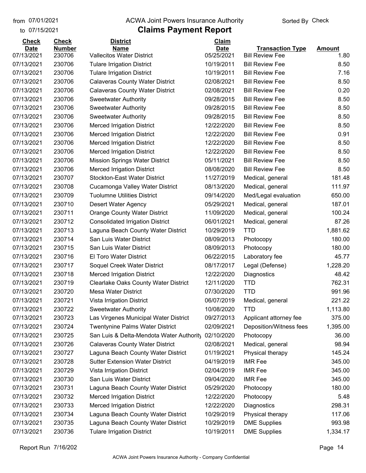to 07/15/2021 07/01/2021

#### from 07/01/2021 **ACWA Joint Powers Insurance Authority** Sorted By Check

## **Claims Payment Report**

| <b>Check</b> | <b>Check</b>  | <b>District</b>                             | Claim                    |                         |               |
|--------------|---------------|---------------------------------------------|--------------------------|-------------------------|---------------|
| <b>Date</b>  | <b>Number</b> | <b>Name</b>                                 | <b>Date</b>              | <b>Transaction Type</b> | <b>Amount</b> |
| 07/13/2021   | 230706        | <b>Vallecitos Water District</b>            | 05/25/2021<br>10/19/2011 | <b>Bill Review Fee</b>  | 1.80          |
| 07/13/2021   | 230706        | <b>Tulare Irrigation District</b>           |                          | <b>Bill Review Fee</b>  | 8.50          |
| 07/13/2021   | 230706        | <b>Tulare Irrigation District</b>           | 10/19/2011               | <b>Bill Review Fee</b>  | 7.16          |
| 07/13/2021   | 230706        | <b>Calaveras County Water District</b>      | 02/08/2021               | <b>Bill Review Fee</b>  | 8.50          |
| 07/13/2021   | 230706        | <b>Calaveras County Water District</b>      | 02/08/2021               | <b>Bill Review Fee</b>  | 0.20          |
| 07/13/2021   | 230706        | <b>Sweetwater Authority</b>                 | 09/28/2015               | <b>Bill Review Fee</b>  | 8.50          |
| 07/13/2021   | 230706        | <b>Sweetwater Authority</b>                 | 09/28/2015               | <b>Bill Review Fee</b>  | 8.50          |
| 07/13/2021   | 230706        | <b>Sweetwater Authority</b>                 | 09/28/2015               | <b>Bill Review Fee</b>  | 8.50          |
| 07/13/2021   | 230706        | <b>Merced Irrigation District</b>           | 12/22/2020               | <b>Bill Review Fee</b>  | 8.50          |
| 07/13/2021   | 230706        | <b>Merced Irrigation District</b>           | 12/22/2020               | <b>Bill Review Fee</b>  | 0.91          |
| 07/13/2021   | 230706        | <b>Merced Irrigation District</b>           | 12/22/2020               | <b>Bill Review Fee</b>  | 8.50          |
| 07/13/2021   | 230706        | <b>Merced Irrigation District</b>           | 12/22/2020               | <b>Bill Review Fee</b>  | 8.50          |
| 07/13/2021   | 230706        | <b>Mission Springs Water District</b>       | 05/11/2021               | <b>Bill Review Fee</b>  | 8.50          |
| 07/13/2021   | 230706        | <b>Merced Irrigation District</b>           | 08/08/2020               | <b>Bill Review Fee</b>  | 8.50          |
| 07/13/2021   | 230707        | <b>Stockton-East Water District</b>         | 11/27/2019               | Medical, general        | 181.48        |
| 07/13/2021   | 230708        | Cucamonga Valley Water District             | 08/13/2020               | Medical, general        | 111.97        |
| 07/13/2021   | 230709        | <b>Tuolumne Utilities District</b>          | 09/14/2020               | Med/Legal evaluation    | 650.00        |
| 07/13/2021   | 230710        | <b>Desert Water Agency</b>                  | 05/29/2021               | Medical, general        | 187.01        |
| 07/13/2021   | 230711        | <b>Orange County Water District</b>         | 11/09/2020               | Medical, general        | 100.24        |
| 07/13/2021   | 230712        | <b>Consolidated Irrigation District</b>     | 06/01/2021               | Medical, general        | 87.26         |
| 07/13/2021   | 230713        | Laguna Beach County Water District          | 10/29/2019               | <b>TTD</b>              | 1,881.62      |
| 07/13/2021   | 230714        | San Luis Water District                     | 08/09/2013               | Photocopy               | 180.00        |
| 07/13/2021   | 230715        | San Luis Water District                     | 08/09/2013               | Photocopy               | 180.00        |
| 07/13/2021   | 230716        | <b>El Toro Water District</b>               | 06/22/2015               | Laboratory fee          | 45.77         |
| 07/13/2021   | 230717        | Soquel Creek Water District                 | 08/17/2017               | Legal (Defense)         | 1,228.20      |
| 07/13/2021   | 230718        | <b>Merced Irrigation District</b>           | 12/22/2020               | Diagnostics             | 48.42         |
| 07/13/2021   | 230719        | <b>Clearlake Oaks County Water District</b> | 12/11/2020               | <b>TTD</b>              | 762.31        |
| 07/13/2021   | 230720        | <b>Mesa Water District</b>                  | 07/30/2020               | <b>TTD</b>              | 991.96        |
| 07/13/2021   | 230721        | Vista Irrigation District                   | 06/07/2019               | Medical, general        | 221.22        |
| 07/13/2021   | 230722        | <b>Sweetwater Authority</b>                 | 10/08/2020               | TTD                     | 1,113.80      |
| 07/13/2021   | 230723        | Las Virgenes Municipal Water District       | 09/27/2013               | Applicant attorney fee  | 375.00        |
| 07/13/2021   | 230724        | <b>Twentynine Palms Water District</b>      | 02/09/2021               | Deposition/Witness fees | 1,395.00      |
| 07/13/2021   | 230725        | San Luis & Delta-Mendota Water Authority    | 02/10/2020               | Photocopy               | 36.00         |
| 07/13/2021   | 230726        | <b>Calaveras County Water District</b>      | 02/08/2021               | Medical, general        | 98.94         |
| 07/13/2021   | 230727        | Laguna Beach County Water District          | 01/19/2021               | Physical therapy        | 145.24        |
| 07/13/2021   | 230728        | <b>Sutter Extension Water District</b>      | 04/19/2019               | <b>IMR Fee</b>          | 345.00        |
| 07/13/2021   | 230729        | Vista Irrigation District                   | 02/04/2019               | <b>IMR Fee</b>          | 345.00        |
| 07/13/2021   | 230730        | San Luis Water District                     | 09/04/2020               | <b>IMR Fee</b>          | 345.00        |
| 07/13/2021   | 230731        | Laguna Beach County Water District          | 05/29/2020               | Photocopy               | 180.00        |
| 07/13/2021   | 230732        | <b>Merced Irrigation District</b>           | 12/22/2020               | Photocopy               | 5.48          |
| 07/13/2021   | 230733        | <b>Merced Irrigation District</b>           | 12/22/2020               | Diagnostics             | 298.31        |
| 07/13/2021   | 230734        | Laguna Beach County Water District          | 10/29/2019               | Physical therapy        | 117.06        |
| 07/13/2021   | 230735        | Laguna Beach County Water District          | 10/29/2019               | <b>DME Supplies</b>     | 993.98        |
| 07/13/2021   | 230736        | <b>Tulare Irrigation District</b>           | 10/19/2011               | <b>DME Supplies</b>     | 1,334.17      |

Report Run 7/16/202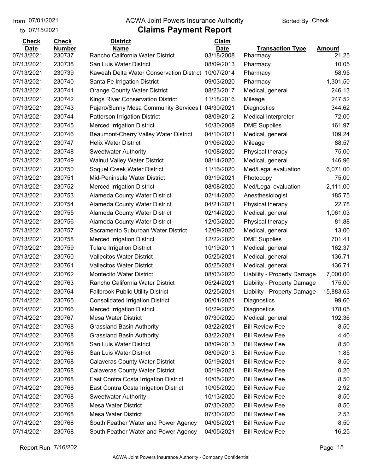to 07/15/2021

## from 07/01/2021 **ACWA Joint Powers Insurance Authority** Sorted By Check

| <b>Check</b> | <b>Check</b>     | <b>District</b>                                     | Claim       |                             |                |
|--------------|------------------|-----------------------------------------------------|-------------|-----------------------------|----------------|
| <b>Date</b>  | <b>Number</b>    | <b>Name</b>                                         | <b>Date</b> | <b>Transaction Type</b>     | <b>Amount</b>  |
| 07/13/2021   | 230737<br>230738 | Rancho California Water District                    | 03/18/2008  | Pharmacy                    | 21.25<br>10.05 |
| 07/13/2021   |                  | San Luis Water District                             | 08/09/2013  | Pharmacy                    | 58.95          |
| 07/13/2021   | 230739<br>230740 | Kaweah Delta Water Conservation District 10/07/2014 |             | Pharmacy                    |                |
| 07/13/2021   |                  | Santa Fe Irrigation District                        | 09/03/2020  | Pharmacy                    | 1,301.50       |
| 07/13/2021   | 230741           | <b>Orange County Water District</b>                 | 08/23/2017  | Medical, general            | 246.13         |
| 07/13/2021   | 230742           | Kings River Conservation District                   | 11/18/2016  | Mileage                     | 247.52         |
| 07/13/2021   | 230743           | Pajaro/Sunny Mesa Community Services I              | 04/30/2021  | Diagnostics                 | 344.62         |
| 07/13/2021   | 230744           | Patterson Irrigation District                       | 08/09/2012  | <b>Medical Interpreter</b>  | 72.00          |
| 07/13/2021   | 230745           | <b>Merced Irrigation District</b>                   | 10/30/2008  | <b>DME Supplies</b>         | 161.97         |
| 07/13/2021   | 230746           | Beaumont-Cherry Valley Water District               | 04/10/2021  | Medical, general            | 109.24         |
| 07/13/2021   | 230747           | <b>Helix Water District</b>                         | 01/06/2020  | Mileage                     | 88.57          |
| 07/13/2021   | 230748           | <b>Sweetwater Authority</b>                         | 10/08/2020  | Physical therapy            | 75.00          |
| 07/13/2021   | 230749           | <b>Walnut Valley Water District</b>                 | 08/14/2020  | Medical, general            | 146.96         |
| 07/13/2021   | 230750           | Soquel Creek Water District                         | 11/16/2020  | Med/Legal evaluation        | 6,071.00       |
| 07/13/2021   | 230751           | Mid-Peninsula Water District                        | 03/19/2021  | Photocopy                   | 75.00          |
| 07/13/2021   | 230752           | <b>Merced Irrigation District</b>                   | 08/08/2020  | Med/Legal evaluation        | 2,111.00       |
| 07/13/2021   | 230753           | Alameda County Water District                       | 02/14/2020  | Anesthesiologist            | 185.75         |
| 07/13/2021   | 230754           | Alameda County Water District                       | 04/21/2021  | Physical therapy            | 22.78          |
| 07/13/2021   | 230755           | Alameda County Water District                       | 02/14/2020  | Medical, general            | 1,061.03       |
| 07/13/2021   | 230756           | Alameda County Water District                       | 12/03/2020  | Physical therapy            | 81.88          |
| 07/13/2021   | 230757           | Sacramento Suburban Water District                  | 12/09/2020  | Medical, general            | 13.00          |
| 07/13/2021   | 230758           | <b>Merced Irrigation District</b>                   | 12/22/2020  | <b>DME Supplies</b>         | 701.41         |
| 07/13/2021   | 230759           | <b>Tulare Irrigation District</b>                   | 10/19/2011  | Medical, general            | 162.37         |
| 07/13/2021   | 230760           | <b>Vallecitos Water District</b>                    | 05/25/2021  | Medical, general            | 136.71         |
| 07/13/2021   | 230761           | <b>Vallecitos Water District</b>                    | 05/25/2021  | Medical, general            | 136.71         |
| 07/14/2021   | 230762           | <b>Montecito Water District</b>                     | 08/03/2020  | Liability - Property Damage | 7,000.00       |
| 07/14/2021   | 230763           | Rancho California Water District                    | 05/24/2021  | Liability - Property Damage | 175.00         |
| 07/14/2021   | 230764           | <b>Fallbrook Public Utility District</b>            | 02/25/2021  | Liability - Property Damage | 15,883.63      |
| 07/14/2021   | 230765           | <b>Consolidated Irrigation District</b>             | 06/01/2021  | Diagnostics                 | 99.60          |
| 07/14/2021   | 230766           | <b>Merced Irrigation District</b>                   | 10/29/2020  | Diagnostics                 | 178.05         |
| 07/14/2021   | 230767           | <b>Mesa Water District</b>                          | 07/30/2020  | Medical, general            | 192.36         |
| 07/14/2021   | 230768           | <b>Grassland Basin Authority</b>                    | 03/22/2021  | <b>Bill Review Fee</b>      | 8.50           |
| 07/14/2021   | 230768           | <b>Grassland Basin Authority</b>                    | 03/22/2021  | <b>Bill Review Fee</b>      | 4.40           |
| 07/14/2021   | 230768           | San Luis Water District                             | 08/09/2013  | <b>Bill Review Fee</b>      | 8.50           |
| 07/14/2021   | 230768           | San Luis Water District                             | 08/09/2013  | <b>Bill Review Fee</b>      | 1.85           |
| 07/14/2021   | 230768           | <b>Calaveras County Water District</b>              | 05/19/2021  | <b>Bill Review Fee</b>      | 8.50           |
| 07/14/2021   | 230768           | <b>Calaveras County Water District</b>              | 05/19/2021  | <b>Bill Review Fee</b>      | 0.20           |
| 07/14/2021   | 230768           | East Contra Costa Irrigation District               | 10/05/2020  | <b>Bill Review Fee</b>      | 8.50           |
| 07/14/2021   | 230768           | East Contra Costa Irrigation District               | 10/05/2020  | <b>Bill Review Fee</b>      | 2.92           |
| 07/14/2021   | 230768           | <b>Sweetwater Authority</b>                         | 10/13/2020  | <b>Bill Review Fee</b>      | 8.50           |
| 07/14/2021   | 230768           | <b>Mesa Water District</b>                          | 07/30/2020  | <b>Bill Review Fee</b>      | 8.50           |
| 07/14/2021   | 230768           | <b>Mesa Water District</b>                          | 07/30/2020  | <b>Bill Review Fee</b>      | 2.53           |
| 07/14/2021   | 230768           | South Feather Water and Power Agency                | 04/05/2021  | <b>Bill Review Fee</b>      | 8.50           |
| 07/14/2021   | 230768           | South Feather Water and Power Agency                | 04/05/2021  | <b>Bill Review Fee</b>      | 16.25          |
|              |                  |                                                     |             |                             |                |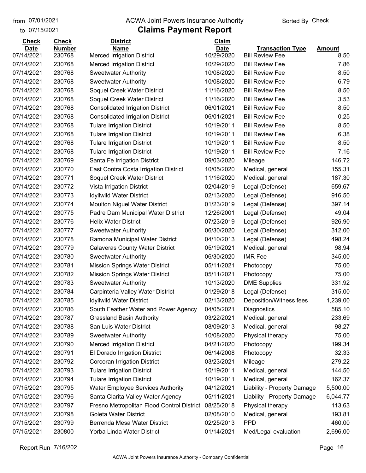#### from 07/01/2021 **ACWA Joint Powers Insurance Authority** Sorted By Check

#### to 07/15/2021

| <b>Check</b> | <b>Check</b>  | <b>District</b>                            | Claim       |                             |               |
|--------------|---------------|--------------------------------------------|-------------|-----------------------------|---------------|
| <b>Date</b>  | <b>Number</b> | <b>Name</b>                                | <b>Date</b> | <b>Transaction Type</b>     | <b>Amount</b> |
| 07/14/2021   | 230768        | <b>Merced Irrigation District</b>          | 10/29/2020  | <b>Bill Review Fee</b>      | 8.50          |
| 07/14/2021   | 230768        | <b>Merced Irrigation District</b>          | 10/29/2020  | <b>Bill Review Fee</b>      | 7.86          |
| 07/14/2021   | 230768        | Sweetwater Authority                       | 10/08/2020  | <b>Bill Review Fee</b>      | 8.50          |
| 07/14/2021   | 230768        | <b>Sweetwater Authority</b>                | 10/08/2020  | <b>Bill Review Fee</b>      | 6.79          |
| 07/14/2021   | 230768        | Soquel Creek Water District                | 11/16/2020  | <b>Bill Review Fee</b>      | 8.50          |
| 07/14/2021   | 230768        | Soquel Creek Water District                | 11/16/2020  | <b>Bill Review Fee</b>      | 3.53          |
| 07/14/2021   | 230768        | <b>Consolidated Irrigation District</b>    | 06/01/2021  | <b>Bill Review Fee</b>      | 8.50          |
| 07/14/2021   | 230768        | <b>Consolidated Irrigation District</b>    | 06/01/2021  | <b>Bill Review Fee</b>      | 0.25          |
| 07/14/2021   | 230768        | <b>Tulare Irrigation District</b>          | 10/19/2011  | <b>Bill Review Fee</b>      | 8.50          |
| 07/14/2021   | 230768        | <b>Tulare Irrigation District</b>          | 10/19/2011  | <b>Bill Review Fee</b>      | 6.38          |
| 07/14/2021   | 230768        | <b>Tulare Irrigation District</b>          | 10/19/2011  | <b>Bill Review Fee</b>      | 8.50          |
| 07/14/2021   | 230768        | <b>Tulare Irrigation District</b>          | 10/19/2011  | <b>Bill Review Fee</b>      | 7.16          |
| 07/14/2021   | 230769        | Santa Fe Irrigation District               | 09/03/2020  | Mileage                     | 146.72        |
| 07/14/2021   | 230770        | East Contra Costa Irrigation District      | 10/05/2020  | Medical, general            | 155.31        |
| 07/14/2021   | 230771        | Soquel Creek Water District                | 11/16/2020  | Medical, general            | 187.30        |
| 07/14/2021   | 230772        | Vista Irrigation District                  | 02/04/2019  | Legal (Defense)             | 659.67        |
| 07/14/2021   | 230773        | <b>Idyllwild Water District</b>            | 02/13/2020  | Legal (Defense)             | 916.50        |
| 07/14/2021   | 230774        | <b>Moulton Niguel Water District</b>       | 01/23/2019  | Legal (Defense)             | 397.14        |
| 07/14/2021   | 230775        | Padre Dam Municipal Water District         | 12/26/2001  | Legal (Defense)             | 49.04         |
| 07/14/2021   | 230776        | <b>Helix Water District</b>                | 07/23/2019  | Legal (Defense)             | 926.90        |
| 07/14/2021   | 230777        | <b>Sweetwater Authority</b>                | 06/30/2020  | Legal (Defense)             | 312.00        |
| 07/14/2021   | 230778        | Ramona Municipal Water District            | 04/10/2013  | Legal (Defense)             | 498.24        |
| 07/14/2021   | 230779        | <b>Calaveras County Water District</b>     | 05/19/2021  | Medical, general            | 98.94         |
| 07/14/2021   | 230780        | <b>Sweetwater Authority</b>                | 06/30/2020  | <b>IMR Fee</b>              | 345.00        |
| 07/14/2021   | 230781        | <b>Mission Springs Water District</b>      | 05/11/2021  | Photocopy                   | 75.00         |
| 07/14/2021   | 230782        | <b>Mission Springs Water District</b>      | 05/11/2021  | Photocopy                   | 75.00         |
| 07/14/2021   | 230783        | <b>Sweetwater Authority</b>                | 10/13/2020  | <b>DME Supplies</b>         | 331.92        |
| 07/14/2021   | 230784        | Carpinteria Valley Water District          | 01/29/2018  | Legal (Defense)             | 315.00        |
| 07/14/2021   | 230785        | <b>Idyllwild Water District</b>            | 02/13/2020  | Deposition/Witness fees     | 1,239.00      |
| 07/14/2021   | 230786        | South Feather Water and Power Agency       | 04/05/2021  | Diagnostics                 | 585.10        |
| 07/14/2021   | 230787        | <b>Grassland Basin Authority</b>           | 03/22/2021  | Medical, general            | 233.69        |
| 07/14/2021   | 230788        | San Luis Water District                    | 08/09/2013  | Medical, general            | 98.27         |
| 07/14/2021   | 230789        | <b>Sweetwater Authority</b>                | 10/08/2020  | Physical therapy            | 75.00         |
| 07/14/2021   | 230790        | <b>Merced Irrigation District</b>          | 04/21/2020  | Photocopy                   | 199.34        |
| 07/14/2021   | 230791        | El Dorado Irrigation District              | 06/14/2008  | Photocopy                   | 32.33         |
| 07/14/2021   | 230792        | Corcoran Irrigation District               | 03/23/2021  | Mileage                     | 279.22        |
| 07/14/2021   | 230793        | <b>Tulare Irrigation District</b>          | 10/19/2011  | Medical, general            | 144.50        |
| 07/14/2021   | 230794        | <b>Tulare Irrigation District</b>          | 10/19/2011  | Medical, general            | 162.37        |
| 07/15/2021   | 230795        | <b>Water Employee Services Authority</b>   | 04/12/2021  | Liability - Property Damage | 5,500.00      |
| 07/15/2021   | 230796        | Santa Clarita Valley Water Agency          | 05/11/2021  | Liability - Property Damage | 6,044.77      |
| 07/15/2021   | 230797        | Fresno Metropolitan Flood Control District | 08/25/2018  | Physical therapy            | 113.63        |
| 07/15/2021   | 230798        | Goleta Water District                      | 02/08/2010  | Medical, general            | 193.81        |
| 07/15/2021   | 230799        | Berrenda Mesa Water District               | 02/25/2013  | <b>PPD</b>                  | 460.00        |
| 07/15/2021   | 230800        | Yorba Linda Water District                 | 01/14/2021  | Med/Legal evaluation        | 2,696.00      |
|              |               |                                            |             |                             |               |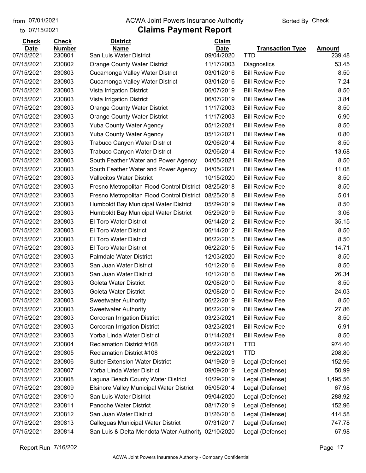#### from 07/01/2021 **ACWA Joint Powers Insurance Authority** Sorted By Check

to 07/15/2021

| <b>Check</b> | <b>Check</b>  | <b>District</b>                                 | Claim       |                         |               |
|--------------|---------------|-------------------------------------------------|-------------|-------------------------|---------------|
| <b>Date</b>  | <b>Number</b> | <b>Name</b>                                     | <b>Date</b> | <b>Transaction Type</b> | <b>Amount</b> |
| 07/15/2021   | 230801        | San Luis Water District                         | 09/04/2020  | <b>TTD</b>              | 239.48        |
| 07/15/2021   | 230802        | <b>Orange County Water District</b>             | 11/17/2003  | Diagnostics             | 53.45         |
| 07/15/2021   | 230803        | Cucamonga Valley Water District                 | 03/01/2016  | <b>Bill Review Fee</b>  | 8.50          |
| 07/15/2021   | 230803        | Cucamonga Valley Water District                 | 03/01/2016  | <b>Bill Review Fee</b>  | 7.24          |
| 07/15/2021   | 230803        | Vista Irrigation District                       | 06/07/2019  | <b>Bill Review Fee</b>  | 8.50          |
| 07/15/2021   | 230803        | Vista Irrigation District                       | 06/07/2019  | <b>Bill Review Fee</b>  | 3.84          |
| 07/15/2021   | 230803        | <b>Orange County Water District</b>             | 11/17/2003  | <b>Bill Review Fee</b>  | 8.50          |
| 07/15/2021   | 230803        | <b>Orange County Water District</b>             | 11/17/2003  | <b>Bill Review Fee</b>  | 6.90          |
| 07/15/2021   | 230803        | <b>Yuba County Water Agency</b>                 | 05/12/2021  | <b>Bill Review Fee</b>  | 8.50          |
| 07/15/2021   | 230803        | <b>Yuba County Water Agency</b>                 | 05/12/2021  | <b>Bill Review Fee</b>  | 0.80          |
| 07/15/2021   | 230803        | <b>Trabuco Canyon Water District</b>            | 02/06/2014  | <b>Bill Review Fee</b>  | 8.50          |
| 07/15/2021   | 230803        | Trabuco Canyon Water District                   | 02/06/2014  | <b>Bill Review Fee</b>  | 13.68         |
| 07/15/2021   | 230803        | South Feather Water and Power Agency            | 04/05/2021  | <b>Bill Review Fee</b>  | 8.50          |
| 07/15/2021   | 230803        | South Feather Water and Power Agency            | 04/05/2021  | <b>Bill Review Fee</b>  | 11.08         |
| 07/15/2021   | 230803        | <b>Vallecitos Water District</b>                | 10/15/2020  | <b>Bill Review Fee</b>  | 8.50          |
| 07/15/2021   | 230803        | Fresno Metropolitan Flood Control District      | 08/25/2018  | <b>Bill Review Fee</b>  | 8.50          |
| 07/15/2021   | 230803        | Fresno Metropolitan Flood Control District      | 08/25/2018  | <b>Bill Review Fee</b>  | 5.01          |
| 07/15/2021   | 230803        | Humboldt Bay Municipal Water District           | 05/29/2019  | <b>Bill Review Fee</b>  | 8.50          |
| 07/15/2021   | 230803        | Humboldt Bay Municipal Water District           | 05/29/2019  | <b>Bill Review Fee</b>  | 3.06          |
| 07/15/2021   | 230803        | El Toro Water District                          | 06/14/2012  | <b>Bill Review Fee</b>  | 35.15         |
| 07/15/2021   | 230803        | <b>El Toro Water District</b>                   | 06/14/2012  | <b>Bill Review Fee</b>  | 8.50          |
| 07/15/2021   | 230803        | <b>El Toro Water District</b>                   | 06/22/2015  | <b>Bill Review Fee</b>  | 8.50          |
| 07/15/2021   | 230803        | El Toro Water District                          | 06/22/2015  | <b>Bill Review Fee</b>  | 14.71         |
| 07/15/2021   | 230803        | Palmdale Water District                         | 12/03/2020  | <b>Bill Review Fee</b>  | 8.50          |
| 07/15/2021   | 230803        | San Juan Water District                         | 10/12/2016  | <b>Bill Review Fee</b>  | 8.50          |
| 07/15/2021   | 230803        | San Juan Water District                         | 10/12/2016  | <b>Bill Review Fee</b>  | 26.34         |
| 07/15/2021   | 230803        | <b>Goleta Water District</b>                    | 02/08/2010  | <b>Bill Review Fee</b>  | 8.50          |
| 07/15/2021   | 230803        | <b>Goleta Water District</b>                    | 02/08/2010  | <b>Bill Review Fee</b>  | 24.03         |
| 07/15/2021   | 230803        | <b>Sweetwater Authority</b>                     | 06/22/2019  | <b>Bill Review Fee</b>  | 8.50          |
| 07/15/2021   | 230803        | <b>Sweetwater Authority</b>                     | 06/22/2019  | <b>Bill Review Fee</b>  | 27.86         |
| 07/15/2021   | 230803        | <b>Corcoran Irrigation District</b>             | 03/23/2021  | <b>Bill Review Fee</b>  | 8.50          |
| 07/15/2021   | 230803        | Corcoran Irrigation District                    | 03/23/2021  | <b>Bill Review Fee</b>  | 6.91          |
| 07/15/2021   | 230803        | Yorba Linda Water District                      | 01/14/2021  | <b>Bill Review Fee</b>  | 8.50          |
| 07/15/2021   | 230804        | <b>Reclamation District #108</b>                | 06/22/2021  | TTD                     | 974.40        |
| 07/15/2021   | 230805        | <b>Reclamation District #108</b>                | 06/22/2021  | <b>TTD</b>              | 208.80        |
| 07/15/2021   | 230806        | <b>Sutter Extension Water District</b>          | 04/19/2019  | Legal (Defense)         | 152.96        |
| 07/15/2021   | 230807        | Yorba Linda Water District                      | 09/09/2019  | Legal (Defense)         | 50.99         |
| 07/15/2021   | 230808        | Laguna Beach County Water District              | 10/29/2019  | Legal (Defense)         | 1,495.56      |
| 07/15/2021   | 230809        | <b>Elsinore Valley Municipal Water District</b> | 05/05/2014  | Legal (Defense)         | 67.98         |
| 07/15/2021   | 230810        | San Luis Water District                         | 09/04/2020  | Legal (Defense)         | 288.92        |
| 07/15/2021   | 230811        | Panoche Water District                          | 08/17/2019  | Legal (Defense)         | 152.96        |
| 07/15/2021   | 230812        | San Juan Water District                         | 01/26/2016  | Legal (Defense)         | 414.58        |
| 07/15/2021   | 230813        | <b>Calleguas Municipal Water District</b>       | 07/31/2017  | Legal (Defense)         | 747.78        |
| 07/15/2021   | 230814        | San Luis & Delta-Mendota Water Authority        | 02/10/2020  | Legal (Defense)         | 67.98         |
|              |               |                                                 |             |                         |               |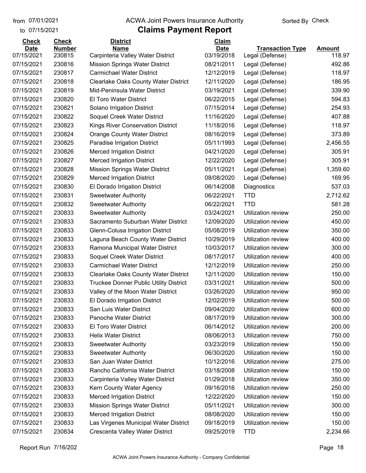to 07/15/2021 07/01/2021

#### from 07/01/2021 **ACWA Joint Powers Insurance Authority** Sorted By Check

| <b>Check</b> | <b>Check</b>  | <b>District</b>                               | Claim       |                           |               |
|--------------|---------------|-----------------------------------------------|-------------|---------------------------|---------------|
| <b>Date</b>  | <b>Number</b> | <b>Name</b>                                   | <b>Date</b> | <b>Transaction Type</b>   | <b>Amount</b> |
| 07/15/2021   | 230815        | Carpinteria Valley Water District             | 03/19/2018  | Legal (Defense)           | 118.97        |
| 07/15/2021   | 230816        | <b>Mission Springs Water District</b>         | 08/21/2011  | Legal (Defense)           | 492.86        |
| 07/15/2021   | 230817        | <b>Carmichael Water District</b>              | 12/12/2019  | Legal (Defense)           | 118.97        |
| 07/15/2021   | 230818        | Clearlake Oaks County Water District          | 12/11/2020  | Legal (Defense)           | 186.95        |
| 07/15/2021   | 230819        | Mid-Peninsula Water District                  | 03/19/2021  | Legal (Defense)           | 339.90        |
| 07/15/2021   | 230820        | <b>El Toro Water District</b>                 | 06/22/2015  | Legal (Defense)           | 594.83        |
| 07/15/2021   | 230821        | Solano Irrigation District                    | 07/15/2014  | Legal (Defense)           | 254.93        |
| 07/15/2021   | 230822        | Soquel Creek Water District                   | 11/16/2020  | Legal (Defense)           | 407.88        |
| 07/15/2021   | 230823        | Kings River Conservation District             | 11/18/2016  | Legal (Defense)           | 118.97        |
| 07/15/2021   | 230824        | <b>Orange County Water District</b>           | 08/16/2019  | Legal (Defense)           | 373.89        |
| 07/15/2021   | 230825        | Paradise Irrigation District                  | 05/11/1993  | Legal (Defense)           | 2,456.55      |
| 07/15/2021   | 230826        | <b>Merced Irrigation District</b>             | 04/21/2020  | Legal (Defense)           | 305.91        |
| 07/15/2021   | 230827        | <b>Merced Irrigation District</b>             | 12/22/2020  | Legal (Defense)           | 305.91        |
| 07/15/2021   | 230828        | <b>Mission Springs Water District</b>         | 05/11/2021  | Legal (Defense)           | 1,359.60      |
| 07/15/2021   | 230829        | <b>Merced Irrigation District</b>             | 08/08/2020  | Legal (Defense)           | 169.95        |
| 07/15/2021   | 230830        | El Dorado Irrigation District                 | 06/14/2008  | Diagnostics               | 537.03        |
| 07/15/2021   | 230831        | <b>Sweetwater Authority</b>                   | 06/22/2021  | <b>TTD</b>                | 2,712.62      |
| 07/15/2021   | 230832        | <b>Sweetwater Authority</b>                   | 06/22/2021  | <b>TTD</b>                | 581.28        |
| 07/15/2021   | 230833        | <b>Sweetwater Authority</b>                   | 03/24/2021  | Utilization review        | 250.00        |
| 07/15/2021   | 230833        | Sacramento Suburban Water District            | 12/09/2020  | Utilization review        | 450.00        |
| 07/15/2021   | 230833        | Glenn-Colusa Irrigation District              | 05/08/2019  | Utilization review        | 350.00        |
| 07/15/2021   | 230833        | Laguna Beach County Water District            | 10/29/2019  | Utilization review        | 400.00        |
| 07/15/2021   | 230833        | Ramona Municipal Water District               | 10/03/2017  | Utilization review        | 300.00        |
| 07/15/2021   | 230833        | Soquel Creek Water District                   | 08/17/2017  | Utilization review        | 400.00        |
| 07/15/2021   | 230833        | <b>Carmichael Water District</b>              | 12/12/2019  | Utilization review        | 250.00        |
| 07/15/2021   | 230833        | <b>Clearlake Oaks County Water District</b>   | 12/11/2020  | Utilization review        | 150.00        |
| 07/15/2021   | 230833        | <b>Truckee Donner Public Utility District</b> | 03/31/2021  | Utilization review        | 500.00        |
| 07/15/2021   | 230833        | Valley of the Moon Water District             | 03/26/2020  | Utilization review        | 950.00        |
| 07/15/2021   | 230833        | El Dorado Irrigation District                 | 12/02/2019  | Utilization review        | 500.00        |
| 07/15/2021   | 230833        | San Luis Water District                       | 09/04/2020  | Utilization review        | 600.00        |
| 07/15/2021   | 230833        | <b>Panoche Water District</b>                 | 08/17/2019  | <b>Utilization review</b> | 300.00        |
| 07/15/2021   | 230833        | <b>El Toro Water District</b>                 | 06/14/2012  | Utilization review        | 200.00        |
| 07/15/2021   | 230833        | <b>Helix Water District</b>                   | 08/06/2013  | Utilization review        | 750.00        |
| 07/15/2021   | 230833        | <b>Sweetwater Authority</b>                   | 03/23/2019  | Utilization review        | 150.00        |
| 07/15/2021   | 230833        | <b>Sweetwater Authority</b>                   | 06/30/2020  | Utilization review        | 150.00        |
| 07/15/2021   | 230833        | San Juan Water District                       | 10/12/2016  | Utilization review        | 275.00        |
| 07/15/2021   | 230833        | Rancho California Water District              | 03/18/2008  | Utilization review        | 150.00        |
| 07/15/2021   | 230833        | Carpinteria Valley Water District             | 01/29/2018  | Utilization review        | 350.00        |
| 07/15/2021   | 230833        | Kern County Water Agency                      | 09/16/2016  | Utilization review        | 250.00        |
| 07/15/2021   | 230833        | <b>Merced Irrigation District</b>             | 12/22/2020  | Utilization review        | 150.00        |
| 07/15/2021   | 230833        | <b>Mission Springs Water District</b>         | 05/11/2021  | Utilization review        | 300.00        |
| 07/15/2021   | 230833        | <b>Merced Irrigation District</b>             | 08/08/2020  | Utilization review        | 150.00        |
| 07/15/2021   | 230833        | Las Virgenes Municipal Water District         | 09/18/2019  | Utilization review        | 150.00        |
| 07/15/2021   | 230834        | Crescenta Valley Water District               | 09/25/2019  | <b>TTD</b>                | 2,234.66      |
|              |               |                                               |             |                           |               |